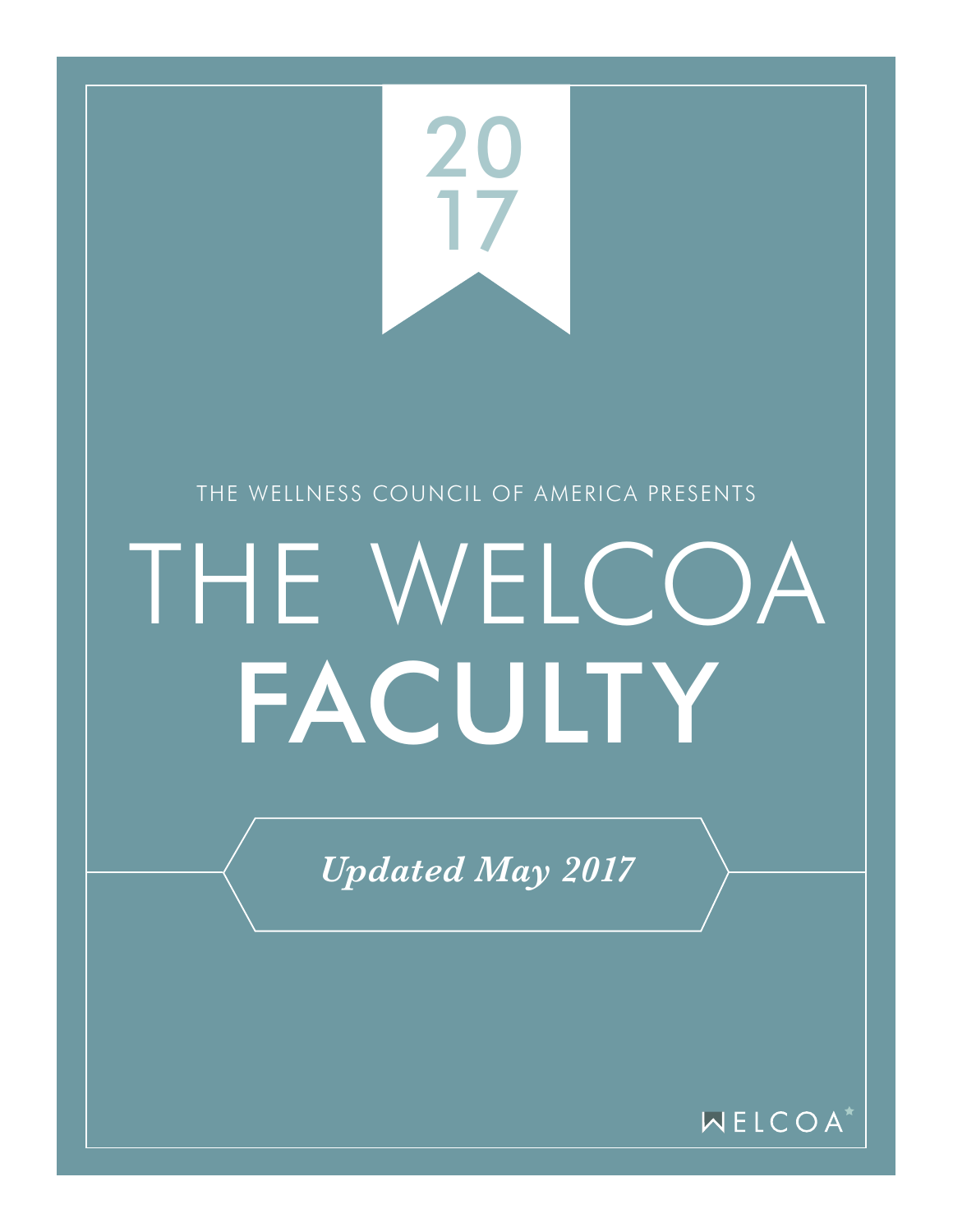

WELCOA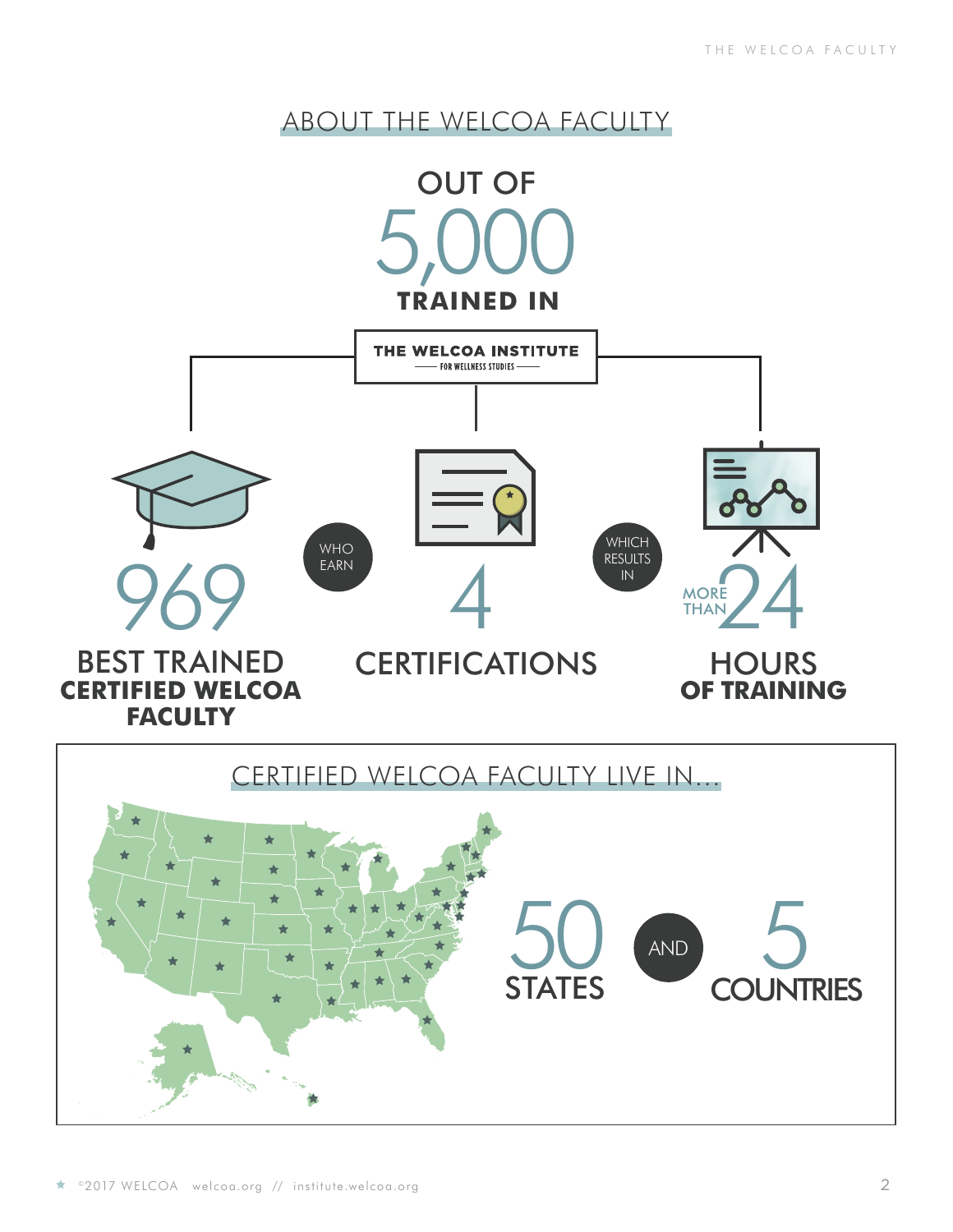## ABOUT THE WELCOA FACULTY

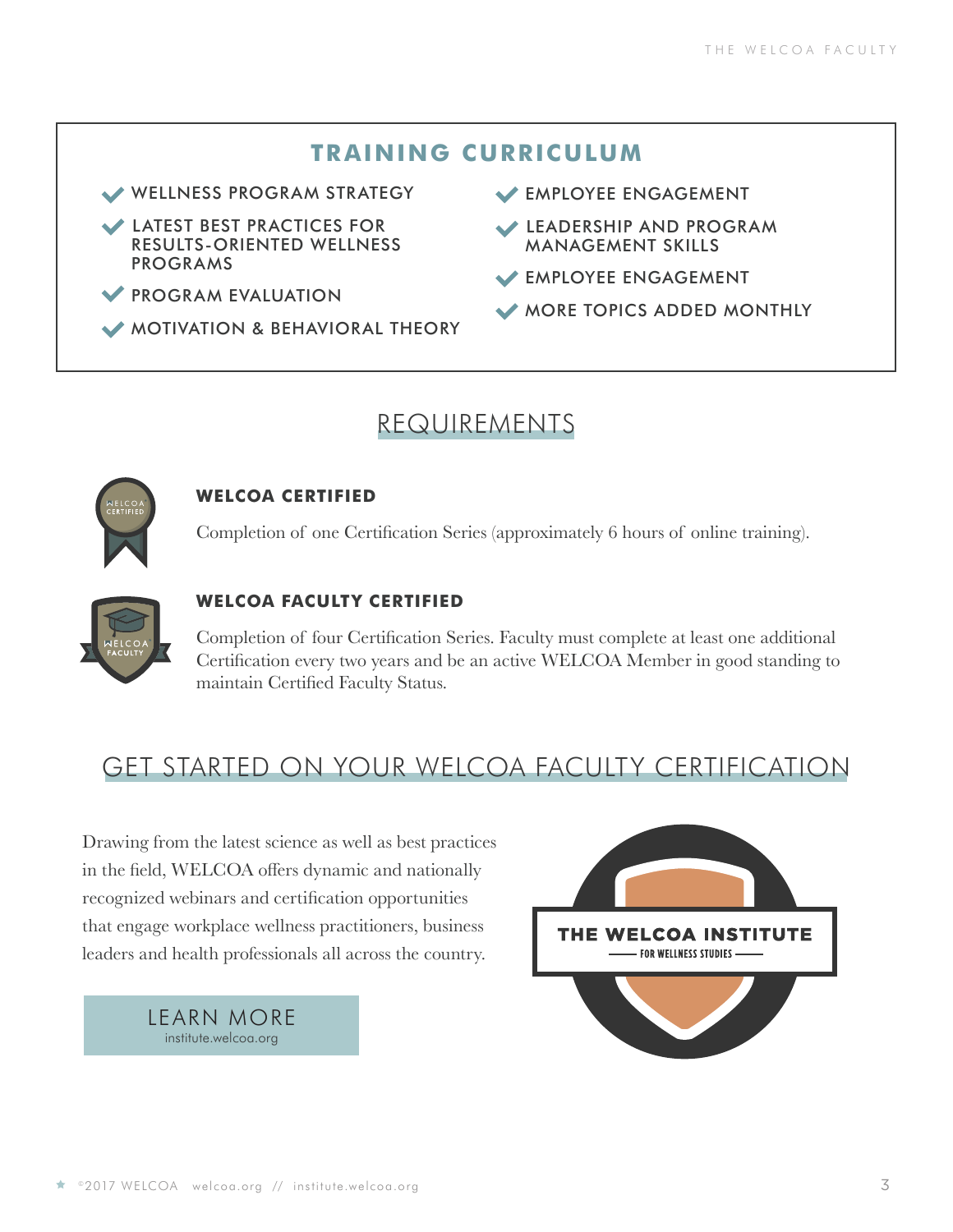#### **TRAINING CURRICULUM**

WELLNESS PROGRAM STRATEGY

- LATEST BEST PRACTICES FOR RESULTS-ORIENTED WELLNESS PROGRAMS
- PROGRAM EVALUATION
- MOTIVATION & BEHAVIORAL THEORY
- EMPLOYEE ENGAGEMENT
- LEADERSHIP AND PROGRAM MANAGEMENT SKILLS
- EMPLOYEE ENGAGEMENT
- MORE TOPICS ADDED MONTHLY

### REQUIREMENTS



#### **WELCOA CERTIFIED**

Completion of one Certification Series (approximately 6 hours of online training).



#### **WELCOA FACULTY CERTIFIED**

Completion of four Certification Series. Faculty must complete at least one additional Certification every two years and be an active WELCOA Member in good standing to maintain Certified Faculty Status.

## GET STARTED ON YOUR WELCOA FACULTY CERTIFICATION

Drawing from the latest science as well as best practices in the field, WELCOA offers dynamic and nationally recognized webinars and certification opportunities that engage workplace wellness practitioners, business leaders and health professionals all across the country.



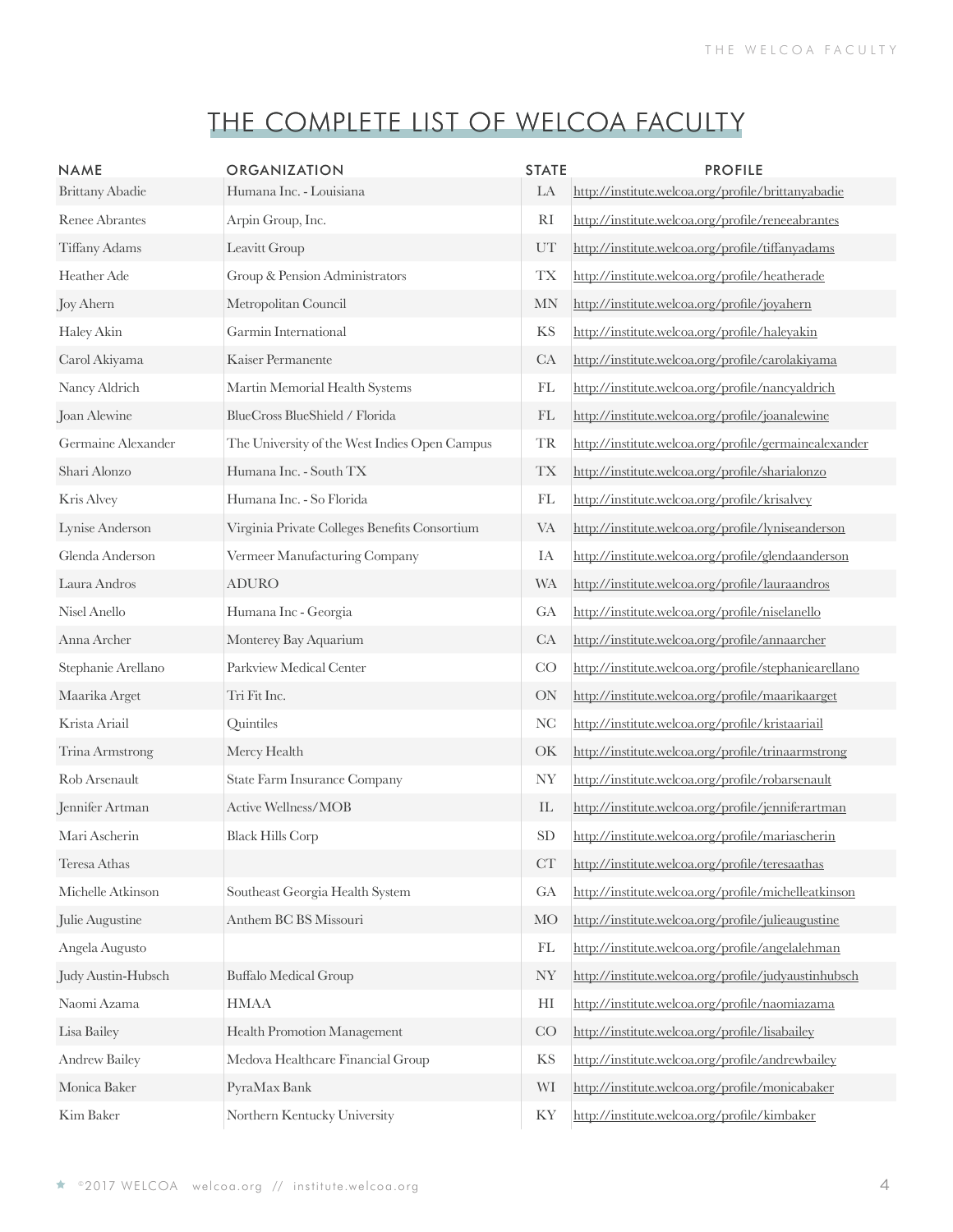| <b>NAME</b>            | <b>ORGANIZATION</b>                           | <b>STATE</b>               | <b>PROFILE</b>                                        |
|------------------------|-----------------------------------------------|----------------------------|-------------------------------------------------------|
| <b>Brittany Abadie</b> | Humana Inc. - Louisiana                       | LA                         | http://institute.welcoa.org/profile/brittanyabadie    |
| <b>Renee Abrantes</b>  | Arpin Group, Inc.                             | <b>RI</b>                  | http://institute.welcoa.org/profile/reneeabrantes     |
| Tiffany Adams          | Leavitt Group                                 | UT                         | http://institute.welcoa.org/profile/tiffanyadams      |
| Heather Ade            | Group & Pension Administrators                | TX                         | http://institute.welcoa.org/profile/heatherade        |
| Joy Ahern              | Metropolitan Council                          | <b>MN</b>                  | http://institute.welcoa.org/profile/joyahern          |
| Haley Akin             | Garmin International                          | KS                         | http://institute.welcoa.org/profile/haleyakin         |
| Carol Akiyama          | Kaiser Permanente                             | CA                         | http://institute.welcoa.org/profile/carolakiyama      |
| Nancy Aldrich          | Martin Memorial Health Systems                | FL                         | http://institute.welcoa.org/profile/nancyaldrich      |
| Joan Alewine           | BlueCross BlueShield / Florida                | FL                         | http://institute.welcoa.org/profile/joanalewine       |
| Germaine Alexander     | The University of the West Indies Open Campus | <b>TR</b>                  | http://institute.welcoa.org/profile/germainealexander |
| Shari Alonzo           | Humana Inc. - South TX                        | $\mathcal{T}\mathcal{X}$   | http://institute.welcoa.org/profile/sharialonzo       |
| Kris Alvey             | Humana Inc. - So Florida                      | FL                         | http://institute.welcoa.org/profile/krisalvey         |
| Lynise Anderson        | Virginia Private Colleges Benefits Consortium | VA                         | http://institute.welcoa.org/profile/lyniseanderson    |
| Glenda Anderson        | Vermeer Manufacturing Company                 | IA                         | http://institute.welcoa.org/profile/glendaanderson    |
| Laura Andros           | <b>ADURO</b>                                  | <b>WA</b>                  | http://institute.welcoa.org/profile/lauraandros       |
| Nisel Anello           | Humana Inc - Georgia                          | GA                         | http://institute.welcoa.org/profile/niselanello       |
| Anna Archer            | Monterey Bay Aquarium                         | CA                         | http://institute.welcoa.org/profile/annaarcher        |
| Stephanie Arellano     | Parkview Medical Center                       | CO                         | http://institute.welcoa.org/profile/stephaniearellano |
| Maarika Arget          | Tri Fit Inc.                                  | ON                         | http://institute.welcoa.org/profile/maarikaarget      |
| Krista Ariail          | Quintiles                                     | NC                         | http://institute.welcoa.org/profile/kristaariail      |
| Trina Armstrong        | Mercy Health                                  | OK                         | http://institute.welcoa.org/profile/trinaarmstrong    |
| Rob Arsenault          | <b>State Farm Insurance Company</b>           | <b>NY</b>                  | http://institute.welcoa.org/profile/robarsenault      |
| Jennifer Artman        | Active Wellness/MOB                           | $\mathop{\rm IL}\nolimits$ | http://institute.welcoa.org/profile/jenniferartman    |
| Mari Ascherin          | <b>Black Hills Corp</b>                       | <b>SD</b>                  | http://institute.welcoa.org/profile/mariascherin      |
| Teresa Athas           |                                               | <b>CT</b>                  | http://institute.welcoa.org/profile/teresaathas       |
| Michelle Atkinson      | Southeast Georgia Health System               | GA                         | http://institute.welcoa.org/profile/michelleatkinson  |
| Julie Augustine        | Anthem BC BS Missouri                         | <b>MO</b>                  | http://institute.welcoa.org/profile/julieaugustine    |
| Angela Augusto         |                                               | FL                         | http://institute.welcoa.org/profile/angelalehman      |
| Judy Austin-Hubsch     | <b>Buffalo Medical Group</b>                  | <b>NY</b>                  | http://institute.welcoa.org/profile/judyaustinhubsch  |
| Naomi Azama            | <b>HMAA</b>                                   | HI                         | http://institute.welcoa.org/profile/naomiazama        |
| Lisa Bailey            | Health Promotion Management                   | CO                         | http://institute.welcoa.org/profile/lisabailey        |
| Andrew Bailey          | Medova Healthcare Financial Group             | KS                         | http://institute.welcoa.org/profile/andrewbailey      |
| Monica Baker           | PyraMax Bank                                  | WI                         | http://institute.welcoa.org/profile/monicabaker       |
| Kim Baker              | Northern Kentucky University                  | KY                         | http://institute.welcoa.org/profile/kimbaker          |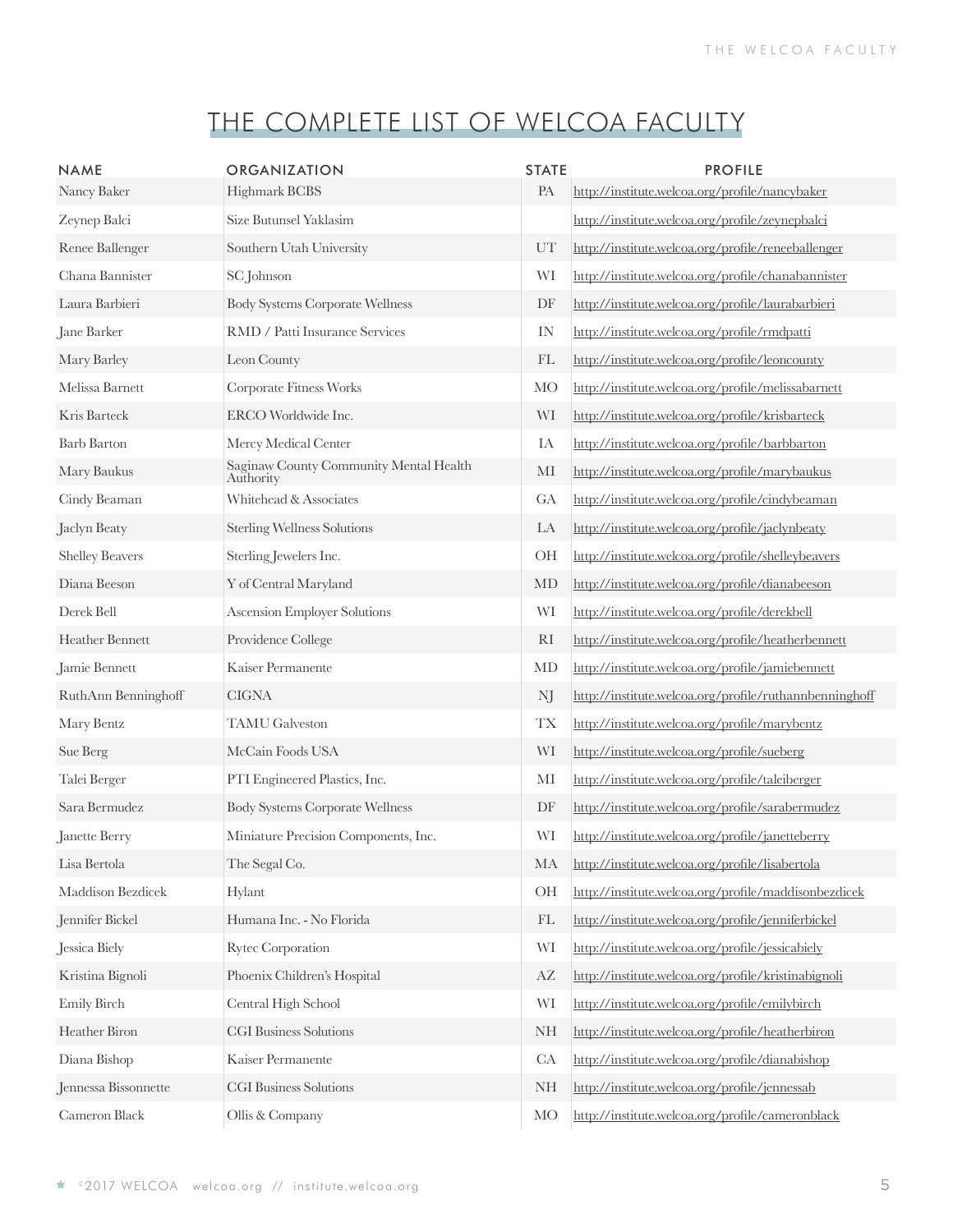| <b>NAME</b><br>Nancy Baker | <b>ORGANIZATION</b><br>Highmark BCBS                | <b>STATE</b><br>PA | <b>PROFILE</b><br>http://institute.welcoa.org/profile/nancybaker |
|----------------------------|-----------------------------------------------------|--------------------|------------------------------------------------------------------|
| Zeynep Balci               | Size Butunsel Yaklasim                              |                    | http://institute.welcoa.org/profile/zeynepbalci                  |
| Renee Ballenger            | Southern Utah University                            | UT                 | http://institute.welcoa.org/profile/reneeballenger               |
| Chana Bannister            | <b>SC</b> Johnson                                   | WI                 | http://institute.welcoa.org/profile/chanabannister               |
| Laura Barbieri             | <b>Body Systems Corporate Wellness</b>              | DF                 | http://institute.welcoa.org/profile/laurabarbieri                |
| Jane Barker                | RMD / Patti Insurance Services                      | IN                 | http://institute.welcoa.org/profile/rmdpatti                     |
| Mary Barley                | Leon County                                         | FL                 | http://institute.welcoa.org/profile/leoncounty                   |
| Melissa Barnett            | Corporate Fitness Works                             | <b>MO</b>          | http://institute.welcoa.org/profile/melissabarnett               |
| Kris Barteck               | ERCO Worldwide Inc.                                 | WI                 | http://institute.welcoa.org/profile/krisbarteck                  |
| <b>Barb Barton</b>         | Mercy Medical Center                                | IA                 | http://institute.welcoa.org/profile/barbbarton                   |
| Mary Baukus                | Saginaw County Community Mental Health<br>Authority | MI                 | http://institute.welcoa.org/profile/marybaukus                   |
| Cindy Beaman               | Whitehead & Associates                              | GA                 | http://institute.welcoa.org/profile/cindybeaman                  |
| Jaclyn Beaty               | <b>Sterling Wellness Solutions</b>                  | LA                 | http://institute.welcoa.org/profile/jaclynbeaty                  |
| <b>Shelley Beavers</b>     | Sterling Jewelers Inc.                              | OH                 | http://institute.welcoa.org/profile/shelleybeavers               |
| Diana Beeson               | Y of Central Maryland                               | MD                 | http://institute.welcoa.org/profile/dianabeeson                  |
| Derek Bell                 | <b>Ascension Employer Solutions</b>                 | WI                 | http://institute.welcoa.org/profile/derekbell                    |
| Heather Bennett            | Providence College                                  | RI                 | http://institute.welcoa.org/profile/heatherbennett               |
| Jamie Bennett              | Kaiser Permanente                                   | MD                 | http://institute.welcoa.org/profile/jamiebennett                 |
| RuthAnn Benninghoff        | <b>CIGNA</b>                                        | NJ                 | http://institute.welcoa.org/profile/ruthannbenninghoff           |
| Mary Bentz                 | <b>TAMU</b> Galveston                               | <b>TX</b>          | http://institute.welcoa.org/profile/marybentz                    |
| Sue Berg                   | McCain Foods USA                                    | WI                 | http://institute.welcoa.org/profile/sueberg                      |
| Talei Berger               | PTI Engineered Plastics, Inc.                       | MI                 | http://institute.welcoa.org/profile/taleiberger                  |
| Sara Bermudez              | <b>Body Systems Corporate Wellness</b>              | DF                 | http://institute.welcoa.org/profile/sarabermudez                 |
| Janette Berry              | Miniature Precision Components, Inc.                | WI                 | http://institute.welcoa.org/profile/janetteberry                 |
| Lisa Bertola               | The Segal Co.                                       | MA                 | http://institute.welcoa.org/profile/lisabertola                  |
| Maddison Bezdicek          | Hylant                                              | OH                 | http://institute.welcoa.org/profile/maddisonbezdicek             |
| Jennifer Bickel            | Humana Inc. - No Florida                            | FL                 | http://institute.welcoa.org/profile/jenniferbickel               |
| Jessica Biely              | Rytec Corporation                                   | WI                 | http://institute.welcoa.org/profile/jessicabiely                 |
| Kristina Bignoli           | Phoenix Children's Hospital                         | AZ                 | http://institute.welcoa.org/profile/kristinabignoli              |
| Emily Birch                | Central High School                                 | WI                 | http://institute.welcoa.org/profile/emilybirch                   |
| Heather Biron              | <b>CGI Business Solutions</b>                       | <b>NH</b>          | http://institute.welcoa.org/profile/heatherbiron                 |
| Diana Bishop               | Kaiser Permanente                                   | CA                 | http://institute.welcoa.org/profile/dianabishop                  |
| Jennessa Bissonnette       | <b>CGI Business Solutions</b>                       | <b>NH</b>          | http://institute.welcoa.org/profile/jennessab                    |
| Cameron Black              | Ollis & Company                                     | <b>MO</b>          | http://institute.welcoa.org/profile/cameronblack                 |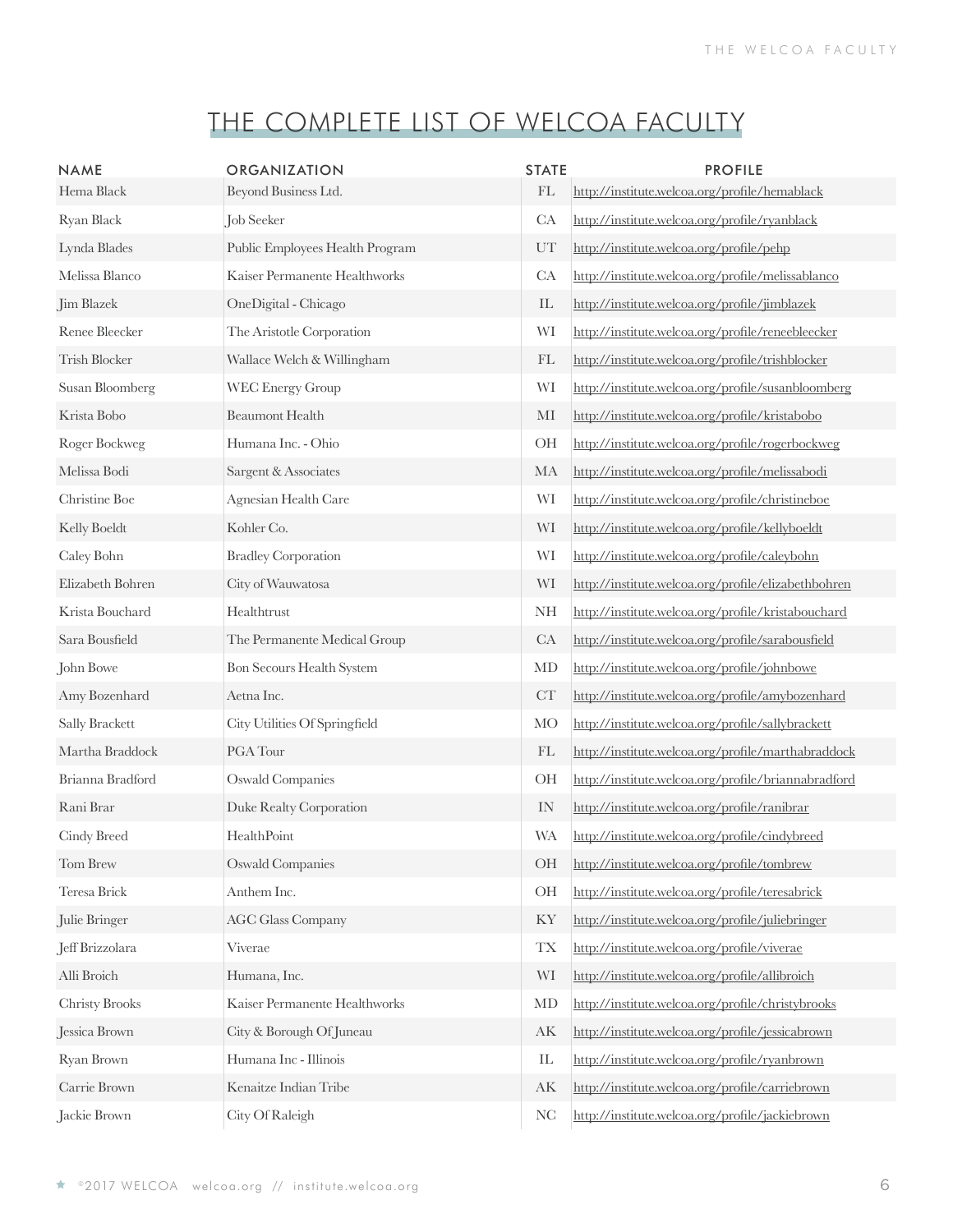| <b>NAME</b><br>Hema Black | <b>ORGANIZATION</b><br>Beyond Business Ltd. | <b>STATE</b><br>$\mathop{\rm FL}\nolimits$ | <b>PROFILE</b><br>http://institute.welcoa.org/profile/hemablack |
|---------------------------|---------------------------------------------|--------------------------------------------|-----------------------------------------------------------------|
| Ryan Black                | Job Seeker                                  | CA                                         | http://institute.welcoa.org/profile/ryanblack                   |
| Lynda Blades              | Public Employees Health Program             | UT                                         | http://institute.welcoa.org/profile/pehp                        |
| Melissa Blanco            | Kaiser Permanente Healthworks               | CA                                         | http://institute.welcoa.org/profile/melissablanco               |
| Jim Blazek                | OneDigital - Chicago                        | IL                                         | http://institute.welcoa.org/profile/jimblazek                   |
| Renee Bleecker            | The Aristotle Corporation                   | WI                                         | http://institute.welcoa.org/profile/reneebleecker               |
| Trish Blocker             | Wallace Welch & Willingham                  | FL                                         | http://institute.welcoa.org/profile/trishblocker                |
| Susan Bloomberg           | <b>WEC Energy Group</b>                     | WI                                         | http://institute.welcoa.org/profile/susanbloomberg              |
| Krista Bobo               | <b>Beaumont Health</b>                      | MI                                         | http://institute.welcoa.org/profile/kristabobo                  |
| Roger Bockweg             | Humana Inc. - Ohio                          | OH                                         | http://institute.welcoa.org/profile/rogerbockweg                |
| Melissa Bodi              | Sargent & Associates                        | MA                                         | http://institute.welcoa.org/profile/melissabodi                 |
| Christine Boe             | Agnesian Health Care                        | WI                                         | http://institute.welcoa.org/profile/christineboe                |
| Kelly Boeldt              | Kohler Co.                                  | WI                                         | http://institute.welcoa.org/profile/kellyboeldt                 |
| Caley Bohn                | <b>Bradley Corporation</b>                  | WI                                         | http://institute.welcoa.org/profile/caleybohn                   |
| Elizabeth Bohren          | City of Wauwatosa                           | WI                                         | http://institute.welcoa.org/profile/elizabethbohren             |
| Krista Bouchard           | Healthtrust                                 | <b>NH</b>                                  | http://institute.welcoa.org/profile/kristabouchard              |
| Sara Bousfield            | The Permanente Medical Group                | CA                                         | http://institute.welcoa.org/profile/sarabousfield               |
| John Bowe                 | Bon Secours Health System                   | MD                                         | http://institute.welcoa.org/profile/johnbowe                    |
| Amy Bozenhard             | Aetna Inc.                                  | CT                                         | http://institute.welcoa.org/profile/amybozenhard                |
| Sally Brackett            | City Utilities Of Springfield               | <b>MO</b>                                  | http://institute.welcoa.org/profile/sallybrackett               |
| Martha Braddock           | PGA Tour                                    | FL                                         | http://institute.welcoa.org/profile/marthabraddock              |
| Brianna Bradford          | <b>Oswald Companies</b>                     | OH                                         | http://institute.welcoa.org/profile/briannabradford             |
| Rani Brar                 | Duke Realty Corporation                     | IN                                         | http://institute.welcoa.org/profile/ranibrar                    |
| Cindy Breed               | HealthPoint                                 | <b>WA</b>                                  | http://institute.welcoa.org/profile/cindybreed                  |
| Tom Brew                  | <b>Oswald Companies</b>                     | OH                                         | http://institute.welcoa.org/profile/tombrew                     |
| Teresa Brick              | Anthem Inc.                                 | OH                                         | http://institute.welcoa.org/profile/teresabrick                 |
| Julie Bringer             | <b>AGC Glass Company</b>                    | KY                                         | http://institute.welcoa.org/profile/juliebringer                |
| Jeff Brizzolara           | Viverae                                     | <b>TX</b>                                  | http://institute.welcoa.org/profile/viverae                     |
| Alli Broich               | Humana, Inc.                                | WI                                         | http://institute.welcoa.org/profile/allibroich                  |
| Christy Brooks            | Kaiser Permanente Healthworks               | MD                                         | http://institute.welcoa.org/profile/christybrooks               |
| Jessica Brown             | City & Borough Of Juneau                    | AK                                         | http://institute.welcoa.org/profile/jessicabrown                |
| Ryan Brown                | Humana Inc - Illinois                       | ${\rm IL}$                                 | http://institute.welcoa.org/profile/ryanbrown                   |
| Carrie Brown              | Kenaitze Indian Tribe                       | AK                                         | http://institute.welcoa.org/profile/carriebrown                 |
| Jackie Brown              | City Of Raleigh                             | $\rm NC$                                   | http://institute.welcoa.org/profile/jackiebrown                 |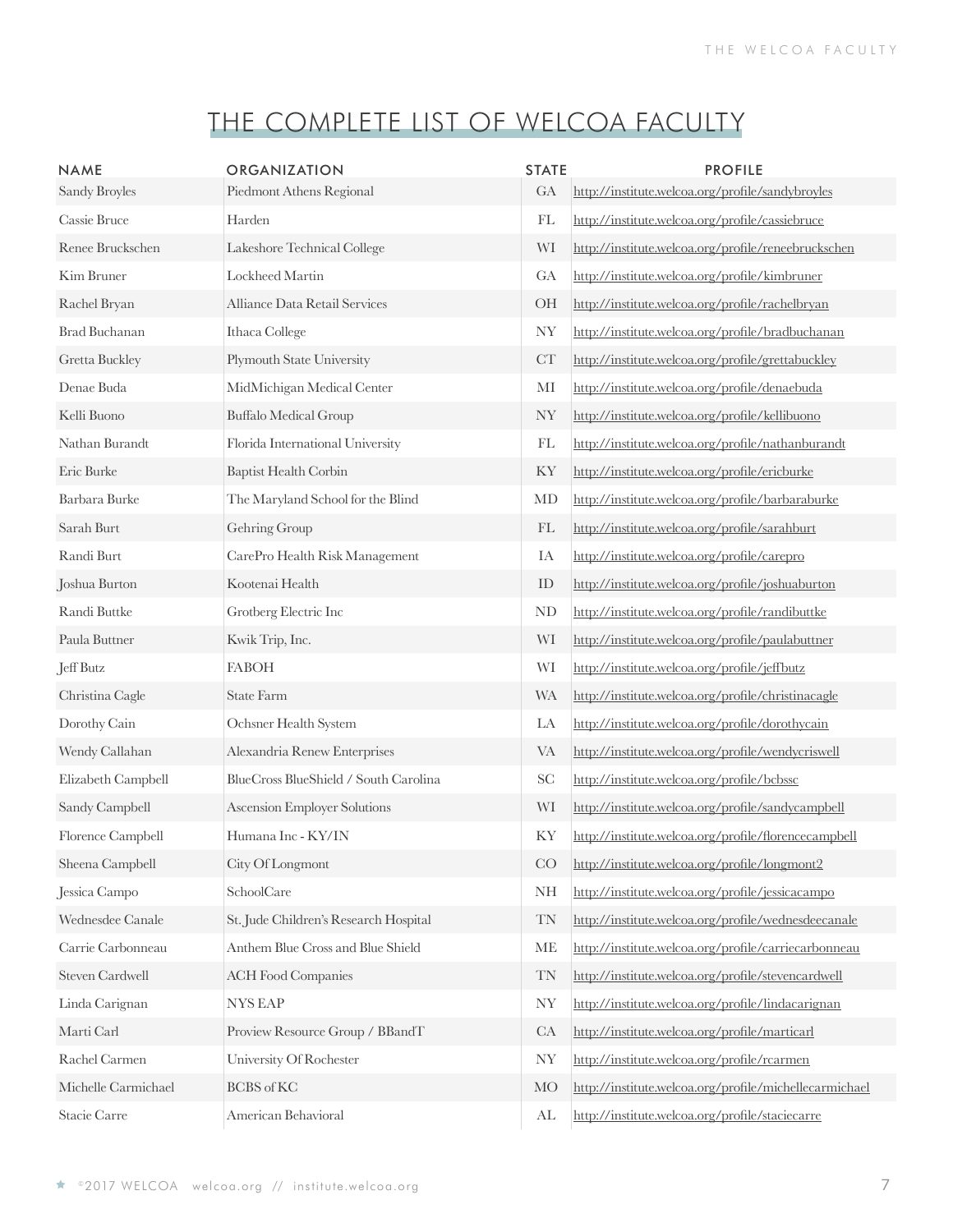| <b>NAME</b><br>Sandy Broyles | <b>ORGANIZATION</b><br>Piedmont Athens Regional | <b>STATE</b><br>GA         | <b>PROFILE</b><br>http://institute.welcoa.org/profile/sandybroyles |
|------------------------------|-------------------------------------------------|----------------------------|--------------------------------------------------------------------|
| Cassie Bruce                 | Harden                                          | FL                         | http://institute.welcoa.org/profile/cassiebruce                    |
| Renee Bruckschen             | Lakeshore Technical College                     | WI                         | http://institute.welcoa.org/profile/reneebruckschen                |
| Kim Bruner                   | Lockheed Martin                                 | GA                         | http://institute.welcoa.org/profile/kimbruner                      |
| Rachel Bryan                 | Alliance Data Retail Services                   | OH                         | http://institute.welcoa.org/profile/rachelbryan                    |
| <b>Brad Buchanan</b>         | Ithaca College                                  | <b>NY</b>                  | http://institute.welcoa.org/profile/bradbuchanan                   |
| Gretta Buckley               | Plymouth State University                       | CT                         | http://institute.welcoa.org/profile/grettabuckley                  |
| Denae Buda                   | MidMichigan Medical Center                      | MI                         | http://institute.welcoa.org/profile/denaebuda                      |
| Kelli Buono                  | <b>Buffalo Medical Group</b>                    | <b>NY</b>                  | http://institute.welcoa.org/profile/kellibuono                     |
| Nathan Burandt               | Florida International University                | FL                         | http://institute.welcoa.org/profile/nathanburandt                  |
| Eric Burke                   | <b>Baptist Health Corbin</b>                    | KY                         | http://institute.welcoa.org/profile/ericburke                      |
| Barbara Burke                | The Maryland School for the Blind               | MD                         | http://institute.welcoa.org/profile/barbaraburke                   |
| Sarah Burt                   | Gehring Group                                   | $\mathop{\rm FL}\nolimits$ | http://institute.welcoa.org/profile/sarahburt                      |
| Randi Burt                   | CarePro Health Risk Management                  | IA                         | http://institute.welcoa.org/profile/carepro                        |
| Joshua Burton                | Kootenai Health                                 | ID                         | http://institute.welcoa.org/profile/joshuaburton                   |
| Randi Buttke                 | Grotberg Electric Inc                           | ND                         | http://institute.welcoa.org/profile/randibuttke                    |
| Paula Buttner                | Kwik Trip, Inc.                                 | WI                         | http://institute.welcoa.org/profile/paulabuttner                   |
| Jeff Butz                    | <b>FABOH</b>                                    | WI                         | http://institute.welcoa.org/profile/jeffbutz                       |
| Christina Cagle              | <b>State Farm</b>                               | <b>WA</b>                  | http://institute.welcoa.org/profile/christinacagle                 |
| Dorothy Cain                 | Ochsner Health System                           | LA                         | http://institute.welcoa.org/profile/dorothycain                    |
| Wendy Callahan               | Alexandria Renew Enterprises                    | <b>VA</b>                  | http://institute.welcoa.org/profile/wendycriswell                  |
| Elizabeth Campbell           | BlueCross BlueShield / South Carolina           | SC                         | http://institute.welcoa.org/profile/bcbssc                         |
| Sandy Campbell               | Ascension Employer Solutions                    | WI                         | http://institute.welcoa.org/profile/sandycampbell                  |
| Florence Campbell            | Humana Inc - KY/IN                              | KY                         | http://institute.welcoa.org/profile/florencecampbell               |
| Sheena Campbell              | City Of Longmont                                | CO                         | http://institute.welcoa.org/profile/longmont2                      |
| Jessica Campo                | SchoolCare                                      | <b>NH</b>                  | http://institute.welcoa.org/profile/jessicacampo                   |
| Wednesdee Canale             | St. Jude Children's Research Hospital           | <b>TN</b>                  | http://institute.welcoa.org/profile/wednesdeecanale                |
| Carrie Carbonneau            | Anthem Blue Cross and Blue Shield               | <b>ME</b>                  | http://institute.welcoa.org/profile/carriecarbonneau               |
| Steven Cardwell              | <b>ACH Food Companies</b>                       | <b>TN</b>                  | http://institute.welcoa.org/profile/stevencardwell                 |
| Linda Carignan               | <b>NYS EAP</b>                                  | <b>NY</b>                  | http://institute.welcoa.org/profile/lindacarignan                  |
| Marti Carl                   | Proview Resource Group / BBandT                 | CA                         | http://institute.welcoa.org/profile/marticarl                      |
| Rachel Carmen                | University Of Rochester                         | <b>NY</b>                  | http://institute.welcoa.org/profile/rcarmen                        |
| Michelle Carmichael          | <b>BCBS</b> of KC                               | <b>MO</b>                  | http://institute.welcoa.org/profile/michellecarmichael             |
| Stacie Carre                 | American Behavioral                             | AL                         | http://institute.welcoa.org/profile/staciecarre                    |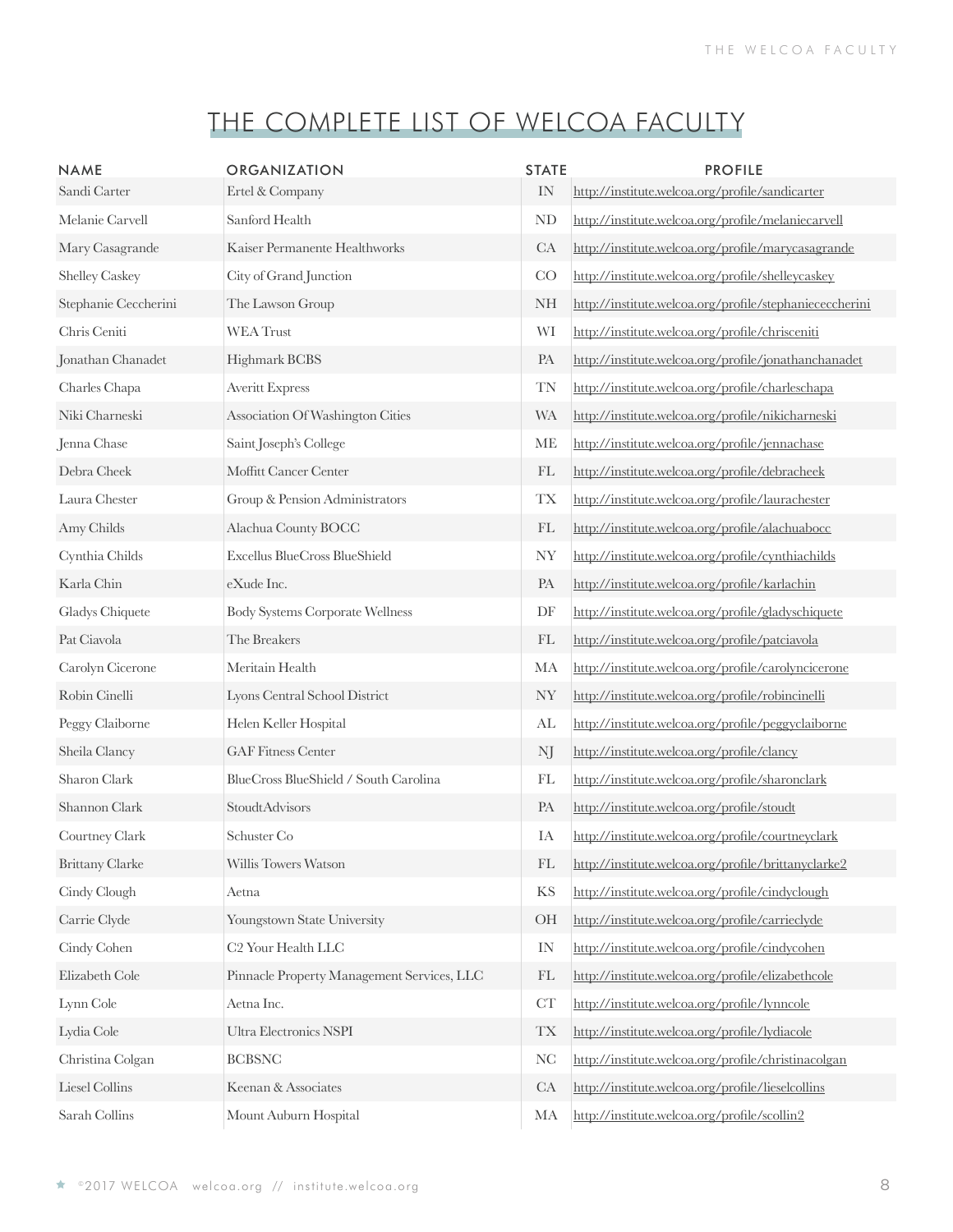| <b>NAME</b><br>Sandi Carter | <b>ORGANIZATION</b><br>Ertel & Company     | <b>STATE</b><br>IN       | <b>PROFILE</b><br>http://institute.welcoa.org/profile/sandicarter |
|-----------------------------|--------------------------------------------|--------------------------|-------------------------------------------------------------------|
| Melanie Carvell             | Sanford Health                             | ND                       | http://institute.welcoa.org/profile/melaniecarvell                |
| Mary Casagrande             | Kaiser Permanente Healthworks              | CA                       | http://institute.welcoa.org/profile/marycasagrande                |
| <b>Shelley Caskey</b>       | City of Grand Junction                     | CO                       | http://institute.welcoa.org/profile/shelleycaskey                 |
| Stephanie Ceccherini        | The Lawson Group                           | <b>NH</b>                | http://institute.welcoa.org/profile/stephaniececcherini           |
| Chris Ceniti                | <b>WEA Trust</b>                           | WI                       | http://institute.welcoa.org/profile/chrisceniti                   |
| Jonathan Chanadet           | <b>Highmark BCBS</b>                       | PA                       | http://institute.welcoa.org/profile/jonathanchanadet              |
| Charles Chapa               | <b>Averitt Express</b>                     | TN                       | http://institute.welcoa.org/profile/charleschapa                  |
| Niki Charneski              | Association Of Washington Cities           | <b>WA</b>                | http://institute.welcoa.org/profile/nikicharneski                 |
| Jenna Chase                 | Saint Joseph's College                     | ME                       | http://institute.welcoa.org/profile/jennachase                    |
| Debra Cheek                 | Moffitt Cancer Center                      | FL                       | http://institute.welcoa.org/profile/debracheek                    |
| Laura Chester               | Group & Pension Administrators             | <b>TX</b>                | http://institute.welcoa.org/profile/laurachester                  |
| Amy Childs                  | Alachua County BOCC                        | FL                       | http://institute.welcoa.org/profile/alachuabocc                   |
| Cynthia Childs              | Excellus BlueCross BlueShield              | <b>NY</b>                | http://institute.welcoa.org/profile/cynthiachilds                 |
| Karla Chin                  | eXude Inc.                                 | PA                       | http://institute.welcoa.org/profile/karlachin                     |
| Gladys Chiquete             | <b>Body Systems Corporate Wellness</b>     | DF                       | http://institute.welcoa.org/profile/gladyschiquete                |
| Pat Ciavola                 | The Breakers                               | FL                       | http://institute.welcoa.org/profile/patciavola                    |
| Carolyn Cicerone            | Meritain Health                            | MA                       | http://institute.welcoa.org/profile/carolyncicerone               |
| Robin Cinelli               | Lyons Central School District              | <b>NY</b>                | http://institute.welcoa.org/profile/robincinelli                  |
| Peggy Claiborne             | Helen Keller Hospital                      | AL                       | http://institute.welcoa.org/profile/peggyclaiborne                |
| Sheila Clancy               | <b>GAF Fitness Center</b>                  | NJ                       | http://institute.welcoa.org/profile/clancy                        |
| Sharon Clark                | BlueCross BlueShield / South Carolina      | FL                       | http://institute.welcoa.org/profile/sharonclark                   |
| Shannon Clark               | StoudtAdvisors                             | PA                       | http://institute.welcoa.org/profile/stoudt                        |
| Courtney Clark              | Schuster Co                                | IA                       | http://institute.welcoa.org/profile/courtneyclark                 |
| <b>Brittany Clarke</b>      | Willis Towers Watson                       | FL                       | http://institute.welcoa.org/profile/brittanyclarke2               |
| Cindy Clough                | Aetna                                      | <b>KS</b>                | http://institute.welcoa.org/profile/cindyclough                   |
| Carrie Clyde                | Youngstown State University                | <b>OH</b>                | http://institute.welcoa.org/profile/carrieclyde                   |
| Cindy Cohen                 | C <sub>2</sub> Your Health LLC             | IN                       | http://institute.welcoa.org/profile/cindycohen                    |
| Elizabeth Cole              | Pinnacle Property Management Services, LLC | FL                       | http://institute.welcoa.org/profile/elizabethcole                 |
| Lynn Cole                   | Aetna Inc.                                 | ${\cal CT}$              | http://institute.welcoa.org/profile/lynncole                      |
| Lydia Cole                  | Ultra Electronics NSPI                     | $\mathcal{T}\mathcal{X}$ | http://institute.welcoa.org/profile/lydiacole                     |
| Christina Colgan            | <b>BCBSNC</b>                              | $\rm NC$                 | http://institute.welcoa.org/profile/christinacolgan               |
| Liesel Collins              | Keenan & Associates                        | CA                       | http://institute.welcoa.org/profile/lieselcollins                 |
| Sarah Collins               | Mount Auburn Hospital                      | MA                       | http://institute.welcoa.org/profile/scollin2                      |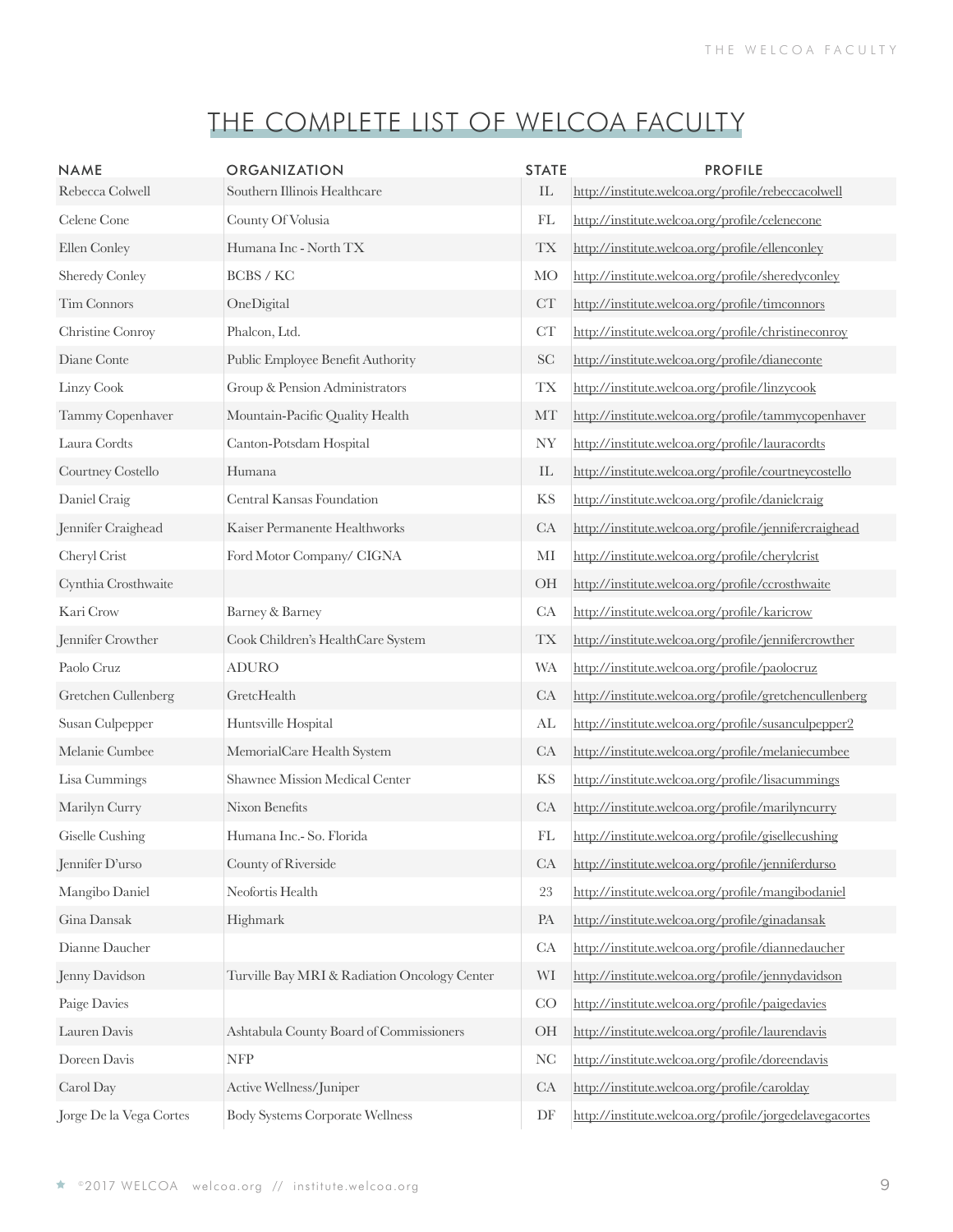| <b>NAME</b><br>Rebecca Colwell | <b>ORGANIZATION</b><br>Southern Illinois Healthcare | <b>STATE</b><br>$\mathop{\rm IL}\nolimits$ | <b>PROFILE</b><br>http://institute.welcoa.org/profile/rebeccacolwell |
|--------------------------------|-----------------------------------------------------|--------------------------------------------|----------------------------------------------------------------------|
| Celene Cone                    | County Of Volusia                                   | FL                                         | http://institute.welcoa.org/profile/celenecone                       |
| Ellen Conley                   | Humana Inc - North TX                               | <b>TX</b>                                  | http://institute.welcoa.org/profile/ellenconley                      |
| <b>Sheredy Conley</b>          | BCBS / KC                                           | <b>MO</b>                                  | http://institute.welcoa.org/profile/sheredyconley                    |
| Tim Connors                    | OneDigital                                          | CT                                         | http://institute.welcoa.org/profile/timconnors                       |
| Christine Conroy               | Phalcon, Ltd.                                       | ${\cal CT}$                                | http://institute.welcoa.org/profile/christineconroy                  |
| Diane Conte                    | Public Employee Benefit Authority                   | <b>SC</b>                                  | http://institute.welcoa.org/profile/dianeconte                       |
| Linzy Cook                     | Group & Pension Administrators                      | <b>TX</b>                                  | http://institute.welcoa.org/profile/linzycook                        |
| Tammy Copenhaver               | Mountain-Pacific Quality Health                     | MT                                         | http://institute.welcoa.org/profile/tammycopenhaver                  |
| Laura Cordts                   | Canton-Potsdam Hospital                             | <b>NY</b>                                  | http://institute.welcoa.org/profile/lauracordts                      |
| Courtney Costello              | Humana                                              | IL                                         | http://institute.welcoa.org/profile/courtneycostello                 |
| Daniel Craig                   | Central Kansas Foundation                           | <b>KS</b>                                  | http://institute.welcoa.org/profile/danielcraig                      |
| Jennifer Craighead             | Kaiser Permanente Healthworks                       | CA                                         | http://institute.welcoa.org/profile/jennifercraighead                |
| Cheryl Crist                   | Ford Motor Company/ CIGNA                           | MI                                         | http://institute.welcoa.org/profile/cherylcrist                      |
| Cynthia Crosthwaite            |                                                     | OH                                         | http://institute.welcoa.org/profile/ccrosthwaite                     |
| Kari Crow                      | Barney & Barney                                     | CA                                         | http://institute.welcoa.org/profile/karicrow                         |
| Jennifer Crowther              | Cook Children's HealthCare System                   | <b>TX</b>                                  | http://institute.welcoa.org/profile/jennifercrowther                 |
| Paolo Cruz                     | <b>ADURO</b>                                        | <b>WA</b>                                  | http://institute.welcoa.org/profile/paolocruz                        |
| Gretchen Cullenberg            | GretcHealth                                         | CA                                         | http://institute.welcoa.org/profile/gretchencullenberg               |
| Susan Culpepper                | Huntsville Hospital                                 | AL                                         | http://institute.welcoa.org/profile/susanculpepper2                  |
| Melanie Cumbee                 | MemorialCare Health System                          | <b>CA</b>                                  | http://institute.welcoa.org/profile/melaniecumbee                    |
| Lisa Cummings                  | Shawnee Mission Medical Center                      | KS                                         | http://institute.welcoa.org/profile/lisacummings                     |
| Marilyn Curry                  | Nixon Benefits                                      | CA                                         | http://institute.welcoa.org/profile/marilyncurry                     |
| Giselle Cushing                | Humana Inc.- So. Florida                            | FL                                         | http://institute.welcoa.org/profile/gisellecushing                   |
| Jennifer D'urso                | County of Riverside                                 | CA                                         | http://institute.welcoa.org/profile/jenniferdurso                    |
| Mangibo Daniel                 | Neofortis Health                                    | $23\,$                                     | http://institute.welcoa.org/profile/mangibodaniel                    |
| Gina Dansak                    | Highmark                                            | PA                                         | http://institute.welcoa.org/profile/ginadansak                       |
| Dianne Daucher                 |                                                     | CA                                         | http://institute.welcoa.org/profile/diannedaucher                    |
| Jenny Davidson                 | Turville Bay MRI & Radiation Oncology Center        | WI                                         | http://institute.welcoa.org/profile/jennydavidson                    |
| Paige Davies                   |                                                     | CO                                         | http://institute.welcoa.org/profile/paigedavies                      |
| Lauren Davis                   | Ashtabula County Board of Commissioners             | OH                                         | http://institute.welcoa.org/profile/laurendavis                      |
| Doreen Davis                   | <b>NFP</b>                                          | NC                                         | http://institute.welcoa.org/profile/doreendavis                      |
| Carol Day                      | Active Wellness/Juniper                             | CA                                         | http://institute.welcoa.org/profile/carolday                         |
| Jorge De la Vega Cortes        | <b>Body Systems Corporate Wellness</b>              | DF                                         | http://institute.welcoa.org/profile/jorgedelavegacortes              |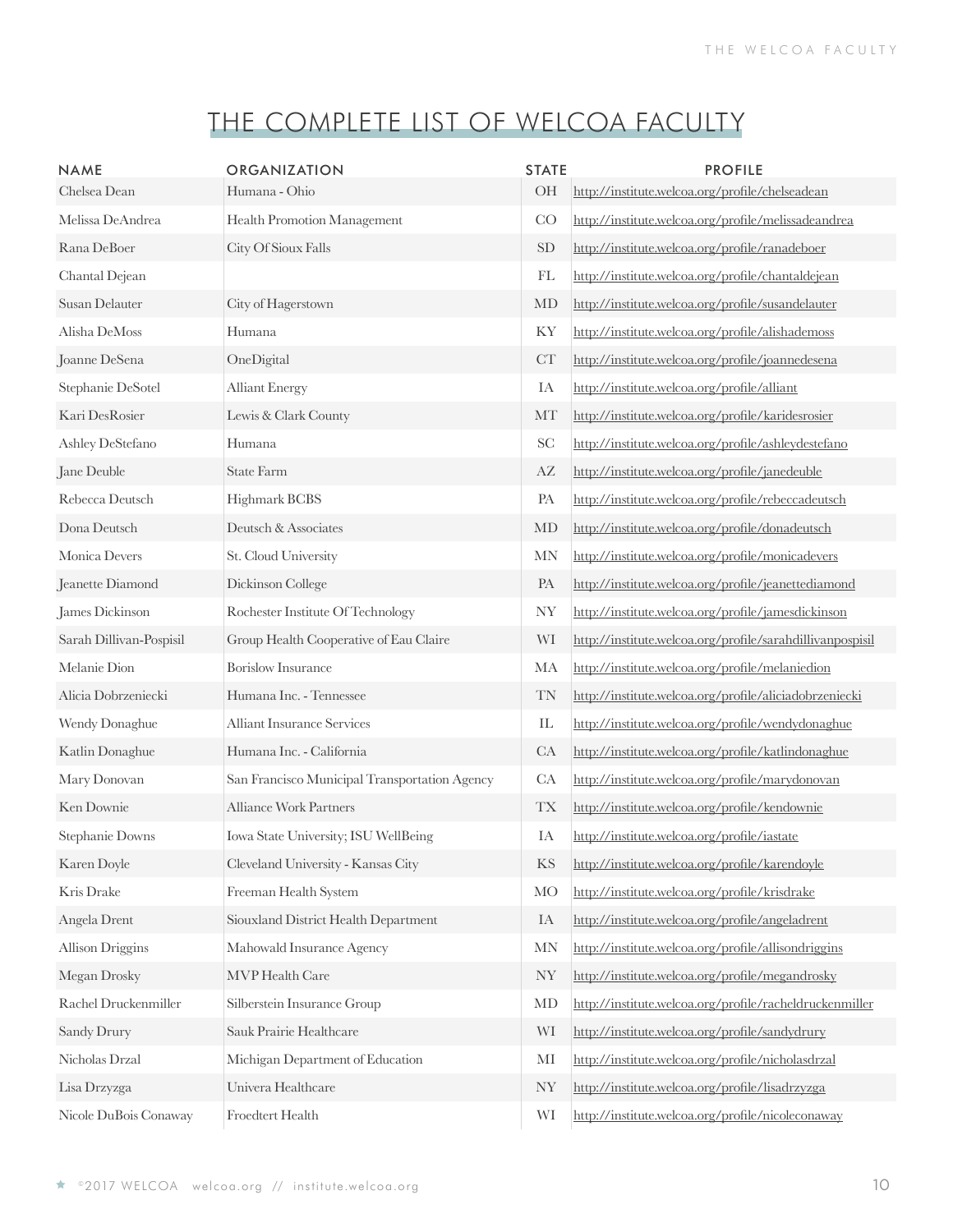| <b>NAME</b>             | <b>ORGANIZATION</b>                           | <b>STATE</b>                    | <b>PROFILE</b>                                            |
|-------------------------|-----------------------------------------------|---------------------------------|-----------------------------------------------------------|
| Chelsea Dean            | Humana - Ohio                                 | OH                              | http://institute.welcoa.org/profile/chelseadean           |
| Melissa DeAndrea        | Health Promotion Management                   | CO                              | http://institute.welcoa.org/profile/melissadeandrea       |
| Rana DeBoer             | City Of Sioux Falls                           | <b>SD</b>                       | http://institute.welcoa.org/profile/ranadeboer            |
| Chantal Dejean          |                                               | FL                              | http://institute.welcoa.org/profile/chantaldejean         |
| Susan Delauter          | City of Hagerstown                            | MD                              | http://institute.welcoa.org/profile/susandelauter         |
| Alisha DeMoss           | Humana                                        | KY                              | http://institute.welcoa.org/profile/alishademoss          |
| Joanne DeSena           | OneDigital                                    | CT                              | http://institute.welcoa.org/profile/joannedesena          |
| Stephanie DeSotel       | <b>Alliant Energy</b>                         | IA                              | http://institute.welcoa.org/profile/alliant               |
| Kari DesRosier          | Lewis & Clark County                          | MT                              | http://institute.welcoa.org/profile/karidesrosier         |
| Ashley DeStefano        | Humana                                        | <b>SC</b>                       | http://institute.welcoa.org/profile/ashleydestefano       |
| Jane Deuble             | <b>State Farm</b>                             | AZ                              | http://institute.welcoa.org/profile/janedeuble            |
| Rebecca Deutsch         | Highmark BCBS                                 | PA                              | http://institute.welcoa.org/profile/rebeccadeutsch        |
| Dona Deutsch            | Deutsch & Associates                          | MD                              | http://institute.welcoa.org/profile/donadeutsch           |
| Monica Devers           | St. Cloud University                          | <b>MN</b>                       | http://institute.welcoa.org/profile/monicadevers          |
| Jeanette Diamond        | Dickinson College                             | PA                              | http://institute.welcoa.org/profile/jeanettediamond       |
| James Dickinson         | Rochester Institute Of Technology             | <b>NY</b>                       | http://institute.welcoa.org/profile/jamesdickinson        |
| Sarah Dillivan-Pospisil | Group Health Cooperative of Eau Claire        | WI                              | http://institute.welcoa.org/profile/sarahdillivanpospisil |
| Melanie Dion            | <b>Borislow Insurance</b>                     | MA                              | http://institute.welcoa.org/profile/melaniedion           |
| Alicia Dobrzeniecki     | Humana Inc. - Tennessee                       | TN                              | http://institute.welcoa.org/profile/aliciadobrzeniecki    |
| Wendy Donaghue          | <b>Alliant Insurance Services</b>             | $\mathop{\mathrm{IL}}\nolimits$ | http://institute.welcoa.org/profile/wendydonaghue         |
| Katlin Donaghue         | Humana Inc. - California                      | CA                              | http://institute.welcoa.org/profile/katlindonaghue        |
| Mary Donovan            | San Francisco Municipal Transportation Agency | CA                              | http://institute.welcoa.org/profile/marydonovan           |
| Ken Downie              | <b>Alliance Work Partners</b>                 | $\mathcal{T}\mathcal{X}$        | http://institute.welcoa.org/profile/kendownie             |
| Stephanie Downs         | Iowa State University; ISU WellBeing          | IA                              | http://institute.welcoa.org/profile/iastate               |
| Karen Doyle             | Cleveland University - Kansas City            | KS                              | http://institute.welcoa.org/profile/karendoyle            |
| Kris Drake              | Freeman Health System                         | <b>MO</b>                       | http://institute.welcoa.org/profile/krisdrake             |
| Angela Drent            | Siouxland District Health Department          | IA                              | http://institute.welcoa.org/profile/angeladrent           |
| <b>Allison Driggins</b> | Mahowald Insurance Agency                     | <b>MN</b>                       | http://institute.welcoa.org/profile/allisondriggins       |
| Megan Drosky            | MVP Health Care                               | <b>NY</b>                       | http://institute.welcoa.org/profile/megandrosky           |
| Rachel Druckenmiller    | Silberstein Insurance Group                   | MD                              | http://institute.welcoa.org/profile/racheldruckenmiller   |
| Sandy Drury             | Sauk Prairie Healthcare                       | WI                              | http://institute.welcoa.org/profile/sandydrury            |
| Nicholas Drzal          | Michigan Department of Education              | MI                              | http://institute.welcoa.org/profile/nicholasdrzal         |
| Lisa Drzyzga            | Univera Healthcare                            | <b>NY</b>                       | http://institute.welcoa.org/profile/lisadrzyzga           |
| Nicole DuBois Conaway   | Froedtert Health                              | WI                              | http://institute.welcoa.org/profile/nicoleconaway         |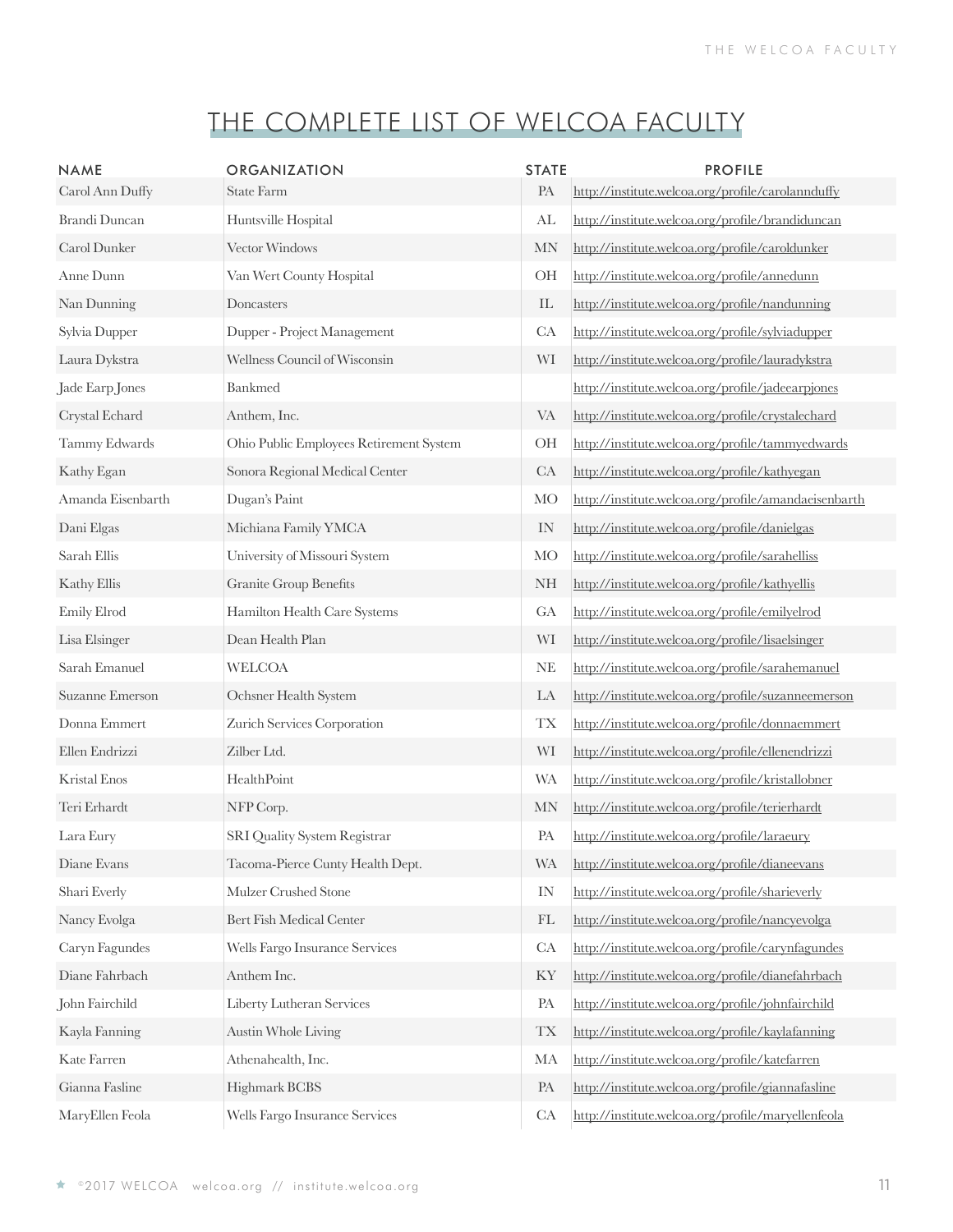| <b>NAME</b>          | <b>ORGANIZATION</b>                     | <b>STATE</b>               | <b>PROFILE</b>                                       |
|----------------------|-----------------------------------------|----------------------------|------------------------------------------------------|
| Carol Ann Duffy      | <b>State Farm</b>                       | PA                         | http://institute.welcoa.org/profile/carolannduffy    |
| <b>Brandi Duncan</b> | Huntsville Hospital                     | AL                         | http://institute.welcoa.org/profile/brandiduncan     |
| Carol Dunker         | Vector Windows                          | <b>MN</b>                  | http://institute.welcoa.org/profile/caroldunker      |
| Anne Dunn            | Van Wert County Hospital                | OH                         | http://institute.welcoa.org/profile/annedunn         |
| Nan Dunning          | Doncasters                              | $\mathop{\rm IL}\nolimits$ | http://institute.welcoa.org/profile/nandunning       |
| Sylvia Dupper        | Dupper - Project Management             | CA                         | http://institute.welcoa.org/profile/sylviadupper     |
| Laura Dykstra        | Wellness Council of Wisconsin           | WI                         | http://institute.welcoa.org/profile/lauradykstra     |
| Jade Earp Jones      | Bankmed                                 |                            | http://institute.welcoa.org/profile/jadeearpjones    |
| Crystal Echard       | Anthem, Inc.                            | <b>VA</b>                  | http://institute.welcoa.org/profile/crystalechard    |
| Tammy Edwards        | Ohio Public Employees Retirement System | OH                         | http://institute.welcoa.org/profile/tammyedwards     |
| Kathy Egan           | Sonora Regional Medical Center          | CA                         | http://institute.welcoa.org/profile/kathyegan        |
| Amanda Eisenbarth    | Dugan's Paint                           | <b>MO</b>                  | http://institute.welcoa.org/profile/amandaeisenbarth |
| Dani Elgas           | Michiana Family YMCA                    | $\text{IN}{}$              | http://institute.welcoa.org/profile/danielgas        |
| Sarah Ellis          | University of Missouri System           | <b>MO</b>                  | http://institute.welcoa.org/profile/sarahelliss      |
| Kathy Ellis          | <b>Granite Group Benefits</b>           | <b>NH</b>                  | http://institute.welcoa.org/profile/kathyellis       |
| Emily Elrod          | Hamilton Health Care Systems            | GA                         | http://institute.welcoa.org/profile/emilyelrod       |
| Lisa Elsinger        | Dean Health Plan                        | WI                         | http://institute.welcoa.org/profile/lisaelsinger     |
| Sarah Emanuel        | <b>WELCOA</b>                           | $\rm NE$                   | http://institute.welcoa.org/profile/sarahemanuel     |
| Suzanne Emerson      | Ochsner Health System                   | LA                         | http://institute.welcoa.org/profile/suzanneemerson   |
| Donna Emmert         | Zurich Services Corporation             | <b>TX</b>                  | http://institute.welcoa.org/profile/donnaemmert      |
| Ellen Endrizzi       | Zilber Ltd.                             | WI                         | http://institute.welcoa.org/profile/ellenendrizzi    |
| <b>Kristal Enos</b>  | HealthPoint                             | <b>WA</b>                  | http://institute.welcoa.org/profile/kristallobner    |
| Teri Erhardt         | NFP Corp.                               | <b>MN</b>                  | http://institute.welcoa.org/profile/terierhardt      |
| Lara Eury            | SRI Quality System Registrar            | PA                         | http://institute.welcoa.org/profile/laraeury         |
| Diane Evans          | Tacoma-Pierce Cunty Health Dept.        | <b>WA</b>                  | http://institute.welcoa.org/profile/dianeevans       |
| Shari Everly         | Mulzer Crushed Stone                    | IN                         | http://institute.welcoa.org/profile/sharieverly      |
| Nancy Evolga         | Bert Fish Medical Center                | FL                         | http://institute.welcoa.org/profile/nancyevolga      |
| Caryn Fagundes       | Wells Fargo Insurance Services          | CA                         | http://institute.welcoa.org/profile/carynfagundes    |
| Diane Fahrbach       | Anthem Inc.                             | KY                         | http://institute.welcoa.org/profile/dianefahrbach    |
| John Fairchild       | Liberty Lutheran Services               | PA                         | http://institute.welcoa.org/profile/johnfairchild    |
| Kayla Fanning        | <b>Austin Whole Living</b>              | <b>TX</b>                  | http://institute.welcoa.org/profile/kaylafanning     |
| Kate Farren          | Athenahealth, Inc.                      | MA                         | http://institute.welcoa.org/profile/katefarren       |
| Gianna Fasline       | Highmark BCBS                           | PA                         | http://institute.welcoa.org/profile/giannafasline    |
| MaryEllen Feola      | Wells Fargo Insurance Services          | CA                         | http://institute.welcoa.org/profile/maryellenfeola   |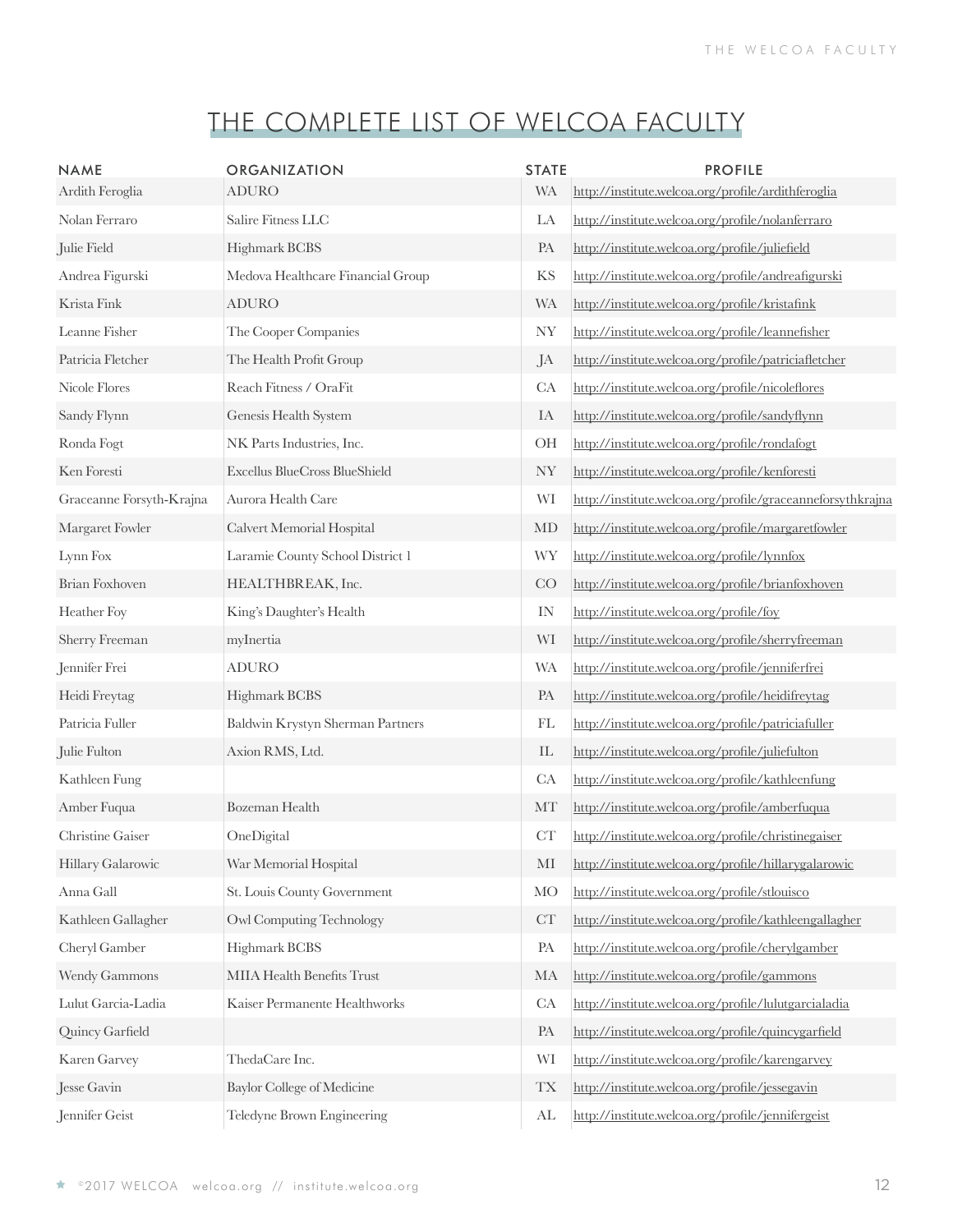| <b>NAME</b>              | <b>ORGANIZATION</b>                  | <b>STATE</b>               | <b>PROFILE</b>                                             |
|--------------------------|--------------------------------------|----------------------------|------------------------------------------------------------|
| Ardith Feroglia          | <b>ADURO</b>                         | <b>WA</b>                  | http://institute.welcoa.org/profile/ardithferoglia         |
| Nolan Ferraro            | Salire Fitness LLC                   | LA                         | http://institute.welcoa.org/profile/nolanferraro           |
| Julie Field              | Highmark BCBS                        | PA                         | http://institute.welcoa.org/profile/juliefield             |
| Andrea Figurski          | Medova Healthcare Financial Group    | KS                         | http://institute.welcoa.org/profile/andreafigurski         |
| Krista Fink              | <b>ADURO</b>                         | <b>WA</b>                  | http://institute.welcoa.org/profile/kristafink             |
| Leanne Fisher            | The Cooper Companies                 | NY                         | http://institute.welcoa.org/profile/leannefisher           |
| Patricia Fletcher        | The Health Profit Group              | JA                         | http://institute.welcoa.org/profile/patriciafletcher       |
| Nicole Flores            | Reach Fitness / OraFit               | CA                         | http://institute.welcoa.org/profile/nicoleflores           |
| Sandy Flynn              | Genesis Health System                | IA                         | http://institute.welcoa.org/profile/sandyflynn             |
| Ronda Fogt               | NK Parts Industries, Inc.            | OH                         | http://institute.welcoa.org/profile/rondafogt              |
| Ken Foresti              | <b>Excellus BlueCross BlueShield</b> | <b>NY</b>                  | http://institute.welcoa.org/profile/kenforesti             |
| Graceanne Forsyth-Krajna | Aurora Health Care                   | WI                         | http://institute.welcoa.org/profile/graceanneforsythkrajna |
| Margaret Fowler          | Calvert Memorial Hospital            | MD                         | http://institute.welcoa.org/profile/margaretfowler         |
| Lynn Fox                 | Laramie County School District 1     | <b>WY</b>                  | http://institute.welcoa.org/profile/lynnfox                |
| Brian Foxhoven           | HEALTHBREAK, Inc.                    | CO                         | http://institute.welcoa.org/profile/brianfoxhoven          |
| Heather Foy              | King's Daughter's Health             | IN                         | http://institute.welcoa.org/profile/foy                    |
| Sherry Freeman           | myInertia                            | WI                         | http://institute.welcoa.org/profile/sherryfreeman          |
| Jennifer Frei            | <b>ADURO</b>                         | <b>WA</b>                  | http://institute.welcoa.org/profile/jenniferfrei           |
| Heidi Freytag            | Highmark BCBS                        | PA                         | http://institute.welcoa.org/profile/heidifreytag           |
| Patricia Fuller          | Baldwin Krystyn Sherman Partners     | FL                         | http://institute.welcoa.org/profile/patriciafuller         |
| Julie Fulton             | Axion RMS, Ltd.                      | $\mathop{\rm IL}\nolimits$ | http://institute.welcoa.org/profile/juliefulton            |
| Kathleen Fung            |                                      | CA                         | http://institute.welcoa.org/profile/kathleenfung           |
| Amber Fuqua              | Bozeman Health                       | MT                         | http://institute.welcoa.org/profile/amberfuqua             |
| Christine Gaiser         | OneDigital                           | CT                         | http://institute.welcoa.org/profile/christinegaiser        |
| Hillary Galarowic        | War Memorial Hospital                | MI                         | http://institute.welcoa.org/profile/hillarygalarowic       |
| Anna Gall                | St. Louis County Government          | <b>MO</b>                  | http://institute.welcoa.org/profile/stlouisco              |
| Kathleen Gallagher       | <b>Owl Computing Technology</b>      | CT                         | http://institute.welcoa.org/profile/kathleengallagher      |
| Cheryl Gamber            | Highmark BCBS                        | PA                         | http://institute.welcoa.org/profile/cherylgamber           |
| Wendy Gammons            | MIIA Health Benefits Trust           | MA                         | http://institute.welcoa.org/profile/gammons                |
| Lulut Garcia-Ladia       | Kaiser Permanente Healthworks        | CA                         | http://institute.welcoa.org/profile/lulutgarcialadia       |
| Quincy Garfield          |                                      | PA                         | http://institute.welcoa.org/profile/quincygarfield         |
| Karen Garvey             | ThedaCare Inc.                       | WI                         | http://institute.welcoa.org/profile/karengarvey            |
| Jesse Gavin              | Baylor College of Medicine           | <b>TX</b>                  | http://institute.welcoa.org/profile/jessegavin             |
| Jennifer Geist           | Teledyne Brown Engineering           | AL                         | http://institute.welcoa.org/profile/jennifergeist          |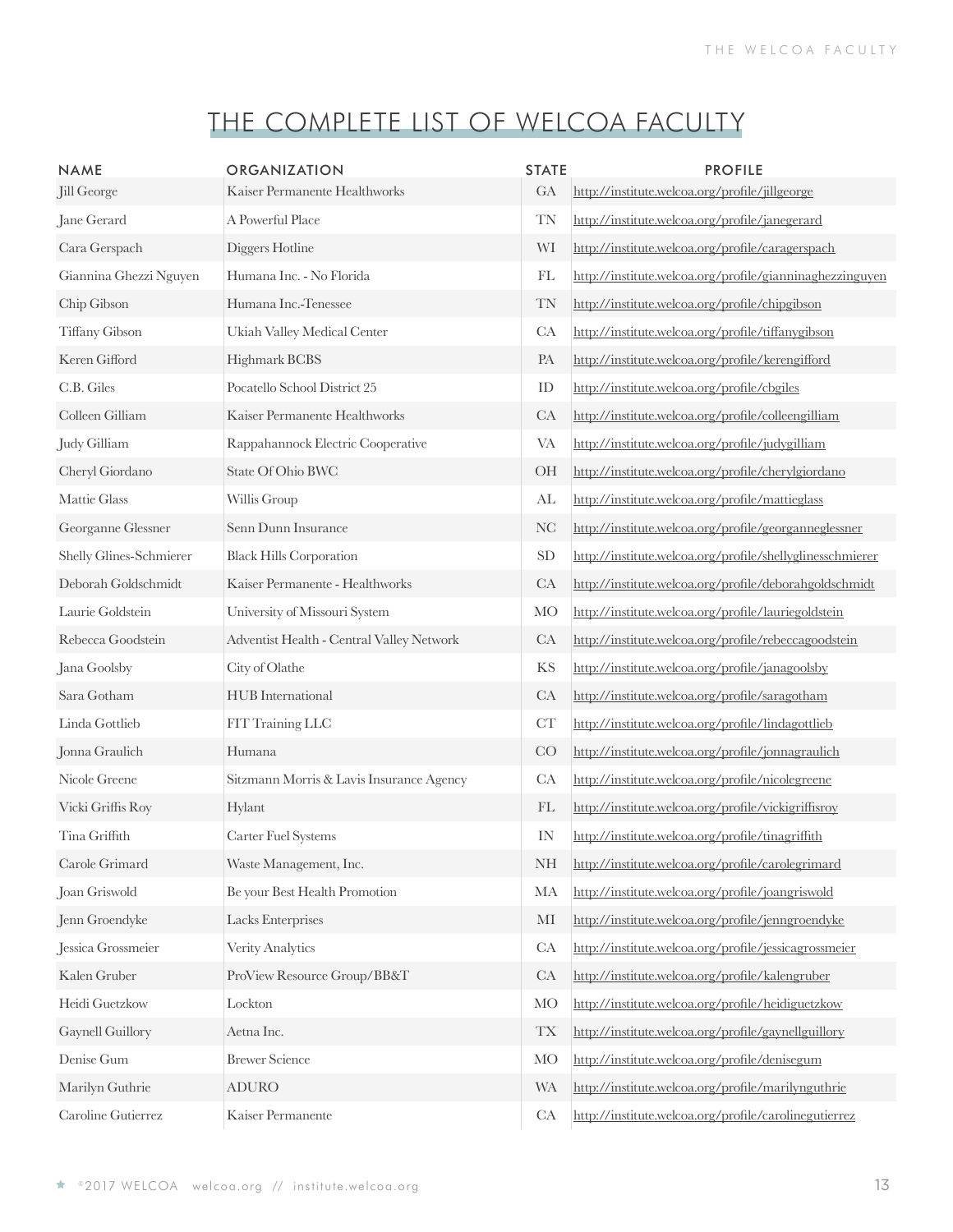| <b>NAME</b>             | ORGANIZATION                              | <b>STATE</b>             | <b>PROFILE</b>                                            |
|-------------------------|-------------------------------------------|--------------------------|-----------------------------------------------------------|
| Jill George             | Kaiser Permanente Healthworks             | GA                       | http://institute.welcoa.org/profile/jillgeorge            |
| Jane Gerard             | A Powerful Place                          | <b>TN</b>                | http://institute.welcoa.org/profile/janegerard            |
| Cara Gerspach           | Diggers Hotline                           | WI                       | http://institute.welcoa.org/profile/caragerspach          |
| Giannina Ghezzi Nguyen  | Humana Inc. - No Florida                  | FL                       | http://institute.welcoa.org/profile/gianninaghezzinguyen  |
| Chip Gibson             | Humana Inc.-Tenessee                      | <b>TN</b>                | http://institute.welcoa.org/profile/chipgibson            |
| Tiffany Gibson          | Ukiah Valley Medical Center               | CA                       | http://institute.welcoa.org/profile/tiffanygibson         |
| Keren Gifford           | Highmark BCBS                             | PA                       | http://institute.welcoa.org/profile/kerengifford          |
| C.B. Giles              | Pocatello School District 25              | ID                       | http://institute.welcoa.org/profile/cbgiles               |
| Colleen Gilliam         | Kaiser Permanente Healthworks             | CA                       | http://institute.welcoa.org/profile/colleengilliam        |
| Judy Gilliam            | Rappahannock Electric Cooperative         | <b>VA</b>                | http://institute.welcoa.org/profile/judygilliam           |
| Cheryl Giordano         | State Of Ohio BWC                         | OH                       | http://institute.welcoa.org/profile/cherylgiordano        |
| Mattie Glass            | Willis Group                              | AL                       | http://institute.welcoa.org/profile/mattieglass           |
| Georganne Glessner      | Senn Dunn Insurance                       | NC                       | http://institute.welcoa.org/profile/georganneglessner     |
| Shelly Glines-Schmierer | <b>Black Hills Corporation</b>            | <b>SD</b>                | http://institute.welcoa.org/profile/shellyglinesschmierer |
| Deborah Goldschmidt     | Kaiser Permanente - Healthworks           | CA                       | http://institute.welcoa.org/profile/deborahgoldschmidt    |
| Laurie Goldstein        | University of Missouri System             | <b>MO</b>                | http://institute.welcoa.org/profile/lauriegoldstein       |
| Rebecca Goodstein       | Adventist Health - Central Valley Network | CA                       | http://institute.welcoa.org/profile/rebeccagoodstein      |
| Jana Goolsby            | City of Olathe                            | KS                       | http://institute.welcoa.org/profile/janagoolsby           |
| Sara Gotham             | HUB International                         | CA                       | http://institute.welcoa.org/profile/saragotham            |
| Linda Gottlieb          | FIT Training LLC                          | CT                       | http://institute.welcoa.org/profile/lindagottlieb         |
| Jonna Graulich          | Humana                                    | CO                       | http://institute.welcoa.org/profile/jonnagraulich         |
| Nicole Greene           | Sitzmann Morris & Lavis Insurance Agency  | CA                       | http://institute.welcoa.org/profile/nicolegreene          |
| Vicki Griffis Roy       | Hylant                                    | FL                       | http://institute.welcoa.org/profile/vickigriffisroy       |
| Tina Griffith           | Carter Fuel Systems                       | IN                       | http://institute.welcoa.org/profile/tinagriffith          |
| Carole Grimard          | Waste Management, Inc.                    | <b>NH</b>                | http://institute.welcoa.org/profile/carolegrimard         |
| Joan Griswold           | Be your Best Health Promotion             | MA                       | http://institute.welcoa.org/profile/joangriswold          |
| Jenn Groendyke          | Lacks Enterprises                         | MI                       | http://institute.welcoa.org/profile/jenngroendyke         |
| Jessica Grossmeier      | Verity Analytics                          | CA                       | http://institute.welcoa.org/profile/jessicagrossmeier     |
| Kalen Gruber            | ProView Resource Group/BB&T               | CA                       | http://institute.welcoa.org/profile/kalengruber           |
| Heidi Guetzkow          | Lockton                                   | <b>MO</b>                | http://institute.welcoa.org/profile/heidiguetzkow         |
| Gaynell Guillory        | Aetna Inc.                                | $\mathcal{T}\mathcal{X}$ | http://institute.welcoa.org/profile/gaynellguillory       |
| Denise Gum              | <b>Brewer Science</b>                     | <b>MO</b>                | http://institute.welcoa.org/profile/denisegum             |
| Marilyn Guthrie         | <b>ADURO</b>                              | <b>WA</b>                | http://institute.welcoa.org/profile/marilynguthrie        |
| Caroline Gutierrez      | Kaiser Permanente                         | CA                       | http://institute.welcoa.org/profile/carolinegutierrez     |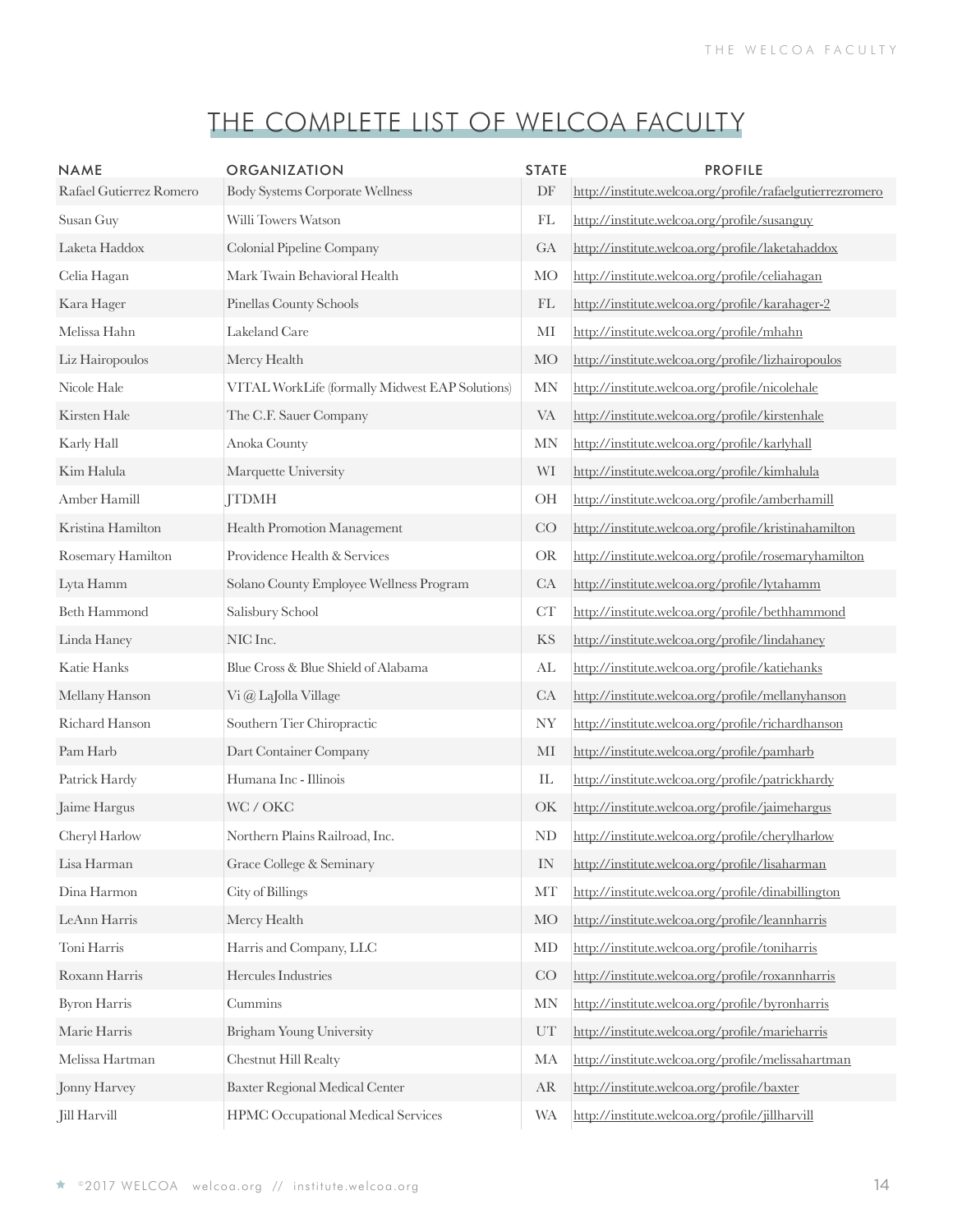| <b>NAME</b><br>Rafael Gutierrez Romero | <b>ORGANIZATION</b><br><b>Body Systems Corporate Wellness</b> | <b>STATE</b><br>DF       | <b>PROFILE</b><br>http://institute.welcoa.org/profile/rafaelgutierrezromero |
|----------------------------------------|---------------------------------------------------------------|--------------------------|-----------------------------------------------------------------------------|
| Susan Guy                              | Willi Towers Watson                                           | FL                       | http://institute.welcoa.org/profile/susanguy                                |
| Laketa Haddox                          | Colonial Pipeline Company                                     | GA                       | http://institute.welcoa.org/profile/laketahaddox                            |
| Celia Hagan                            | Mark Twain Behavioral Health                                  | <b>MO</b>                | http://institute.welcoa.org/profile/celiahagan                              |
| Kara Hager                             | Pinellas County Schools                                       | FL                       | http://institute.welcoa.org/profile/karahager-2                             |
| Melissa Hahn                           | Lakeland Care                                                 | MI                       | http://institute.welcoa.org/profile/mhahn                                   |
| Liz Hairopoulos                        | Mercy Health                                                  | <b>MO</b>                | http://institute.welcoa.org/profile/lizhairopoulos                          |
| Nicole Hale                            | VITAL WorkLife (formally Midwest EAP Solutions)               | $\ensuremath{\text{MN}}$ | http://institute.welcoa.org/profile/nicolehale                              |
| Kirsten Hale                           | The C.F. Sauer Company                                        | VA                       | http://institute.welcoa.org/profile/kirstenhale                             |
| Karly Hall                             | Anoka County                                                  | $\ensuremath{\text{MN}}$ | http://institute.welcoa.org/profile/karlyhall                               |
| Kim Halula                             | Marquette University                                          | WI                       | http://institute.welcoa.org/profile/kimhalula                               |
| Amber Hamill                           | <b>JTDMH</b>                                                  | OH                       | http://institute.welcoa.org/profile/amberhamill                             |
| Kristina Hamilton                      | Health Promotion Management                                   | CO                       | http://institute.welcoa.org/profile/kristinahamilton                        |
| Rosemary Hamilton                      | Providence Health & Services                                  | <b>OR</b>                | http://institute.welcoa.org/profile/rosemaryhamilton                        |
| Lyta Hamm                              | Solano County Employee Wellness Program                       | CA                       | http://institute.welcoa.org/profile/lytahamm                                |
| <b>Beth Hammond</b>                    | Salisbury School                                              | CT                       | http://institute.welcoa.org/profile/bethhammond                             |
| Linda Haney                            | NIC Inc.                                                      | KS                       | http://institute.welcoa.org/profile/lindahaney                              |
| Katie Hanks                            | Blue Cross & Blue Shield of Alabama                           | $\mathrm{AL}$            | http://institute.welcoa.org/profile/katiehanks                              |
| Mellany Hanson                         | Vi @ LaJolla Village                                          | CA                       | http://institute.welcoa.org/profile/mellanyhanson                           |
| Richard Hanson                         | Southern Tier Chiropractic                                    | <b>NY</b>                | http://institute.welcoa.org/profile/richardhanson                           |
| Pam Harb                               | Dart Container Company                                        | MI                       | http://institute.welcoa.org/profile/pamharb                                 |
| Patrick Hardy                          | Humana Inc - Illinois                                         | IL                       | http://institute.welcoa.org/profile/patrickhardy                            |
| Jaime Hargus                           | WC / OKC                                                      | OK                       | http://institute.welcoa.org/profile/jaimehargus                             |
| Cheryl Harlow                          | Northern Plains Railroad, Inc.                                | N <sub>D</sub>           | http://institute.welcoa.org/profile/cherylharlow                            |
| Lisa Harman                            | Grace College & Seminary                                      | $\rm{IN}$                | http://institute.welcoa.org/profile/lisaharman                              |
| Dina Harmon                            | City of Billings                                              | MT                       | http://institute.welcoa.org/profile/dinabillington                          |
| LeAnn Harris                           | Mercy Health                                                  | <b>MO</b>                | http://institute.welcoa.org/profile/leannharris                             |
| Toni Harris                            | Harris and Company, LLC                                       | MD                       | http://institute.welcoa.org/profile/toniharris                              |
| Roxann Harris                          | Hercules Industries                                           | CO                       | http://institute.welcoa.org/profile/roxannharris                            |
| <b>Byron Harris</b>                    | Cummins                                                       | $\ensuremath{\text{MN}}$ | http://institute.welcoa.org/profile/byronharris                             |
| Marie Harris                           | Brigham Young University                                      | UT                       | http://institute.welcoa.org/profile/marieharris                             |
| Melissa Hartman                        | Chestnut Hill Realty                                          | MA                       | http://institute.welcoa.org/profile/melissahartman                          |
| Jonny Harvey                           | Baxter Regional Medical Center                                | AR                       | http://institute.welcoa.org/profile/baxter                                  |
| Jill Harvill                           | HPMC Occupational Medical Services                            | <b>WA</b>                | http://institute.welcoa.org/profile/jillharvill                             |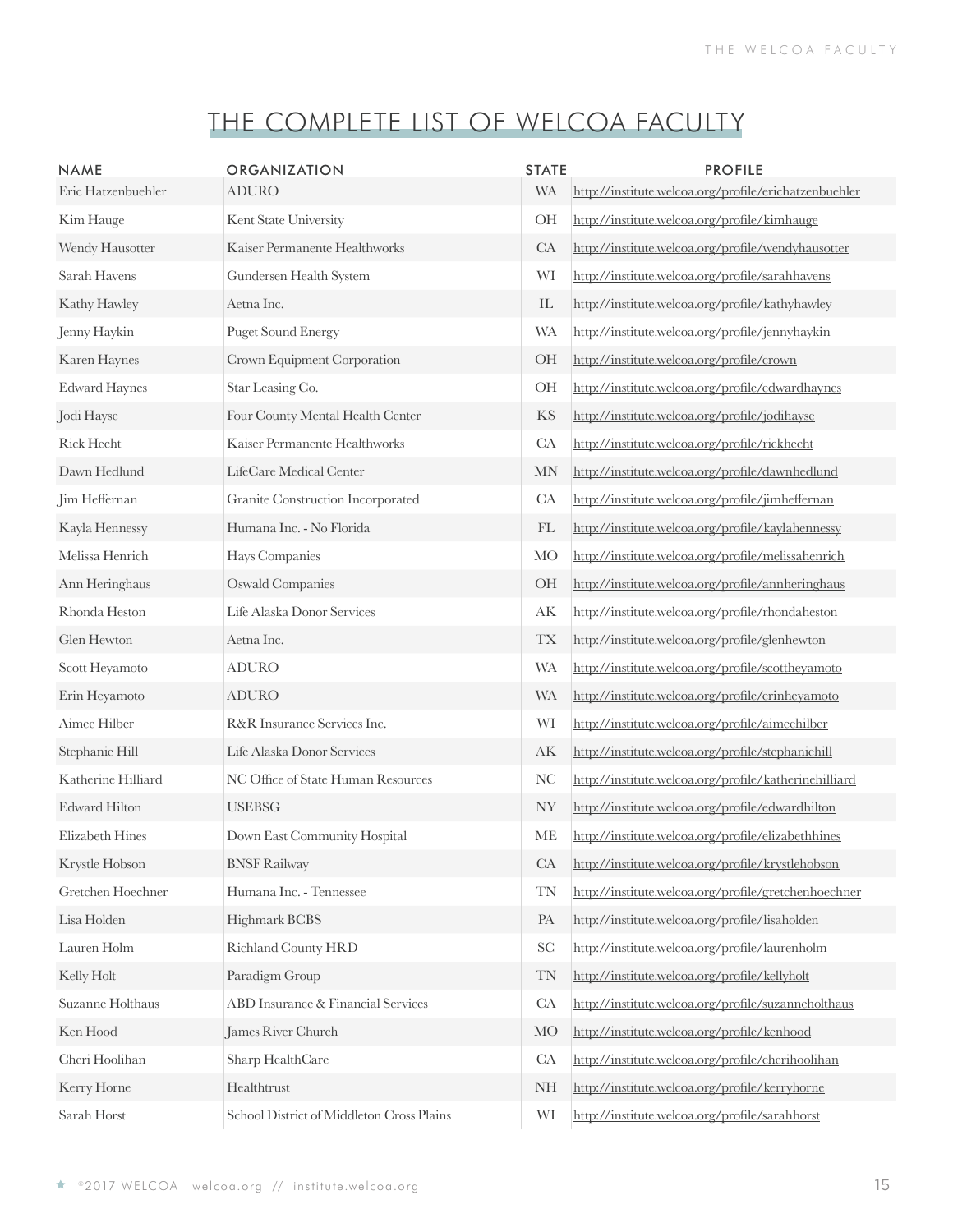| <b>NAME</b><br>Eric Hatzenbuehler | <b>ORGANIZATION</b><br><b>ADURO</b>       | <b>STATE</b><br><b>WA</b>  | <b>PROFILE</b><br>http://institute.welcoa.org/profile/erichatzenbuehler |
|-----------------------------------|-------------------------------------------|----------------------------|-------------------------------------------------------------------------|
| Kim Hauge                         | Kent State University                     | <b>OH</b>                  | http://institute.welcoa.org/profile/kimhauge                            |
| Wendy Hausotter                   | Kaiser Permanente Healthworks             | CA                         | http://institute.welcoa.org/profile/wendyhausotter                      |
| Sarah Havens                      | Gundersen Health System                   | WI                         | http://institute.welcoa.org/profile/sarahhavens                         |
| Kathy Hawley                      | Aetna Inc.                                | $\mathop{\rm IL}\nolimits$ | http://institute.welcoa.org/profile/kathyhawley                         |
| Jenny Haykin                      | <b>Puget Sound Energy</b>                 | <b>WA</b>                  | http://institute.welcoa.org/profile/jennyhaykin                         |
| Karen Haynes                      | Crown Equipment Corporation               | <b>OH</b>                  | http://institute.welcoa.org/profile/crown                               |
| <b>Edward Haynes</b>              | Star Leasing Co.                          | <b>OH</b>                  | http://institute.welcoa.org/profile/edwardhaynes                        |
| Jodi Hayse                        | Four County Mental Health Center          | KS                         | http://institute.welcoa.org/profile/jodihayse                           |
| <b>Rick Hecht</b>                 | Kaiser Permanente Healthworks             | CA                         | http://institute.welcoa.org/profile/rickhecht                           |
| Dawn Hedlund                      | LifeCare Medical Center                   | <b>MN</b>                  | http://institute.welcoa.org/profile/dawnhedlund                         |
| Jim Heffernan                     | Granite Construction Incorporated         | CA                         | http://institute.welcoa.org/profile/jimheffernan                        |
| Kayla Hennessy                    | Humana Inc. - No Florida                  | FL                         | http://institute.welcoa.org/profile/kaylahennessy                       |
| Melissa Henrich                   | Hays Companies                            | <b>MO</b>                  | http://institute.welcoa.org/profile/melissahenrich                      |
| Ann Heringhaus                    | <b>Oswald Companies</b>                   | <b>OH</b>                  | http://institute.welcoa.org/profile/annheringhaus                       |
| Rhonda Heston                     | Life Alaska Donor Services                | AK                         | http://institute.welcoa.org/profile/rhondaheston                        |
| Glen Hewton                       | Aetna Inc.                                | <b>TX</b>                  | http://institute.welcoa.org/profile/glenhewton                          |
| Scott Heyamoto                    | <b>ADURO</b>                              | <b>WA</b>                  | http://institute.welcoa.org/profile/scottheyamoto                       |
| Erin Heyamoto                     | <b>ADURO</b>                              | <b>WA</b>                  | http://institute.welcoa.org/profile/erinheyamoto                        |
| Aimee Hilber                      | R&R Insurance Services Inc.               | WI                         | http://institute.welcoa.org/profile/aimeehilber                         |
| Stephanie Hill                    | Life Alaska Donor Services                | АK                         | http://institute.welcoa.org/profile/stephaniehill                       |
| Katherine Hilliard                | NC Office of State Human Resources        | <b>NC</b>                  | http://institute.welcoa.org/profile/katherinehilliard                   |
| <b>Edward Hilton</b>              | <b>USEBSG</b>                             | <b>NY</b>                  | http://institute.welcoa.org/profile/edwardhilton                        |
| Elizabeth Hines                   | Down East Community Hospital              | <b>ME</b>                  | http://institute.welcoa.org/profile/elizabethhines                      |
| Krystle Hobson                    | <b>BNSF Railway</b>                       | CA                         | http://institute.welcoa.org/profile/krystlehobson                       |
| Gretchen Hoechner                 | Humana Inc. - Tennessee                   | <b>TN</b>                  | http://institute.welcoa.org/profile/gretchenhoechner                    |
| Lisa Holden                       | Highmark BCBS                             | PA                         | http://institute.welcoa.org/profile/lisaholden                          |
| Lauren Holm                       | <b>Richland County HRD</b>                | <b>SC</b>                  | http://institute.welcoa.org/profile/laurenholm                          |
| Kelly Holt                        | Paradigm Group                            | <b>TN</b>                  | http://institute.welcoa.org/profile/kellyholt                           |
| Suzanne Holthaus                  | <b>ABD</b> Insurance & Financial Services | CA                         | http://institute.welcoa.org/profile/suzanneholthaus                     |
| Ken Hood                          | James River Church                        | МO                         | http://institute.welcoa.org/profile/kenhood                             |
| Cheri Hoolihan                    | Sharp HealthCare                          | CA                         | http://institute.welcoa.org/profile/cherihoolihan                       |
| Kerry Horne                       | Healthtrust                               | <b>NH</b>                  | http://institute.welcoa.org/profile/kerryhorne                          |
| Sarah Horst                       | School District of Middleton Cross Plains | WI                         | http://institute.welcoa.org/profile/sarahhorst                          |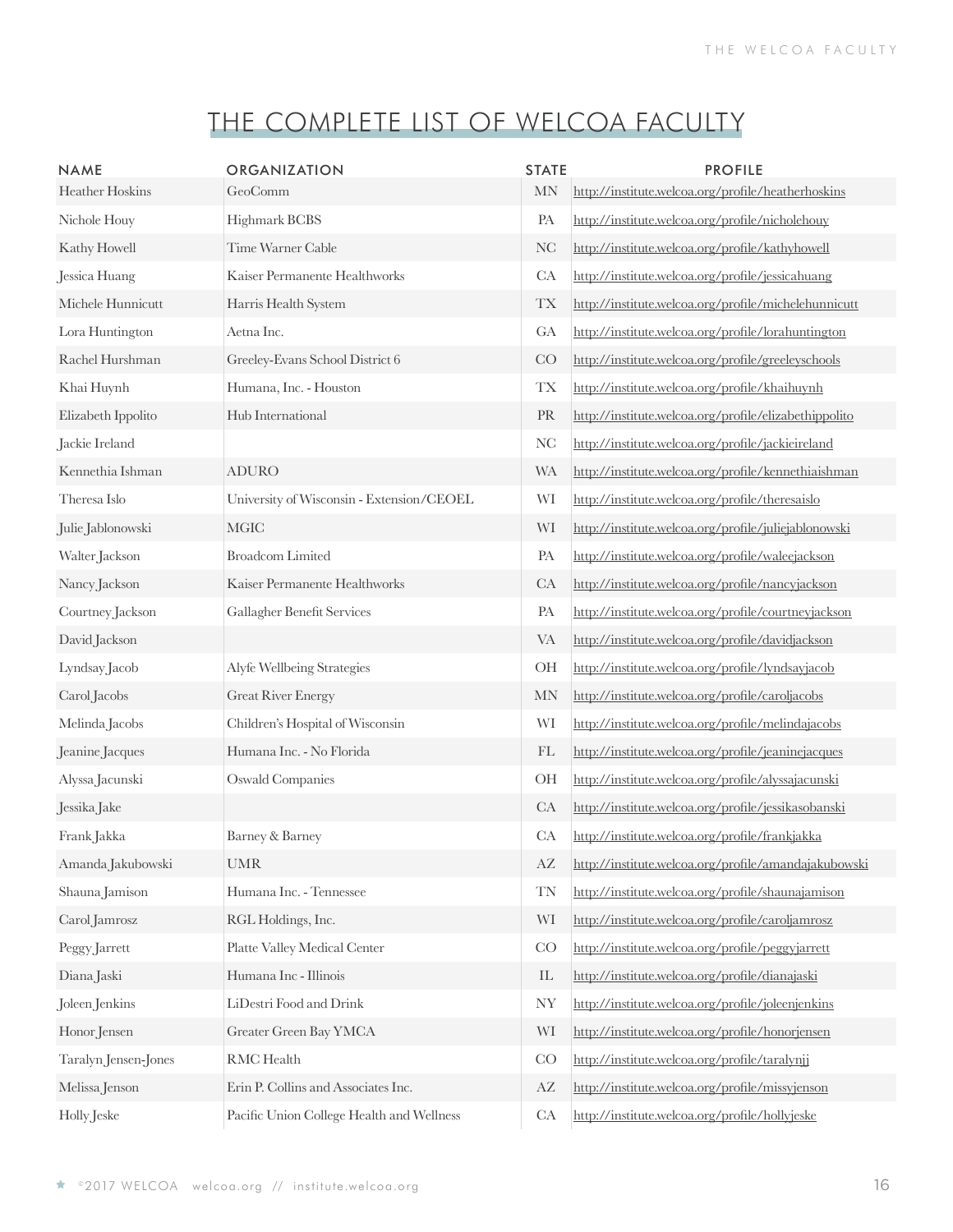| <b>NAME</b>          | <b>ORGANIZATION</b>                       | <b>STATE</b>           | <b>PROFILE</b>                                        |
|----------------------|-------------------------------------------|------------------------|-------------------------------------------------------|
| Heather Hoskins      | GeoComm                                   | <b>MN</b>              | http://institute.welcoa.org/profile/heatherhoskins    |
| Nichole Houy         | Highmark BCBS                             | PA                     | http://institute.welcoa.org/profile/nicholehouy       |
| Kathy Howell         | Time Warner Cable                         | <b>NC</b>              | http://institute.welcoa.org/profile/kathyhowell       |
| Jessica Huang        | Kaiser Permanente Healthworks             | CA                     | http://institute.welcoa.org/profile/jessicahuang      |
| Michele Hunnicutt    | Harris Health System                      | <b>TX</b>              | http://institute.welcoa.org/profile/michelehunnicutt  |
| Lora Huntington      | Aetna Inc.                                | GA                     | http://institute.welcoa.org/profile/lorahuntington    |
| Rachel Hurshman      | Greeley-Evans School District 6           | CO                     | http://institute.welcoa.org/profile/greeleyschools    |
| Khai Huynh           | Humana, Inc. - Houston                    | <b>TX</b>              | http://institute.welcoa.org/profile/khaihuynh         |
| Elizabeth Ippolito   | Hub International                         | PR                     | http://institute.welcoa.org/profile/elizabethippolito |
| Jackie Ireland       |                                           | NC                     | http://institute.welcoa.org/profile/jackieireland     |
| Kennethia Ishman     | <b>ADURO</b>                              | <b>WA</b>              | http://institute.welcoa.org/profile/kennethiaishman   |
| Theresa Islo         | University of Wisconsin - Extension/CEOEL | WI                     | http://institute.welcoa.org/profile/theresaislo       |
| Julie Jablonowski    | <b>MGIC</b>                               | WI                     | http://institute.welcoa.org/profile/juliejablonowski  |
| Walter Jackson       | <b>Broadcom Limited</b>                   | PA                     | http://institute.welcoa.org/profile/waleejackson      |
| Nancy Jackson        | Kaiser Permanente Healthworks             | CA                     | http://institute.welcoa.org/profile/nancyjackson      |
| Courtney Jackson     | Gallagher Benefit Services                | PA                     | http://institute.welcoa.org/profile/courtneyjackson   |
| David Jackson        |                                           | <b>VA</b>              | http://institute.welcoa.org/profile/davidjackson      |
| Lyndsay Jacob        | Alyfe Wellbeing Strategies                | OH                     | http://institute.welcoa.org/profile/lyndsayjacob      |
| Carol Jacobs         | <b>Great River Energy</b>                 | <b>MN</b>              | http://institute.welcoa.org/profile/caroljacobs       |
| Melinda Jacobs       | Children's Hospital of Wisconsin          | WI                     | http://institute.welcoa.org/profile/melindajacobs     |
| Jeanine Jacques      | Humana Inc. - No Florida                  | FL                     | http://institute.welcoa.org/profile/jeaninejacques    |
| Alyssa Jacunski      | <b>Oswald Companies</b>                   | OH                     | http://institute.welcoa.org/profile/alyssajacunski    |
| Jessika Jake         |                                           | CA                     | http://institute.welcoa.org/profile/jessikasobanski   |
| Frank Jakka          | Barney & Barney                           | CA                     | http://institute.welcoa.org/profile/frankjakka        |
| Amanda Jakubowski    | <b>UMR</b>                                | AZ                     | http://institute.welcoa.org/profile/amandajakubowski  |
| Shauna Jamison       | Humana Inc. - Tennessee                   | TN                     | http://institute.welcoa.org/profile/shaunajamison     |
| Carol Jamrosz        | RGL Holdings, Inc.                        | WI                     | http://institute.welcoa.org/profile/caroljamrosz      |
| Peggy Jarrett        | Platte Valley Medical Center              | CO                     | http://institute.welcoa.org/profile/peggyjarrett      |
| Diana Jaski          | Humana Inc - Illinois                     | IL                     | http://institute.welcoa.org/profile/dianajaski        |
| Joleen Jenkins       | LiDestri Food and Drink                   | <b>NY</b>              | http://institute.welcoa.org/profile/joleenjenkins     |
| Honor Jensen         | Greater Green Bay YMCA                    | WI                     | http://institute.welcoa.org/profile/honorjensen       |
| Taralyn Jensen-Jones | RMC Health                                | CO                     | http://institute.welcoa.org/profile/taralynji         |
| Melissa Jenson       | Erin P. Collins and Associates Inc.       | $\mathbf{A}\mathbf{Z}$ | http://institute.welcoa.org/profile/missyjenson       |
| Holly Jeske          | Pacific Union College Health and Wellness | CA                     | http://institute.welcoa.org/profile/hollyjeske        |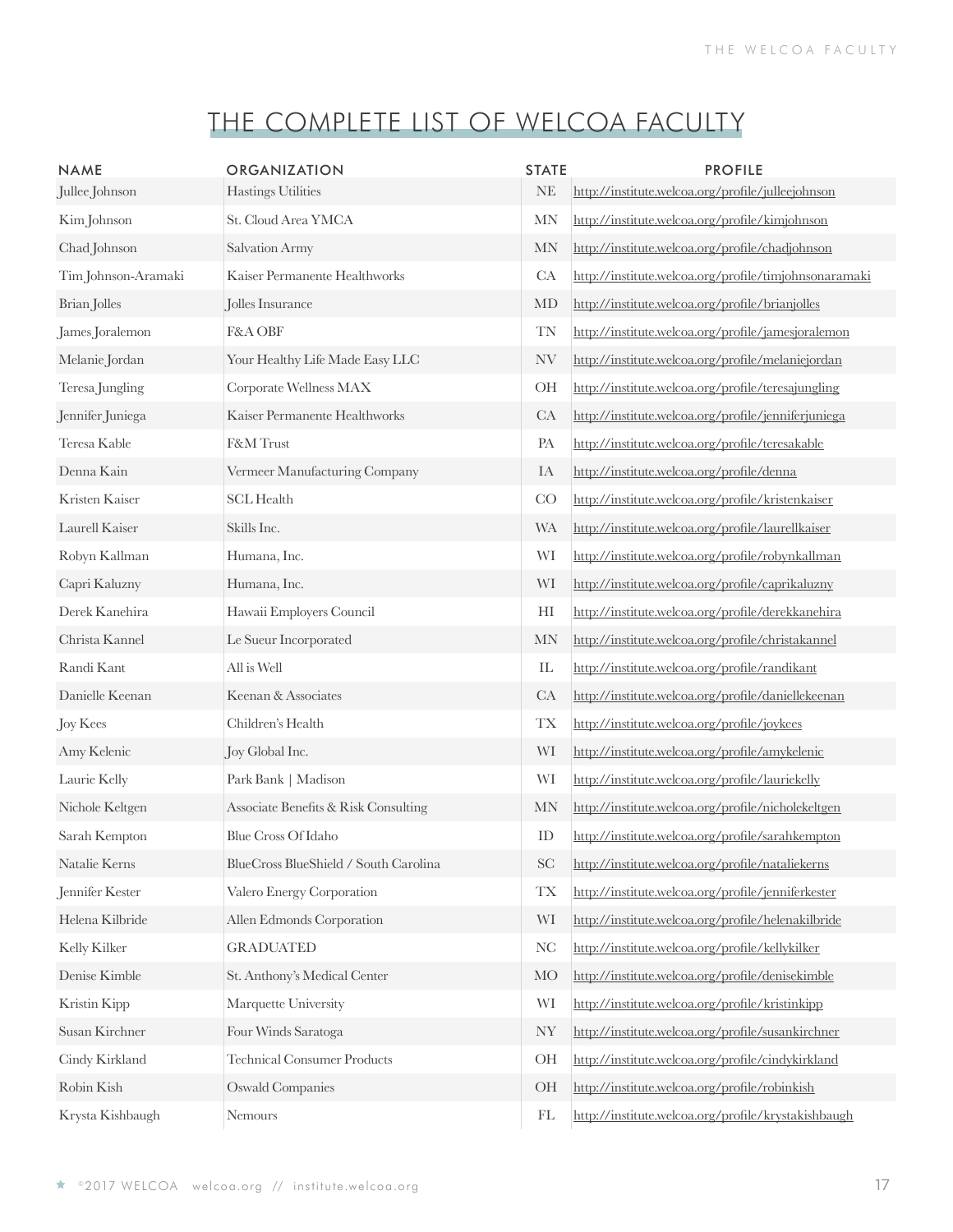| <b>NAME</b><br>Jullee Johnson | <b>ORGANIZATION</b><br><b>Hastings Utilities</b> | <b>STATE</b><br><b>NE</b>  | <b>PROFILE</b><br>http://institute.welcoa.org/profile/julleejohnson |
|-------------------------------|--------------------------------------------------|----------------------------|---------------------------------------------------------------------|
| Kim Johnson                   | St. Cloud Area YMCA                              | <b>MN</b>                  | http://institute.welcoa.org/profile/kimjohnson                      |
| Chad Johnson                  | Salvation Army                                   | MN                         | http://institute.welcoa.org/profile/chadjohnson                     |
| Tim Johnson-Aramaki           | Kaiser Permanente Healthworks                    | CA                         | http://institute.welcoa.org/profile/timjohnsonaramaki               |
| Brian Jolles                  | Jolles Insurance                                 | MD                         | http://institute.welcoa.org/profile/brianjolles                     |
| James Joralemon               | F&A OBF                                          | TN                         | http://institute.welcoa.org/profile/jamesjoralemon                  |
| Melanie Jordan                | Your Healthy Life Made Easy LLC                  | NV                         | http://institute.welcoa.org/profile/melaniejordan                   |
| Teresa Jungling               | Corporate Wellness MAX                           | OH                         | http://institute.welcoa.org/profile/teresajungling                  |
| Jennifer Juniega              | Kaiser Permanente Healthworks                    | CA                         | http://institute.welcoa.org/profile/jenniferjuniega                 |
| Teresa Kable                  | F&M Trust                                        | PA                         | http://institute.welcoa.org/profile/teresakable                     |
| Denna Kain                    | Vermeer Manufacturing Company                    | IA                         | http://institute.welcoa.org/profile/denna                           |
| Kristen Kaiser                | <b>SCL Health</b>                                | CO                         | http://institute.welcoa.org/profile/kristenkaiser                   |
| Laurell Kaiser                | Skills Inc.                                      | <b>WA</b>                  | http://institute.welcoa.org/profile/laurellkaiser                   |
| Robyn Kallman                 | Humana, Inc.                                     | WI                         | http://institute.welcoa.org/profile/robynkallman                    |
| Capri Kaluzny                 | Humana, Inc.                                     | WI                         | http://institute.welcoa.org/profile/caprikaluzny                    |
| Derek Kanehira                | Hawaii Employers Council                         | HI                         | http://institute.welcoa.org/profile/derekkanehira                   |
| Christa Kannel                | Le Sueur Incorporated                            | MN                         | http://institute.welcoa.org/profile/christakannel                   |
| Randi Kant                    | All is Well                                      | $\mathop{\rm IL}\nolimits$ | http://institute.welcoa.org/profile/randikant                       |
| Danielle Keenan               | Keenan & Associates                              | CA                         | http://institute.welcoa.org/profile/daniellekeenan                  |
| Joy Kees                      | Children's Health                                | <b>TX</b>                  | http://institute.welcoa.org/profile/joykees                         |
| Amy Kelenic                   | Joy Global Inc.                                  | WI                         | http://institute.welcoa.org/profile/amykelenic                      |
| Laurie Kelly                  | Park Bank   Madison                              | WI                         | http://institute.welcoa.org/profile/lauriekelly                     |
| Nichole Keltgen               | Associate Benefits & Risk Consulting             | MN                         | http://institute.welcoa.org/profile/nicholekeltgen                  |
| Sarah Kempton                 | <b>Blue Cross Of Idaho</b>                       | ID                         | http://institute.welcoa.org/profile/sarahkempton                    |
| Natalie Kerns                 | BlueCross BlueShield / South Carolina            | SC                         | http://institute.welcoa.org/profile/nataliekerns                    |
| Jennifer Kester               | Valero Energy Corporation                        | <b>TX</b>                  | http://institute.welcoa.org/profile/jenniferkester                  |
| Helena Kilbride               | Allen Edmonds Corporation                        | WI                         | http://institute.welcoa.org/profile/helenakilbride                  |
| Kelly Kilker                  | <b>GRADUATED</b>                                 | <b>NC</b>                  | http://institute.welcoa.org/profile/kellykilker                     |
| Denise Kimble                 | St. Anthony's Medical Center                     | MO                         | http://institute.welcoa.org/profile/denisekimble                    |
| Kristin Kipp                  | Marquette University                             | WI                         | http://institute.welcoa.org/profile/kristinkipp                     |
| Susan Kirchner                | Four Winds Saratoga                              | <b>NY</b>                  | http://institute.welcoa.org/profile/susankirchner                   |
| Cindy Kirkland                | <b>Technical Consumer Products</b>               | OH                         | http://institute.welcoa.org/profile/cindykirkland                   |
| Robin Kish                    | <b>Oswald Companies</b>                          | <b>OH</b>                  | http://institute.welcoa.org/profile/robinkish                       |
| Krysta Kishbaugh              | Nemours                                          | FL                         | http://institute.welcoa.org/profile/krystakishbaugh                 |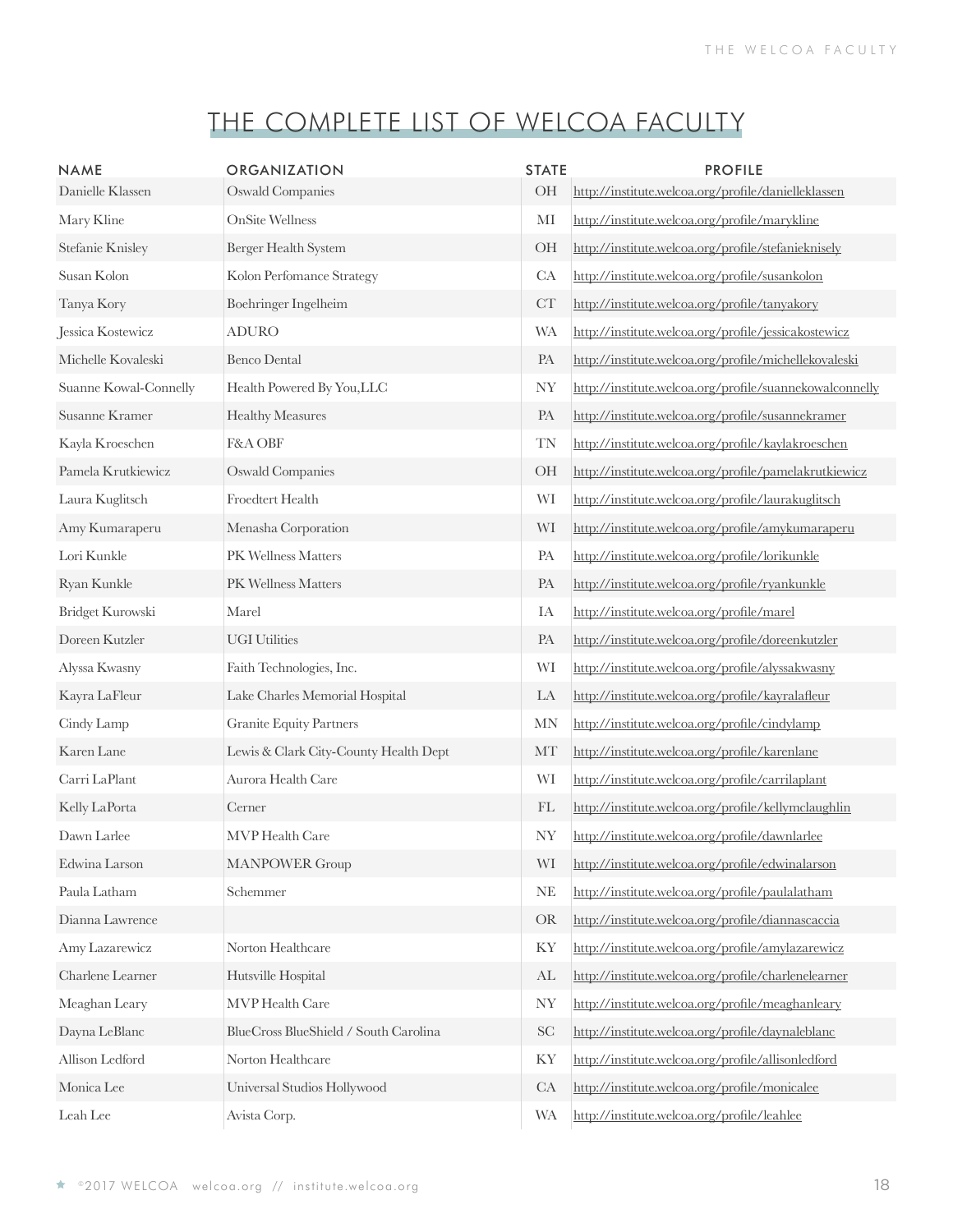| <b>NAME</b><br>Danielle Klassen | <b>ORGANIZATION</b><br><b>Oswald Companies</b> | <b>STATE</b><br>OH | <b>PROFILE</b><br>http://institute.welcoa.org/profile/danielleklassen |
|---------------------------------|------------------------------------------------|--------------------|-----------------------------------------------------------------------|
| Mary Kline                      | <b>OnSite Wellness</b>                         | MI                 | http://institute.welcoa.org/profile/marykline                         |
| Stefanie Knisley                | Berger Health System                           | OH                 | http://institute.welcoa.org/profile/stefanieknisely                   |
| Susan Kolon                     | Kolon Perfomance Strategy                      | CA                 | http://institute.welcoa.org/profile/susankolon                        |
| Tanya Kory                      | Boehringer Ingelheim                           | CT                 | http://institute.welcoa.org/profile/tanyakory                         |
| Jessica Kostewicz               | <b>ADURO</b>                                   | <b>WA</b>          | http://institute.welcoa.org/profile/jessicakostewicz                  |
| Michelle Kovaleski              | <b>Benco Dental</b>                            | PA                 | http://institute.welcoa.org/profile/michellekovaleski                 |
| Suanne Kowal-Connelly           | Health Powered By You, LLC                     | <b>NY</b>          | http://institute.welcoa.org/profile/suannekowalconnelly               |
| Susanne Kramer                  | <b>Healthy Measures</b>                        | PA                 | http://institute.welcoa.org/profile/susannekramer                     |
| Kayla Kroeschen                 | F&A OBF                                        | <b>TN</b>          | http://institute.welcoa.org/profile/kaylakroeschen                    |
| Pamela Krutkiewicz              | <b>Oswald Companies</b>                        | <b>OH</b>          | http://institute.welcoa.org/profile/pamelakrutkiewicz                 |
| Laura Kuglitsch                 | Froedtert Health                               | WI                 | http://institute.welcoa.org/profile/laurakuglitsch                    |
| Amy Kumaraperu                  | Menasha Corporation                            | WI                 | http://institute.welcoa.org/profile/amykumaraperu                     |
| Lori Kunkle                     | PK Wellness Matters                            | PA                 | http://institute.welcoa.org/profile/lorikunkle                        |
| Ryan Kunkle                     | PK Wellness Matters                            | PA                 | http://institute.welcoa.org/profile/ryankunkle                        |
| Bridget Kurowski                | Marel                                          | IA                 | http://institute.welcoa.org/profile/marel                             |
| Doreen Kutzler                  | <b>UGI Utilities</b>                           | PA                 | http://institute.welcoa.org/profile/doreenkutzler                     |
| Alyssa Kwasny                   | Faith Technologies, Inc.                       | WI                 | http://institute.welcoa.org/profile/alyssakwasny                      |
| Kayra LaFleur                   | Lake Charles Memorial Hospital                 | LA                 | http://institute.welcoa.org/profile/kayralafleur                      |
| Cindy Lamp                      | <b>Granite Equity Partners</b>                 | <b>MN</b>          | http://institute.welcoa.org/profile/cindylamp                         |
| Karen Lane                      | Lewis & Clark City-County Health Dept          | MT                 | http://institute.welcoa.org/profile/karenlane                         |
| Carri LaPlant                   | Aurora Health Care                             | WI                 | http://institute.welcoa.org/profile/carrilaplant                      |
| Kelly LaPorta                   | Cerner                                         | FL                 | http://institute.welcoa.org/profile/kellymclaughlin                   |
| Dawn Larlee                     | <b>MVP</b> Health Care                         | <b>NY</b>          | http://institute.welcoa.org/profile/dawnlarlee                        |
| Edwina Larson                   | <b>MANPOWER Group</b>                          | WI                 | http://institute.welcoa.org/profile/edwinalarson                      |
| Paula Latham                    | Schemmer                                       | $\rm NE$           | http://institute.welcoa.org/profile/paulalatham                       |
| Dianna Lawrence                 |                                                | <b>OR</b>          | http://institute.welcoa.org/profile/diannascaccia                     |
| Amy Lazarewicz                  | Norton Healthcare                              | KY                 | http://institute.welcoa.org/profile/amylazarewicz                     |
| Charlene Learner                | Hutsville Hospital                             | AL                 | http://institute.welcoa.org/profile/charlenelearner                   |
| Meaghan Leary                   | MVP Health Care                                | <b>NY</b>          | http://institute.welcoa.org/profile/meaghanleary                      |
| Dayna LeBlanc                   | BlueCross BlueShield / South Carolina          | SC                 | http://institute.welcoa.org/profile/daynaleblanc                      |
| Allison Ledford                 | Norton Healthcare                              | KY                 | http://institute.welcoa.org/profile/allisonledford                    |
| Monica Lee                      | Universal Studios Hollywood                    | CA                 | http://institute.welcoa.org/profile/monicalee                         |
| Leah Lee                        | Avista Corp.                                   | <b>WA</b>          | http://institute.welcoa.org/profile/leahlee                           |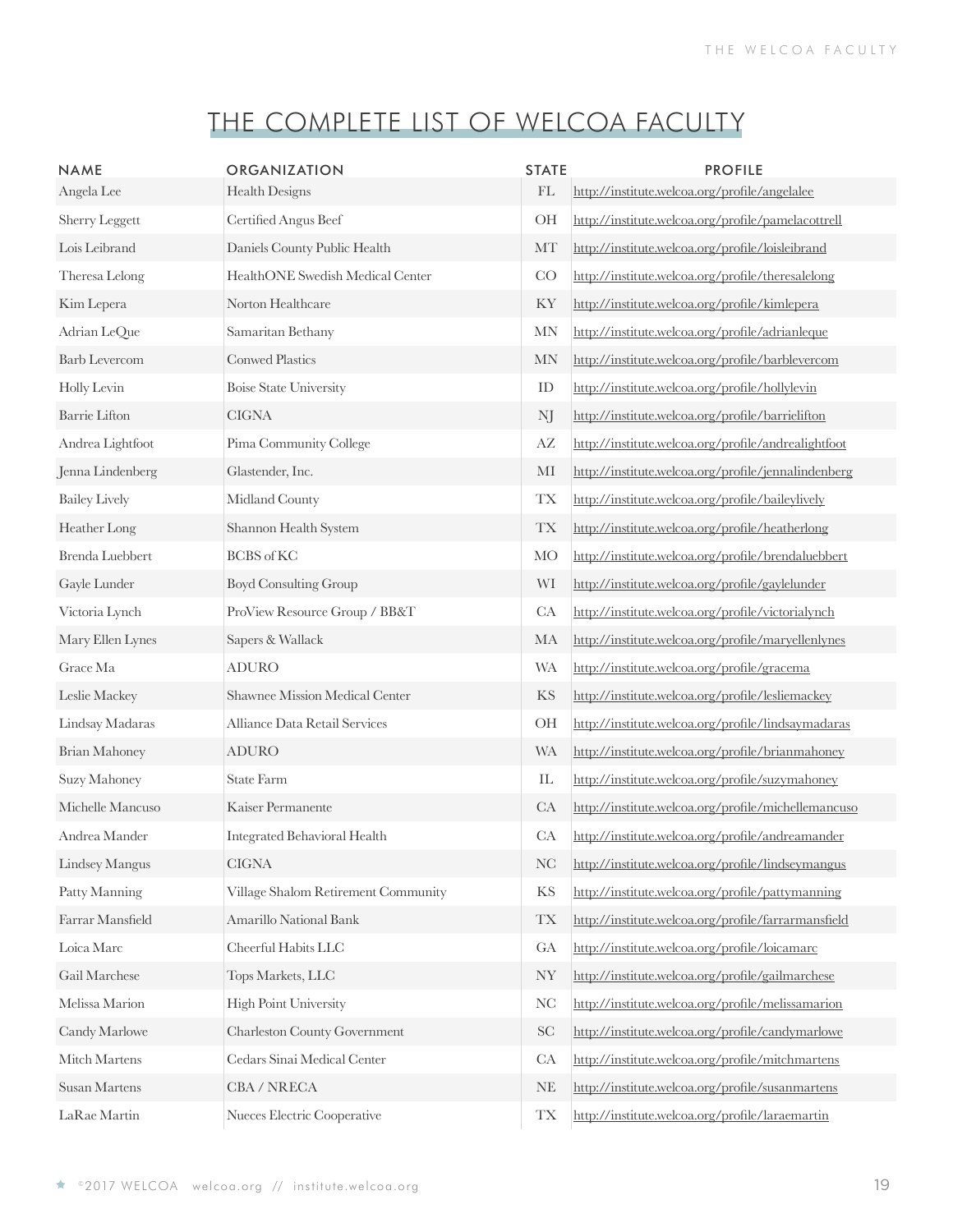| <b>NAME</b>           | <b>ORGANIZATION</b>                 | <b>STATE</b>               | <b>PROFILE</b>                                      |
|-----------------------|-------------------------------------|----------------------------|-----------------------------------------------------|
| Angela Lee            | Health Designs                      | $\mathop{\rm FL}\nolimits$ | http://institute.welcoa.org/profile/angelalee       |
| <b>Sherry Leggett</b> | Certified Angus Beef                | OH                         | http://institute.welcoa.org/profile/pamelacottrell  |
| Lois Leibrand         | Daniels County Public Health        | MT                         | http://institute.welcoa.org/profile/loisleibrand    |
| Theresa Lelong        | HealthONE Swedish Medical Center    | CO                         | http://institute.welcoa.org/profile/theresalelong   |
| Kim Lepera            | Norton Healthcare                   | KY                         | http://institute.welcoa.org/profile/kimlepera       |
| Adrian LeQue          | Samaritan Bethany                   | <b>MN</b>                  | http://institute.welcoa.org/profile/adrianleque     |
| <b>Barb Levercom</b>  | <b>Conwed Plastics</b>              | <b>MN</b>                  | http://institute.welcoa.org/profile/barblevercom    |
| Holly Levin           | <b>Boise State University</b>       | ID                         | http://institute.welcoa.org/profile/hollylevin      |
| <b>Barrie Lifton</b>  | <b>CIGNA</b>                        | NJ                         | http://institute.welcoa.org/profile/barrielifton    |
| Andrea Lightfoot      | Pima Community College              | AZ                         | http://institute.welcoa.org/profile/andrealightfoot |
| Jenna Lindenberg      | Glastender, Inc.                    | MI                         | http://institute.welcoa.org/profile/jennalindenberg |
| <b>Bailey Lively</b>  | Midland County                      | <b>TX</b>                  | http://institute.welcoa.org/profile/baileylively    |
| Heather Long          | Shannon Health System               | <b>TX</b>                  | http://institute.welcoa.org/profile/heatherlong     |
| Brenda Luebbert       | <b>BCBS</b> of KC                   | <b>MO</b>                  | http://institute.welcoa.org/profile/brendaluebbert  |
| Gayle Lunder          | <b>Boyd Consulting Group</b>        | WI                         | http://institute.welcoa.org/profile/gaylelunder     |
| Victoria Lynch        | ProView Resource Group / BB&T       | CA                         | http://institute.welcoa.org/profile/victorialynch   |
| Mary Ellen Lynes      | Sapers & Wallack                    | MA                         | http://institute.welcoa.org/profile/maryellenlynes  |
| Grace Ma              | <b>ADURO</b>                        | <b>WA</b>                  | http://institute.welcoa.org/profile/gracema         |
| Leslie Mackey         | Shawnee Mission Medical Center      | KS                         | http://institute.welcoa.org/profile/lesliemackey    |
| Lindsay Madaras       | Alliance Data Retail Services       | OH                         | http://institute.welcoa.org/profile/lindsaymadaras  |
| <b>Brian Mahoney</b>  | <b>ADURO</b>                        | <b>WA</b>                  | http://institute.welcoa.org/profile/brianmahoney    |
| Suzy Mahoney          | State Farm                          | ${\rm IL}$                 | http://institute.welcoa.org/profile/suzymahoney     |
| Michelle Mancuso      | Kaiser Permanente                   | CA                         | http://institute.welcoa.org/profile/michellemancuso |
| Andrea Mander         | Integrated Behavioral Health        | CA                         | http://institute.welcoa.org/profile/andreamander    |
| Lindsey Mangus        | CIGNA                               | <b>NC</b>                  | http://institute.welcoa.org/profile/lindseymangus   |
| Patty Manning         | Village Shalom Retirement Community | <b>KS</b>                  | http://institute.welcoa.org/profile/pattymanning    |
| Farrar Mansfield      | Amarillo National Bank              | <b>TX</b>                  | http://institute.welcoa.org/profile/farrarmansfield |
| Loica Marc            | Cheerful Habits LLC                 | GA                         | http://institute.welcoa.org/profile/loicamarc       |
| Gail Marchese         | Tops Markets, LLC                   | <b>NY</b>                  | http://institute.welcoa.org/profile/gailmarchese    |
| Melissa Marion        | <b>High Point University</b>        | NC                         | http://institute.welcoa.org/profile/melissamarion   |
| Candy Marlowe         | <b>Charleston County Government</b> | $\operatorname{SC}$        | http://institute.welcoa.org/profile/candymarlowe    |
| Mitch Martens         | Cedars Sinai Medical Center         | CA                         | http://institute.welcoa.org/profile/mitchmartens    |
| Susan Martens         | CBA / NRECA                         | <b>NE</b>                  | http://institute.welcoa.org/profile/susanmartens    |
| LaRae Martin          | Nueces Electric Cooperative         | <b>TX</b>                  | http://institute.welcoa.org/profile/laraemartin     |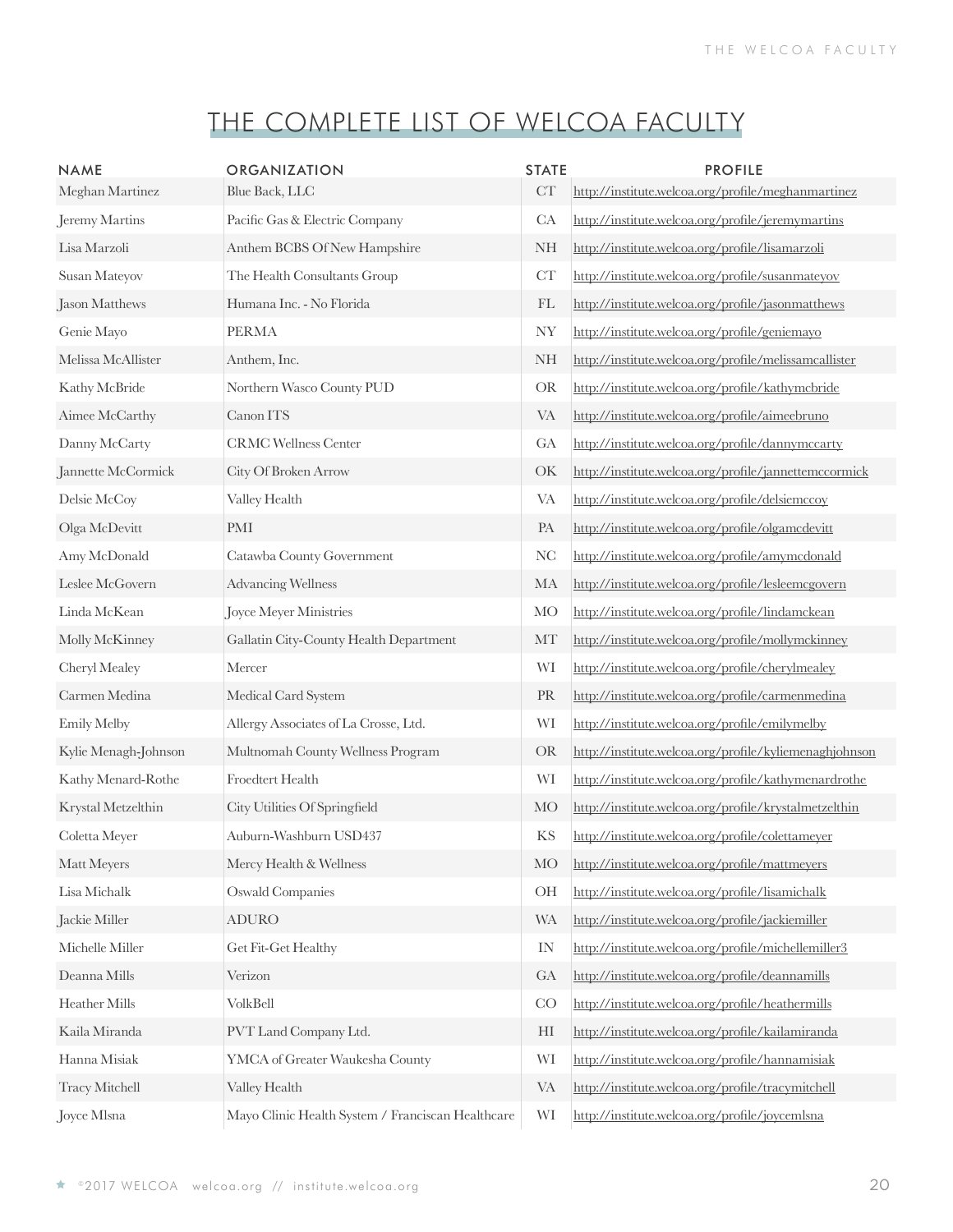| <b>NAME</b>                                | <b>ORGANIZATION</b>                               | <b>STATE</b> | <b>PROFILE</b>                                         |
|--------------------------------------------|---------------------------------------------------|--------------|--------------------------------------------------------|
| Meghan Martinez                            | Blue Back, LLC                                    | CT           | http://institute.welcoa.org/profile/meghanmartinez     |
| Jeremy Martins                             | Pacific Gas & Electric Company                    | CA           | http://institute.welcoa.org/profile/jeremymartins      |
| Lisa Marzoli                               | Anthem BCBS Of New Hampshire                      | <b>NH</b>    | http://institute.welcoa.org/profile/lisamarzoli        |
| Susan Mateyov                              | The Health Consultants Group                      | CT           | http://institute.welcoa.org/profile/susanmateyov       |
| Jason Matthews                             | Humana Inc. - No Florida                          | FL           | http://institute.welcoa.org/profile/jasonmatthews      |
| Genie Mayo                                 | <b>PERMA</b>                                      | <b>NY</b>    | http://institute.welcoa.org/profile/geniemayo          |
| Melissa McAllister                         | Anthem, Inc.                                      | <b>NH</b>    | http://institute.welcoa.org/profile/melissamcallister  |
| Kathy McBride                              | Northern Wasco County PUD                         | <b>OR</b>    | http://institute.welcoa.org/profile/kathymcbride       |
| Aimee McCarthy                             | Canon ITS                                         | <b>VA</b>    | http://institute.welcoa.org/profile/aimeebruno         |
| Danny McCarty                              | <b>CRMC Wellness Center</b>                       | GA           | http://institute.welcoa.org/profile/dannymccarty       |
| Jannette McCormick                         | City Of Broken Arrow                              | OK           | http://institute.welcoa.org/profile/jannettemccormick  |
| Delsie McCoy                               | Valley Health                                     | <b>VA</b>    | http://institute.welcoa.org/profile/delsiemccoy        |
| Olga McDevitt                              | PMI                                               | PA           | http://institute.welcoa.org/profile/olgamcdevitt       |
| Amy McDonald                               | Catawba County Government                         | <b>NC</b>    | http://institute.welcoa.org/profile/amymcdonald        |
| Leslee McGovern                            | <b>Advancing Wellness</b>                         | MA           | http://institute.welcoa.org/profile/lesleemcgovern     |
| Linda McKean                               | Joyce Meyer Ministries                            | <b>MO</b>    | http://institute.welcoa.org/profile/lindamckean        |
| Molly McKinney                             | Gallatin City-County Health Department            | MT           | http://institute.welcoa.org/profile/mollymckinney      |
| Cheryl Mealey                              | Mercer                                            | WI           | http://institute.welcoa.org/profile/cherylmealey       |
| Carmen Medina                              | Medical Card System                               | PR           | http://institute.welcoa.org/profile/carmenmedina       |
| Emily Melby                                | Allergy Associates of La Crosse, Ltd.             | WI           | http://institute.welcoa.org/profile/emilymelby         |
| Kylie Menagh-Johnson                       | Multnomah County Wellness Program                 | <b>OR</b>    | http://institute.welcoa.org/profile/kyliemenaghjohnson |
| Kathy Menard-Rothe                         | Froedtert Health                                  | WI           | http://institute.welcoa.org/profile/kathymenardrothe   |
| Krystal Metzelthin                         | City Utilities Of Springfield                     | <b>MO</b>    | http://institute.welcoa.org/profile/krystalmetzelthin  |
| Coletta Meyer                              | Auburn-Washburn USD437                            | KS           | http://institute.welcoa.org/profile/colettameyer       |
| Matt Meyers                                | Mercy Health & Wellness                           | MO           | http://institute.welcoa.org/profile/mattmeyers         |
| Lisa Michalk                               | <b>Oswald Companies</b>                           | OH           | http://institute.welcoa.org/profile/lisamichalk        |
| Jackie Miller                              | <b>ADURO</b>                                      | <b>WA</b>    | http://institute.welcoa.org/profile/jackiemiller       |
| $\label{thm:thm:1} \text{Michelle Miller}$ | Get Fit-Get Healthy                               | IN           | http://institute.welcoa.org/profile/michellemiller3    |
| Deanna Mills                               | Verizon                                           | GA           | http://institute.welcoa.org/profile/deannamills        |
| Heather Mills                              | VolkBell                                          | CO           | http://institute.welcoa.org/profile/heathermills       |
| Kaila Miranda                              | PVT Land Company Ltd.                             | HI           | http://institute.welcoa.org/profile/kailamiranda       |
| Hanna Misiak                               | YMCA of Greater Waukesha County                   | WI           | http://institute.welcoa.org/profile/hannamisiak        |
| Tracy Mitchell                             | Valley Health                                     | VA           | http://institute.welcoa.org/profile/tracymitchell      |
| Joyce Mlsna                                | Mayo Clinic Health System / Franciscan Healthcare | WI           | http://institute.welcoa.org/profile/joycemlsna         |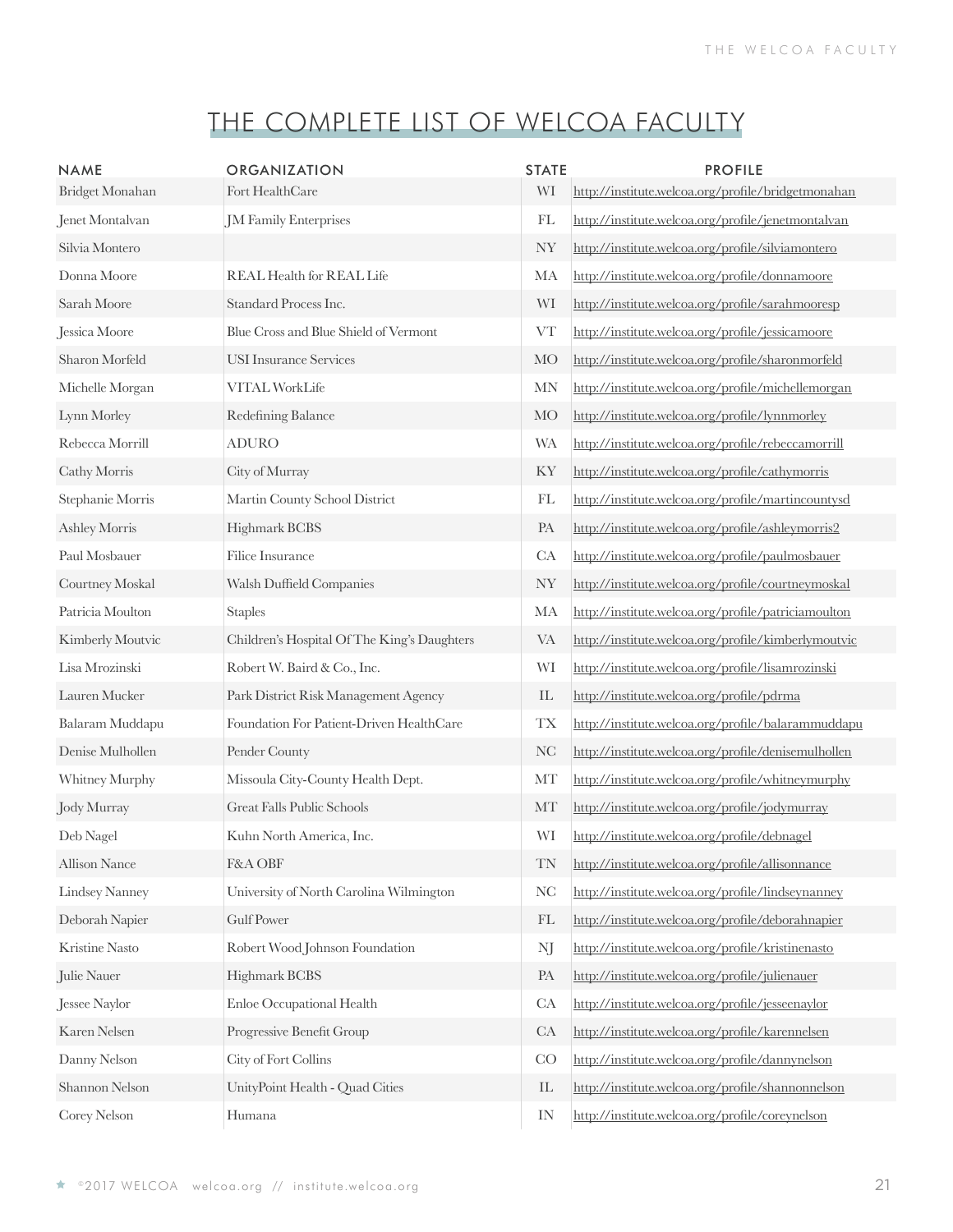| <b>NAME</b>          | <b>ORGANIZATION</b>                         | <b>STATE</b>               | <b>PROFILE</b>                                      |
|----------------------|---------------------------------------------|----------------------------|-----------------------------------------------------|
| Bridget Monahan      | Fort HealthCare                             | WI                         | http://institute.welcoa.org/profile/bridgetmonahan  |
| Jenet Montalvan      | JM Family Enterprises                       | FL                         | http://institute.welcoa.org/profile/jenetmontalvan  |
| Silvia Montero       |                                             | <b>NY</b>                  | http://institute.welcoa.org/profile/silviamontero   |
| Donna Moore          | <b>REAL Health for REAL Life</b>            | MA                         | http://institute.welcoa.org/profile/donnamoore      |
| Sarah Moore          | Standard Process Inc.                       | WI                         | http://institute.welcoa.org/profile/sarahmooresp    |
| Jessica Moore        | Blue Cross and Blue Shield of Vermont       | ${\rm VT}$                 | http://institute.welcoa.org/profile/jessicamoore    |
| Sharon Morfeld       | <b>USI</b> Insurance Services               | <b>MO</b>                  | http://institute.welcoa.org/profile/sharonmorfeld   |
| Michelle Morgan      | <b>VITAL WorkLife</b>                       | <b>MN</b>                  | http://institute.welcoa.org/profile/michellemorgan  |
| Lynn Morley          | Redefining Balance                          | <b>MO</b>                  | http://institute.welcoa.org/profile/lynnmorley      |
| Rebecca Morrill      | <b>ADURO</b>                                | <b>WA</b>                  | http://institute.welcoa.org/profile/rebeccamorrill  |
| Cathy Morris         | City of Murray                              | KY                         | http://institute.welcoa.org/profile/cathymorris     |
| Stephanie Morris     | Martin County School District               | FL                         | http://institute.welcoa.org/profile/martincountysd  |
| Ashley Morris        | Highmark BCBS                               | PA                         | http://institute.welcoa.org/profile/ashleymorris2   |
| Paul Mosbauer        | Filice Insurance                            | CA                         | http://institute.welcoa.org/profile/paulmosbauer    |
| Courtney Moskal      | Walsh Duffield Companies                    | <b>NY</b>                  | http://institute.welcoa.org/profile/courtneymoskal  |
| Patricia Moulton     | <b>Staples</b>                              | MA                         | http://institute.welcoa.org/profile/patriciamoulton |
| Kimberly Moutvic     | Children's Hospital Of The King's Daughters | <b>VA</b>                  | http://institute.welcoa.org/profile/kimberlymoutvic |
| Lisa Mrozinski       | Robert W. Baird & Co., Inc.                 | WI                         | http://institute.welcoa.org/profile/lisamrozinski   |
| Lauren Mucker        | Park District Risk Management Agency        | $\mathop{\rm IL}\nolimits$ | http://institute.welcoa.org/profile/pdrma           |
| Balaram Muddapu      | Foundation For Patient-Driven HealthCare    | <b>TX</b>                  | http://institute.welcoa.org/profile/balarammuddapu  |
| Denise Mulhollen     | Pender County                               | <b>NC</b>                  | http://institute.welcoa.org/profile/denisemulhollen |
| Whitney Murphy       | Missoula City-County Health Dept.           | MT                         | http://institute.welcoa.org/profile/whitneymurphy   |
| Jody Murray          | Great Falls Public Schools                  | MT                         | http://institute.welcoa.org/profile/jodymurray      |
| Deb Nagel            | Kuhn North America, Inc.                    | WI                         | http://institute.welcoa.org/profile/debnagel        |
| <b>Allison Nance</b> | F&A OBF                                     | TN                         | http://institute.welcoa.org/profile/allisonnance    |
| Lindsey Nanney       | University of North Carolina Wilmington     | NC                         | http://institute.welcoa.org/profile/lindseynanney   |
| Deborah Napier       | Gulf Power                                  | FL                         | http://institute.welcoa.org/profile/deborahnapier   |
| Kristine Nasto       | Robert Wood Johnson Foundation              | NJ                         | http://institute.welcoa.org/profile/kristinenasto   |
| Julie Nauer          | Highmark BCBS                               | PA                         | http://institute.welcoa.org/profile/julienauer      |
| Jessee Naylor        | Enloe Occupational Health                   | CA                         | http://institute.welcoa.org/profile/jesseenaylor    |
| Karen Nelsen         | Progressive Benefit Group                   | CA                         | http://institute.welcoa.org/profile/karennelsen     |
| Danny Nelson         | City of Fort Collins                        | CO                         | http://institute.welcoa.org/profile/dannynelson     |
| Shannon Nelson       | UnityPoint Health - Quad Cities             | IL                         | http://institute.welcoa.org/profile/shannonnelson   |
| Corey Nelson         | Humana                                      | IN                         | http://institute.welcoa.org/profile/coreynelson     |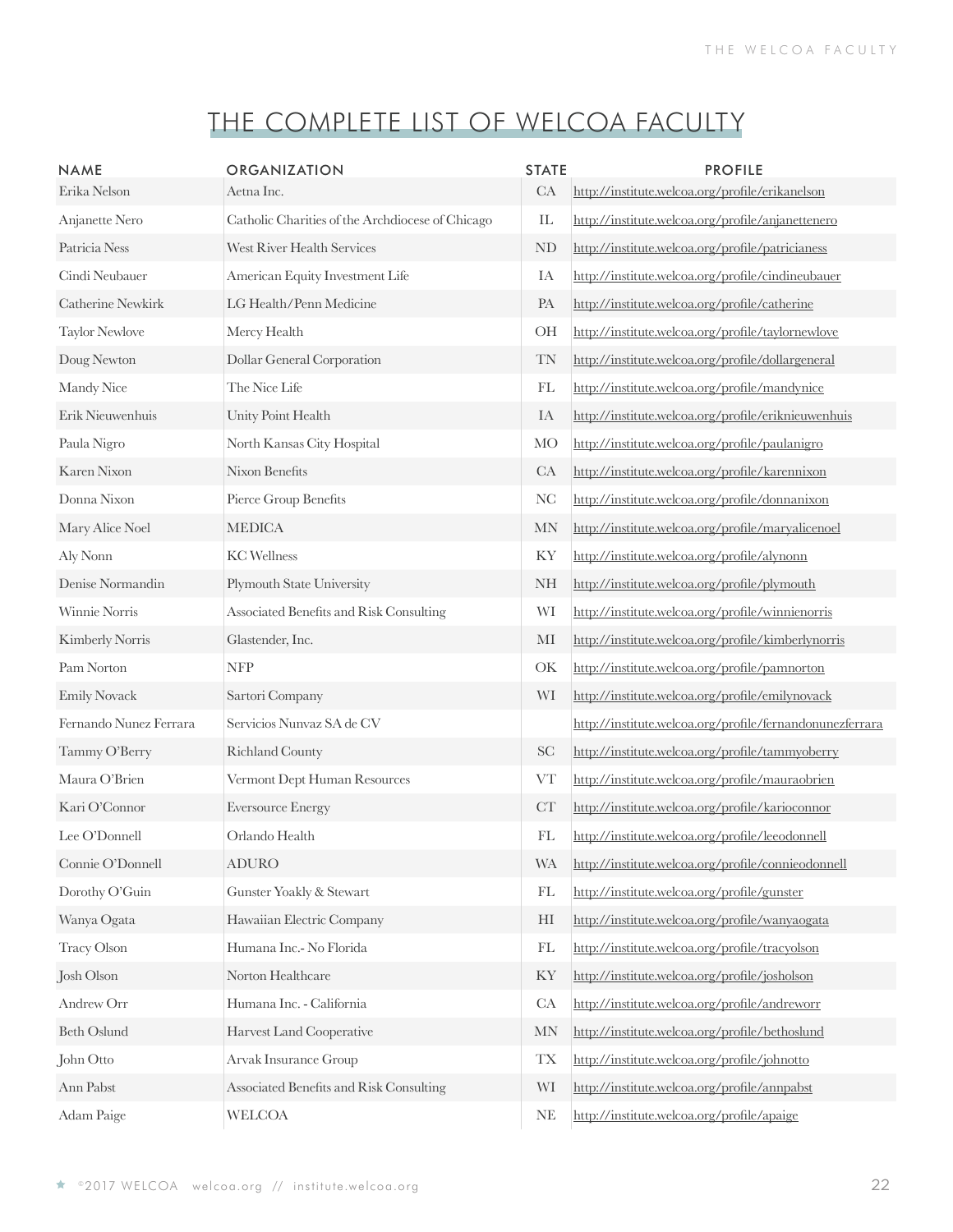| <b>NAME</b><br>Erika Nelson | <b>ORGANIZATION</b><br>Aetna Inc.                | <b>STATE</b><br>CA         | <b>PROFILE</b><br>http://institute.welcoa.org/profile/erikanelson |
|-----------------------------|--------------------------------------------------|----------------------------|-------------------------------------------------------------------|
| Anjanette Nero              | Catholic Charities of the Archdiocese of Chicago | IL                         | http://institute.welcoa.org/profile/anjanettenero                 |
| Patricia Ness               | West River Health Services                       | ND                         | http://institute.welcoa.org/profile/patricianess                  |
| Cindi Neubauer              | American Equity Investment Life                  | IA                         | http://institute.welcoa.org/profile/cindineubauer                 |
| Catherine Newkirk           | LG Health/Penn Medicine                          | PA                         | http://institute.welcoa.org/profile/catherine                     |
| <b>Taylor Newlove</b>       | Mercy Health                                     | <b>OH</b>                  | http://institute.welcoa.org/profile/taylornewlove                 |
| Doug Newton                 | Dollar General Corporation                       | TN                         | http://institute.welcoa.org/profile/dollargeneral                 |
| Mandy Nice                  | The Nice Life                                    | FL                         | http://institute.welcoa.org/profile/mandynice                     |
| Erik Nieuwenhuis            | Unity Point Health                               | IA                         | http://institute.welcoa.org/profile/eriknieuwenhuis               |
| Paula Nigro                 | North Kansas City Hospital                       | <b>MO</b>                  | http://institute.welcoa.org/profile/paulanigro                    |
| Karen Nixon                 | Nixon Benefits                                   | CA                         | http://institute.welcoa.org/profile/karennixon                    |
| Donna Nixon                 | Pierce Group Benefits                            | <b>NC</b>                  | http://institute.welcoa.org/profile/donnanixon                    |
| Mary Alice Noel             | <b>MEDICA</b>                                    | <b>MN</b>                  | http://institute.welcoa.org/profile/maryalicenoel                 |
| Aly Nonn                    | <b>KC</b> Wellness                               | KY                         | http://institute.welcoa.org/profile/alynonn                       |
| Denise Normandin            | Plymouth State University                        | <b>NH</b>                  | http://institute.welcoa.org/profile/plymouth                      |
| Winnie Norris               | Associated Benefits and Risk Consulting          | WI                         | http://institute.welcoa.org/profile/winnienorris                  |
| Kimberly Norris             | Glastender, Inc.                                 | MI                         | http://institute.welcoa.org/profile/kimberlynorris                |
| Pam Norton                  | <b>NFP</b>                                       | OK                         | http://institute.welcoa.org/profile/pamnorton                     |
| <b>Emily Novack</b>         | Sartori Company                                  | WI                         | http://institute.welcoa.org/profile/emilynovack                   |
| Fernando Nunez Ferrara      | Servicios Nunvaz SA de CV                        |                            | http://institute.welcoa.org/profile/fernandonunezferrara          |
| Tammy O'Berry               | <b>Richland County</b>                           | <b>SC</b>                  | http://institute.welcoa.org/profile/tammyoberry                   |
| Maura O'Brien               | Vermont Dept Human Resources                     | <b>VT</b>                  | http://institute.welcoa.org/profile/mauraobrien                   |
| Kari O'Connor               | <b>Eversource Energy</b>                         | CT                         | http://institute.welcoa.org/profile/karioconnor                   |
| Lee O'Donnell               | Orlando Health                                   | FL                         | http://institute.welcoa.org/profile/leeodonnell                   |
| Connie O'Donnell            | <b>ADURO</b>                                     | <b>WA</b>                  | http://institute.welcoa.org/profile/connieodonnell                |
| Dorothy O'Guin              | Gunster Yoakly & Stewart                         | $\mathop{\rm FL}\nolimits$ | http://institute.welcoa.org/profile/gunster                       |
| Wanya Ogata                 | Hawaiian Electric Company                        | HI                         | http://institute.welcoa.org/profile/wanyaogata                    |
| <b>Tracy Olson</b>          | Humana Inc.- No Florida                          | FL                         | http://institute.welcoa.org/profile/tracyolson                    |
| Josh Olson                  | Norton Healthcare                                | KY                         | http://institute.welcoa.org/profile/josholson                     |
| Andrew Orr                  | Humana Inc. - California                         | CA                         | http://institute.welcoa.org/profile/andreworr                     |
| <b>Beth Oslund</b>          | Harvest Land Cooperative                         | MN                         | http://institute.welcoa.org/profile/bethoslund                    |
| John Otto                   | Arvak Insurance Group                            | TX                         | http://institute.welcoa.org/profile/johnotto                      |
| Ann Pabst                   | Associated Benefits and Risk Consulting          | WI                         | http://institute.welcoa.org/profile/annpabst                      |
| Adam Paige                  | <b>WELCOA</b>                                    | <b>NE</b>                  | http://institute.welcoa.org/profile/apaige                        |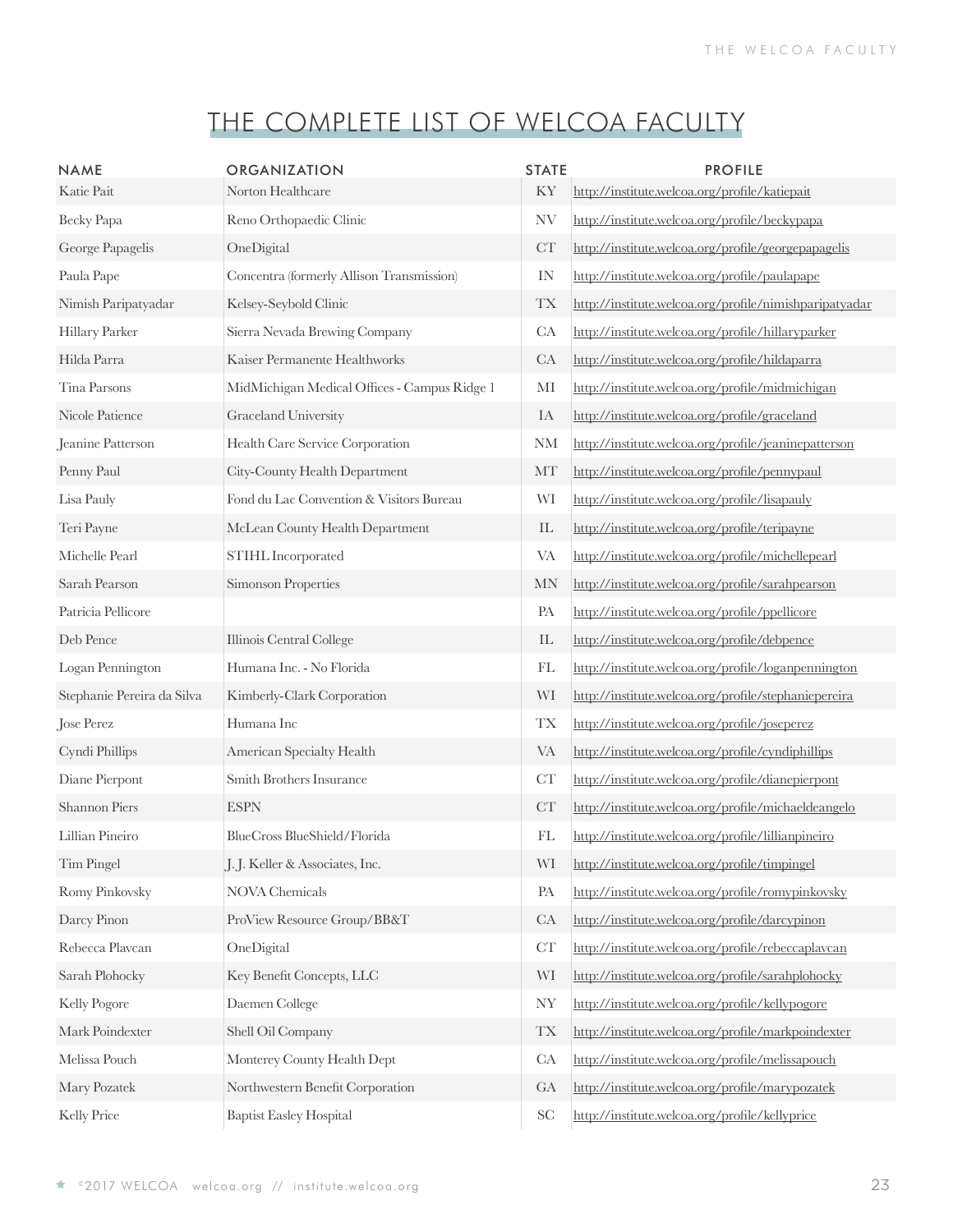| <b>NAME</b>                | ORGANIZATION                                 | <b>STATE</b>               | <b>PROFILE</b>                                         |
|----------------------------|----------------------------------------------|----------------------------|--------------------------------------------------------|
| Katie Pait                 | Norton Healthcare                            | KY                         | http://institute.welcoa.org/profile/katiepait          |
| Becky Papa                 | Reno Orthopaedic Clinic                      | NV                         | http://institute.welcoa.org/profile/beckypapa          |
| George Papagelis           | OneDigital                                   | CT                         | http://institute.welcoa.org/profile/georgepapagelis    |
| Paula Pape                 | Concentra (formerly Allison Transmission)    | IN                         | http://institute.welcoa.org/profile/paulapape          |
| Nimish Paripatyadar        | Kelsey-Seybold Clinic                        | <b>TX</b>                  | http://institute.welcoa.org/profile/nimishparipatyadar |
| Hillary Parker             | Sierra Nevada Brewing Company                | CA                         | http://institute.welcoa.org/profile/hillaryparker      |
| Hilda Parra                | Kaiser Permanente Healthworks                | CA                         | http://institute.welcoa.org/profile/hildaparra         |
| Tina Parsons               | MidMichigan Medical Offices - Campus Ridge 1 | MI                         | http://institute.welcoa.org/profile/midmichigan        |
| Nicole Patience            | Graceland University                         | IA                         | http://institute.welcoa.org/profile/graceland          |
| Jeanine Patterson          | Health Care Service Corporation              | <b>NM</b>                  | http://institute.welcoa.org/profile/jeaninepatterson   |
| Penny Paul                 | City-County Health Department                | MT                         | http://institute.welcoa.org/profile/pennypaul          |
| Lisa Pauly                 | Fond du Lac Convention & Visitors Bureau     | WI                         | http://institute.welcoa.org/profile/lisapauly          |
| Teri Payne                 | McLean County Health Department              | $\mathop{\rm IL}\nolimits$ | http://institute.welcoa.org/profile/teripayne          |
| Michelle Pearl             | STIHL Incorporated                           | <b>VA</b>                  | http://institute.welcoa.org/profile/michellepearl      |
| Sarah Pearson              | Simonson Properties                          | <b>MN</b>                  | http://institute.welcoa.org/profile/sarahpearson       |
| Patricia Pellicore         |                                              | PA                         | http://institute.welcoa.org/profile/ppellicore         |
| Deb Pence                  | Illinois Central College                     | $\mathop{\rm IL}\nolimits$ | http://institute.welcoa.org/profile/debpence           |
| Logan Pennington           | Humana Inc. - No Florida                     | FL                         | http://institute.welcoa.org/profile/loganpennington    |
| Stephanie Pereira da Silva | Kimberly-Clark Corporation                   | WI                         | http://institute.welcoa.org/profile/stephaniepereira   |
| Jose Perez                 | Humana Inc                                   | <b>TX</b>                  | http://institute.welcoa.org/profile/joseperez          |
| Cyndi Phillips             | American Specialty Health                    | <b>VA</b>                  | http://institute.welcoa.org/profile/cyndiphillips      |
| Diane Pierpont             | Smith Brothers Insurance                     | CT                         | http://institute.welcoa.org/profile/dianepierpont      |
| Shannon Piers              | $\ensuremath{\mathrm{ESPN}}$                 | CT                         | http://institute.welcoa.org/profile/michaeldeangelo    |
| Lillian Pineiro            | BlueCross BlueShield/Florida                 | FL                         | http://institute.welcoa.org/profile/lillianpineiro     |
| Tim Pingel                 | J.J. Keller & Associates, Inc.               | WI                         | http://institute.welcoa.org/profile/timpingel          |
| Romy Pinkovsky             | <b>NOVA</b> Chemicals                        | PA                         | http://institute.welcoa.org/profile/romypinkovsky      |
| Darcy Pinon                | ProView Resource Group/BB&T                  | CA                         | http://institute.welcoa.org/profile/darcypinon         |
| Rebecca Plavcan            | OneDigital                                   | CT                         | http://institute.welcoa.org/profile/rebeccaplaycan     |
| Sarah Plohocky             | Key Benefit Concepts, LLC                    | WI                         | http://institute.welcoa.org/profile/sarahplohocky      |
| Kelly Pogore               | Daemen College                               | <b>NY</b>                  | http://institute.welcoa.org/profile/kellypogore        |
| Mark Poindexter            | Shell Oil Company                            | $\mathcal{T}\mathcal{X}$   | http://institute.welcoa.org/profile/markpoindexter     |
| Melissa Pouch              | Monterey County Health Dept                  | CA                         | http://institute.welcoa.org/profile/melissapouch       |
| Mary Pozatek               | Northwestern Benefit Corporation             | GA                         | http://institute.welcoa.org/profile/marypozatek        |
| Kelly Price                | <b>Baptist Easley Hospital</b>               | <b>SC</b>                  | http://institute.welcoa.org/profile/kellyprice         |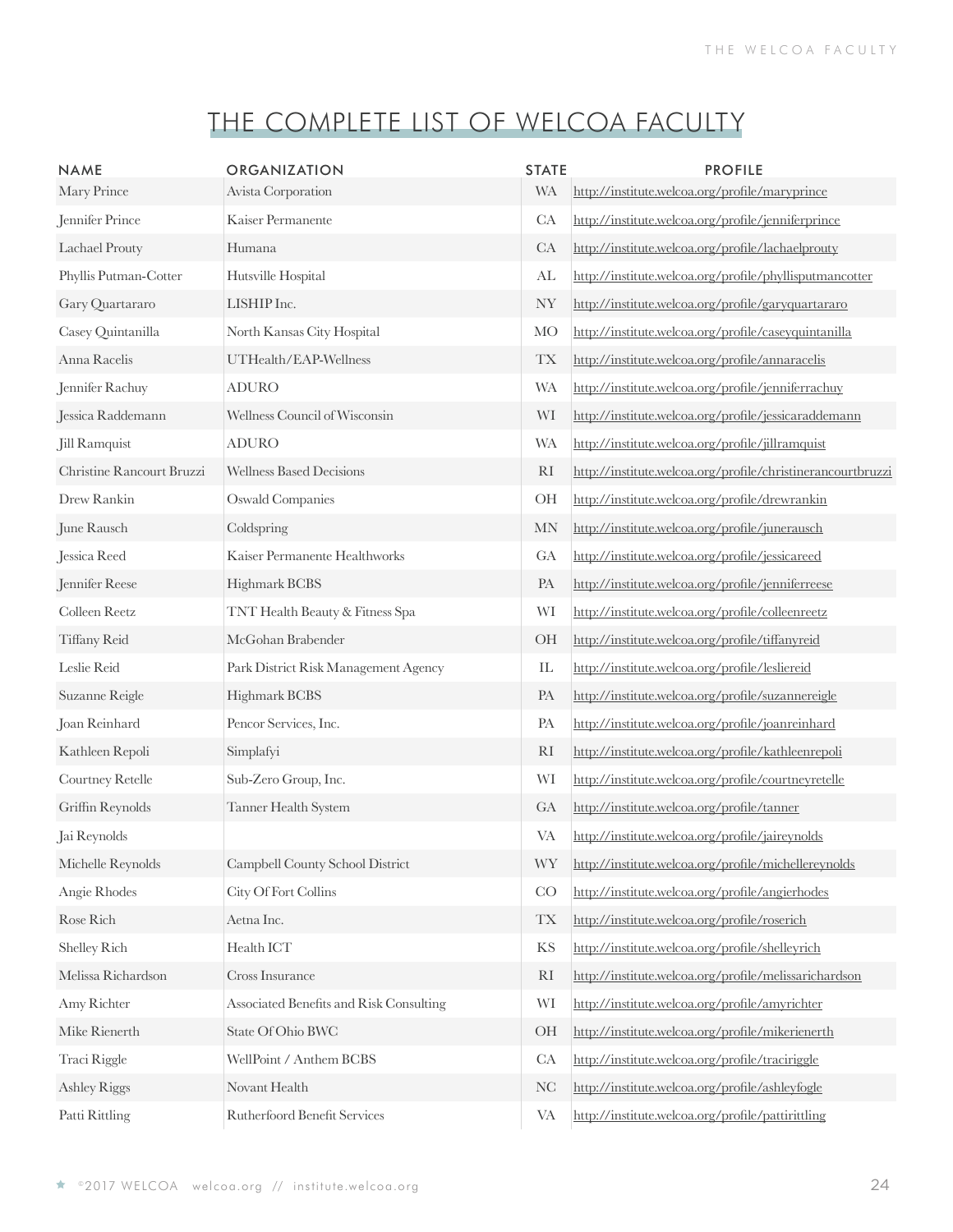| <b>NAME</b>               | <b>ORGANIZATION</b>                     | <b>STATE</b>   | <b>PROFILE</b>                                              |
|---------------------------|-----------------------------------------|----------------|-------------------------------------------------------------|
| Mary Prince               | Avista Corporation                      | <b>WA</b>      | http://institute.welcoa.org/profile/maryprince              |
| Jennifer Prince           | Kaiser Permanente                       | CA             | http://institute.welcoa.org/profile/jenniferprince          |
| Lachael Prouty            | Humana                                  | CA             | http://institute.welcoa.org/profile/lachaelprouty           |
| Phyllis Putman-Cotter     | Hutsville Hospital                      | AL             | http://institute.welcoa.org/profile/phyllisputmancotter     |
| Gary Quartararo           | LISHIP Inc.                             | <b>NY</b>      | http://institute.welcoa.org/profile/garyquartararo          |
| Casey Quintanilla         | North Kansas City Hospital              | <b>MO</b>      | http://institute.welcoa.org/profile/caseyquintanilla        |
| Anna Racelis              | UTHealth/EAP-Wellness                   | <b>TX</b>      | http://institute.welcoa.org/profile/annaracelis             |
| Jennifer Rachuy           | <b>ADURO</b>                            | <b>WA</b>      | http://institute.welcoa.org/profile/jenniferrachuy          |
| Jessica Raddemann         | Wellness Council of Wisconsin           | WI             | http://institute.welcoa.org/profile/jessicaraddemann        |
| Jill Ramquist             | <b>ADURO</b>                            | <b>WA</b>      | http://institute.welcoa.org/profile/jillramquist            |
| Christine Rancourt Bruzzi | <b>Wellness Based Decisions</b>         | R <sub>I</sub> | http://institute.welcoa.org/profile/christinerancourtbruzzi |
| Drew Rankin               | <b>Oswald Companies</b>                 | OH             | http://institute.welcoa.org/profile/drewrankin              |
| June Rausch               | Coldspring                              | <b>MN</b>      | http://institute.welcoa.org/profile/junerausch              |
| Jessica Reed              | Kaiser Permanente Healthworks           | GA             | http://institute.welcoa.org/profile/jessicareed             |
| Jennifer Reese            | Highmark BCBS                           | PA             | http://institute.welcoa.org/profile/jenniferreese           |
| Colleen Reetz             | TNT Health Beauty & Fitness Spa         | WI             | http://institute.welcoa.org/profile/colleenreetz            |
| Tiffany Reid              | McGohan Brabender                       | OH             | http://institute.welcoa.org/profile/tiffanyreid             |
| Leslie Reid               | Park District Risk Management Agency    | IL             | http://institute.welcoa.org/profile/lesliereid              |
| Suzanne Reigle            | Highmark BCBS                           | PA             | http://institute.welcoa.org/profile/suzannereigle           |
| Joan Reinhard             | Pencor Services, Inc.                   | PA             | http://institute.welcoa.org/profile/joanreinhard            |
| Kathleen Repoli           | Simplafyi                               | R <sub>I</sub> | http://institute.welcoa.org/profile/kathleenrepoli          |
| Courtney Retelle          | Sub-Zero Group, Inc.                    | WI             | http://institute.welcoa.org/profile/courtneyretelle         |
| Griffin Reynolds          | Tanner Health System                    | GA             | http://institute.welcoa.org/profile/tanner                  |
| Jai Reynolds              |                                         | VA             | http://institute.welcoa.org/profile/jaireynolds             |
| Michelle Reynolds         | Campbell County School District         | <b>WY</b>      | http://institute.welcoa.org/profile/michellereynolds        |
| Angie Rhodes              | City Of Fort Collins                    | CO             | http://institute.welcoa.org/profile/angierhodes             |
| Rose Rich                 | Aetna Inc.                              | <b>TX</b>      | http://institute.welcoa.org/profile/roserich                |
| Shelley Rich              | Health ICT                              | KS             | http://institute.welcoa.org/profile/shelleyrich             |
| Melissa Richardson        | Cross Insurance                         | R <sub>I</sub> | http://institute.welcoa.org/profile/melissarichardson       |
| Amy Richter               | Associated Benefits and Risk Consulting | WI             | http://institute.welcoa.org/profile/amyrichter              |
| Mike Rienerth             | State Of Ohio BWC                       | OH             | http://institute.welcoa.org/profile/mikerienerth            |
| Traci Riggle              | WellPoint / Anthem BCBS                 | CA             | http://institute.welcoa.org/profile/traciriggle             |
| <b>Ashley Riggs</b>       | Novant Health                           | <b>NC</b>      | http://institute.welcoa.org/profile/ashleyfogle             |
| Patti Rittling            | Rutherfoord Benefit Services            | VA             | http://institute.welcoa.org/profile/pattirittling           |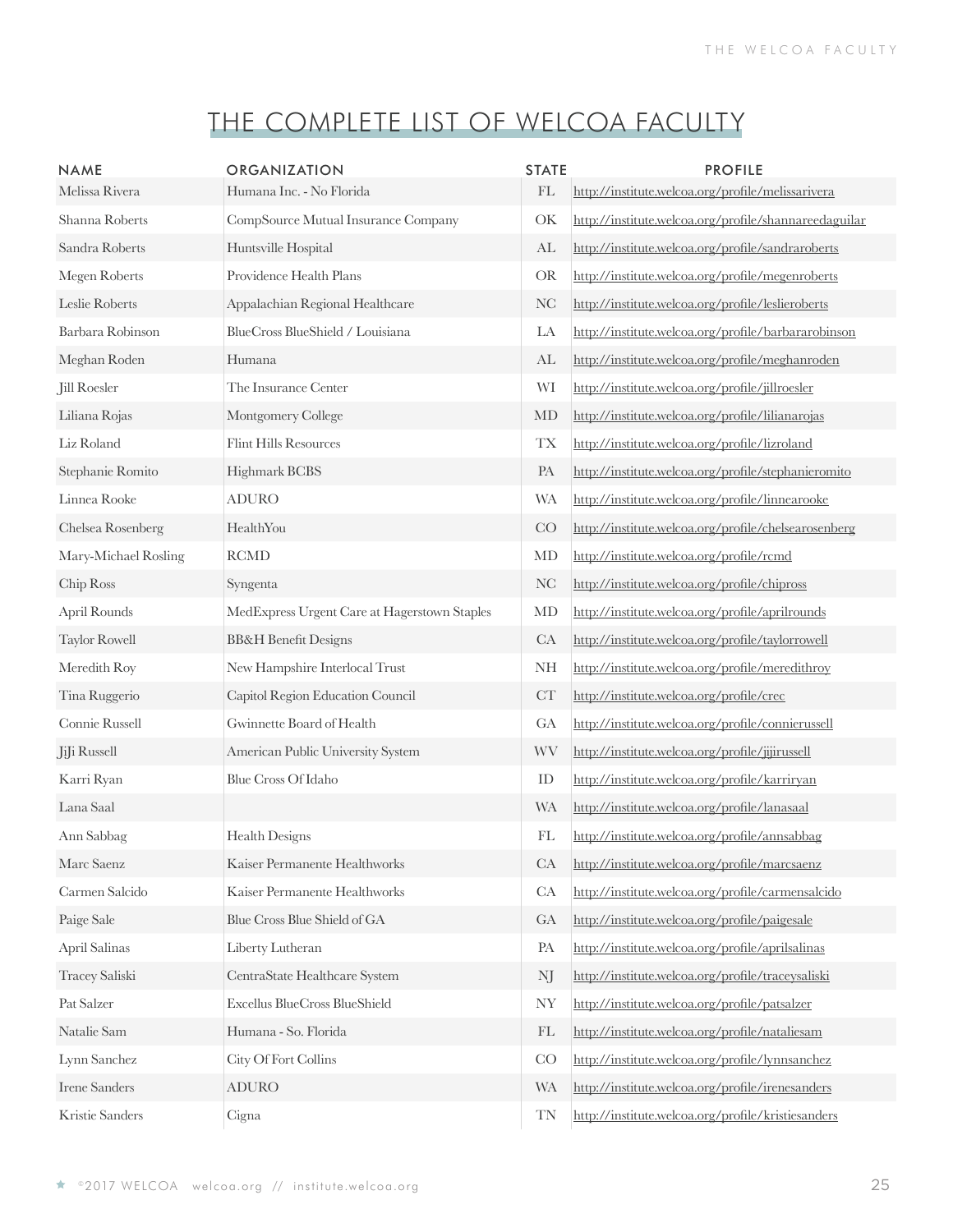| <b>NAME</b><br>Melissa Rivera | ORGANIZATION<br>Humana Inc. - No Florida     | <b>STATE</b><br>$\mathop{\rm FL}\nolimits$ | <b>PROFILE</b><br>http://institute.welcoa.org/profile/melissarivera |
|-------------------------------|----------------------------------------------|--------------------------------------------|---------------------------------------------------------------------|
| Shanna Roberts                | CompSource Mutual Insurance Company          | OK                                         | http://institute.welcoa.org/profile/shannareedaguilar               |
| Sandra Roberts                | Huntsville Hospital                          | AL                                         | http://institute.welcoa.org/profile/sandraroberts                   |
| Megen Roberts                 | Providence Health Plans                      | <b>OR</b>                                  | http://institute.welcoa.org/profile/megenroberts                    |
| Leslie Roberts                | Appalachian Regional Healthcare              | NC                                         | http://institute.welcoa.org/profile/leslieroberts                   |
| Barbara Robinson              | BlueCross BlueShield / Louisiana             | LA                                         | http://institute.welcoa.org/profile/barbararobinson                 |
| Meghan Roden                  | Humana                                       | AL                                         | http://institute.welcoa.org/profile/meghanroden                     |
| Jill Roesler                  | The Insurance Center                         | WI                                         | http://institute.welcoa.org/profile/jillroesler                     |
| Liliana Rojas                 | Montgomery College                           | MD                                         | http://institute.welcoa.org/profile/lilianarojas                    |
| Liz Roland                    | <b>Flint Hills Resources</b>                 | <b>TX</b>                                  | http://institute.welcoa.org/profile/lizroland                       |
| Stephanie Romito              | Highmark BCBS                                | PA                                         | http://institute.welcoa.org/profile/stephanieromito                 |
| Linnea Rooke                  | <b>ADURO</b>                                 | <b>WA</b>                                  | http://institute.welcoa.org/profile/linnearooke                     |
| Chelsea Rosenberg             | HealthYou                                    | CO                                         | http://institute.welcoa.org/profile/chelsearosenberg                |
| Mary-Michael Rosling          | <b>RCMD</b>                                  | MD                                         | http://institute.welcoa.org/profile/rcmd                            |
| Chip Ross                     | Syngenta                                     | NC                                         | http://institute.welcoa.org/profile/chipross                        |
| April Rounds                  | MedExpress Urgent Care at Hagerstown Staples | MD                                         | http://institute.welcoa.org/profile/aprilrounds                     |
| <b>Taylor Rowell</b>          | <b>BB&amp;H</b> Benefit Designs              | CA                                         | http://institute.welcoa.org/profile/taylorrowell                    |
| Meredith Roy                  | New Hampshire Interlocal Trust               | <b>NH</b>                                  | http://institute.welcoa.org/profile/meredithroy                     |
| Tina Ruggerio                 | Capitol Region Education Council             | CT                                         | http://institute.welcoa.org/profile/crec                            |
| Connie Russell                | Gwinnette Board of Health                    | GA                                         | http://institute.welcoa.org/profile/connierussell                   |
| JiJi Russell                  | American Public University System            | <b>WV</b>                                  | http://institute.welcoa.org/profile/jijirussell                     |
| Karri Ryan                    | <b>Blue Cross Of Idaho</b>                   | ID                                         | http://institute.welcoa.org/profile/karriryan                       |
| Lana Saal                     |                                              | <b>WA</b>                                  | http://institute.welcoa.org/profile/lanasaal                        |
| Ann Sabbag                    | Health Designs                               | FL                                         | http://institute.welcoa.org/profile/annsabbag                       |
| Marc Saenz                    | Kaiser Permanente Healthworks                | CA                                         | http://institute.welcoa.org/profile/marcsaenz                       |
| Carmen Salcido                | Kaiser Permanente Healthworks                | ${\rm CA}$                                 | http://institute.welcoa.org/profile/carmensalcido                   |
| Paige Sale                    | Blue Cross Blue Shield of GA                 | GA                                         | http://institute.welcoa.org/profile/paigesale                       |
| April Salinas                 | Liberty Lutheran                             | PA                                         | http://institute.welcoa.org/profile/aprilsalinas                    |
| Tracey Saliski                | CentraState Healthcare System                | NJ                                         | http://institute.welcoa.org/profile/traceysaliski                   |
| Pat Salzer                    | Excellus BlueCross BlueShield                | <b>NY</b>                                  | http://institute.welcoa.org/profile/patsalzer                       |
| Natalie Sam                   | Humana - So. Florida                         | FL                                         | http://institute.welcoa.org/profile/nataliesam                      |
| Lynn Sanchez                  | City Of Fort Collins                         | CO                                         | http://institute.welcoa.org/profile/lynnsanchez                     |
| <b>Irene Sanders</b>          | <b>ADURO</b>                                 | <b>WA</b>                                  | http://institute.welcoa.org/profile/irenesanders                    |
| Kristie Sanders               | Cigna                                        | TN                                         | http://institute.welcoa.org/profile/kristiesanders                  |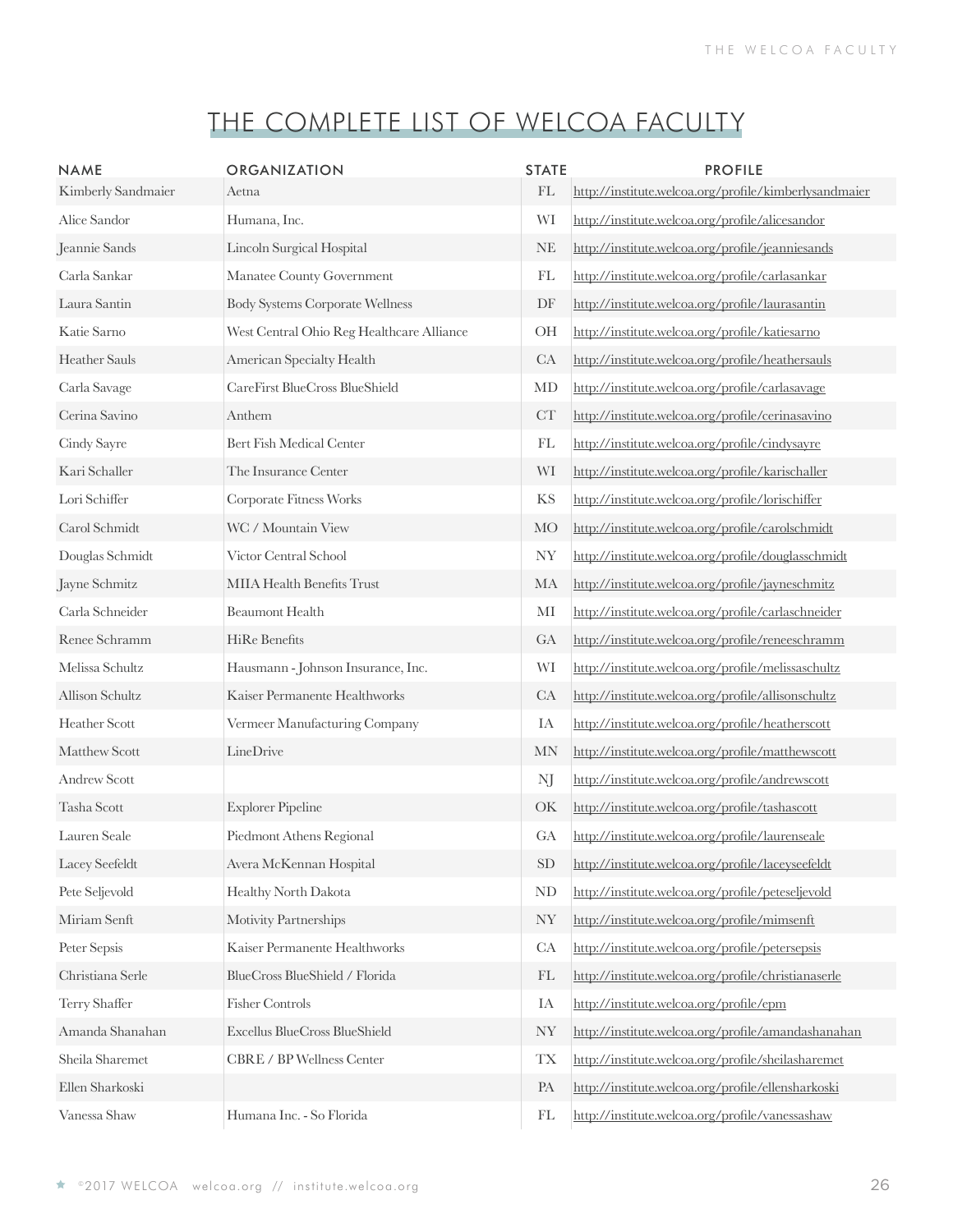| <b>NAME</b><br>Kimberly Sandmaier | <b>ORGANIZATION</b><br>Aetna              | <b>STATE</b><br>$\mathop{\rm FL}\nolimits$ | <b>PROFILE</b><br>http://institute.welcoa.org/profile/kimberlysandmaier |
|-----------------------------------|-------------------------------------------|--------------------------------------------|-------------------------------------------------------------------------|
| Alice Sandor                      | Humana, Inc.                              | WI                                         | http://institute.welcoa.org/profile/alicesandor                         |
| Jeannie Sands                     | Lincoln Surgical Hospital                 | NE                                         | http://institute.welcoa.org/profile/jeanniesands                        |
| Carla Sankar                      | Manatee County Government                 | FL                                         | http://institute.welcoa.org/profile/carlasankar                         |
| Laura Santin                      | <b>Body Systems Corporate Wellness</b>    | DF                                         | http://institute.welcoa.org/profile/laurasantin                         |
| Katie Sarno                       | West Central Ohio Reg Healthcare Alliance | OH                                         | http://institute.welcoa.org/profile/katiesarno                          |
| <b>Heather Sauls</b>              | American Specialty Health                 | CA                                         | http://institute.welcoa.org/profile/heathersauls                        |
| Carla Savage                      | CareFirst BlueCross BlueShield            | MD                                         | http://institute.welcoa.org/profile/carlasavage                         |
| Cerina Savino                     | Anthem                                    | CT                                         | http://institute.welcoa.org/profile/cerinasavino                        |
| Cindy Sayre                       | Bert Fish Medical Center                  | FL                                         | http://institute.welcoa.org/profile/cindysayre                          |
| Kari Schaller                     | The Insurance Center                      | WI                                         | http://institute.welcoa.org/profile/karischaller                        |
| Lori Schiffer                     | Corporate Fitness Works                   | KS                                         | http://institute.welcoa.org/profile/lorischiffer                        |
| Carol Schmidt                     | WC / Mountain View                        | <b>MO</b>                                  | http://institute.welcoa.org/profile/carolschmidt                        |
| Douglas Schmidt                   | Victor Central School                     | NY                                         | http://institute.welcoa.org/profile/douglasschmidt                      |
| Jayne Schmitz                     | MIIA Health Benefits Trust                | МA                                         | http://institute.welcoa.org/profile/jayneschmitz                        |
| Carla Schneider                   | <b>Beaumont Health</b>                    | MI                                         | http://institute.welcoa.org/profile/carlaschneider                      |
| Renee Schramm                     | HiRe Benefits                             | GA                                         | http://institute.welcoa.org/profile/reneeschramm                        |
| Melissa Schultz                   | Hausmann - Johnson Insurance, Inc.        | WI                                         | http://institute.welcoa.org/profile/melissaschultz                      |
| Allison Schultz                   | Kaiser Permanente Healthworks             | CA                                         | http://institute.welcoa.org/profile/allisonschultz                      |
| Heather Scott                     | Vermeer Manufacturing Company             | IA                                         | http://institute.welcoa.org/profile/heatherscott                        |
| Matthew Scott                     | LineDrive                                 | MN                                         | http://institute.welcoa.org/profile/matthewscott                        |
| <b>Andrew Scott</b>               |                                           | NJ                                         | http://institute.welcoa.org/profile/andrewscott                         |
| Tasha Scott                       | <b>Explorer Pipeline</b>                  | OK                                         | http://institute.welcoa.org/profile/tashascott                          |
| Lauren Seale                      | Piedmont Athens Regional                  | GA                                         | http://institute.welcoa.org/profile/laurenseale                         |
| Lacey Seefeldt                    | Avera McKennan Hospital                   | SD                                         | http://institute.welcoa.org/profile/laceyseefeldt                       |
| Pete Seljevold                    | Healthy North Dakota                      | ND                                         | http://institute.welcoa.org/profile/peteseljevold                       |
| Miriam Senft                      | Motivity Partnerships                     | <b>NY</b>                                  | http://institute.welcoa.org/profile/mimsenft                            |
| Peter Sepsis                      | Kaiser Permanente Healthworks             | CA                                         | http://institute.welcoa.org/profile/petersepsis                         |
| Christiana Serle                  | BlueCross BlueShield / Florida            | FL                                         | http://institute.welcoa.org/profile/christianaserle                     |
| Terry Shaffer                     | <b>Fisher Controls</b>                    | IA                                         | http://institute.welcoa.org/profile/epm                                 |
| Amanda Shanahan                   | Excellus BlueCross BlueShield             | <b>NY</b>                                  | http://institute.welcoa.org/profile/amandashanahan                      |
| Sheila Sharemet                   | CBRE / BP Wellness Center                 | <b>TX</b>                                  | http://institute.welcoa.org/profile/sheilasharemet                      |
| Ellen Sharkoski                   |                                           | PA                                         | http://institute.welcoa.org/profile/ellensharkoski                      |
| Vanessa Shaw                      | Humana Inc. - So Florida                  | $\mathop{\rm FL}\nolimits$                 | http://institute.welcoa.org/profile/vanessashaw                         |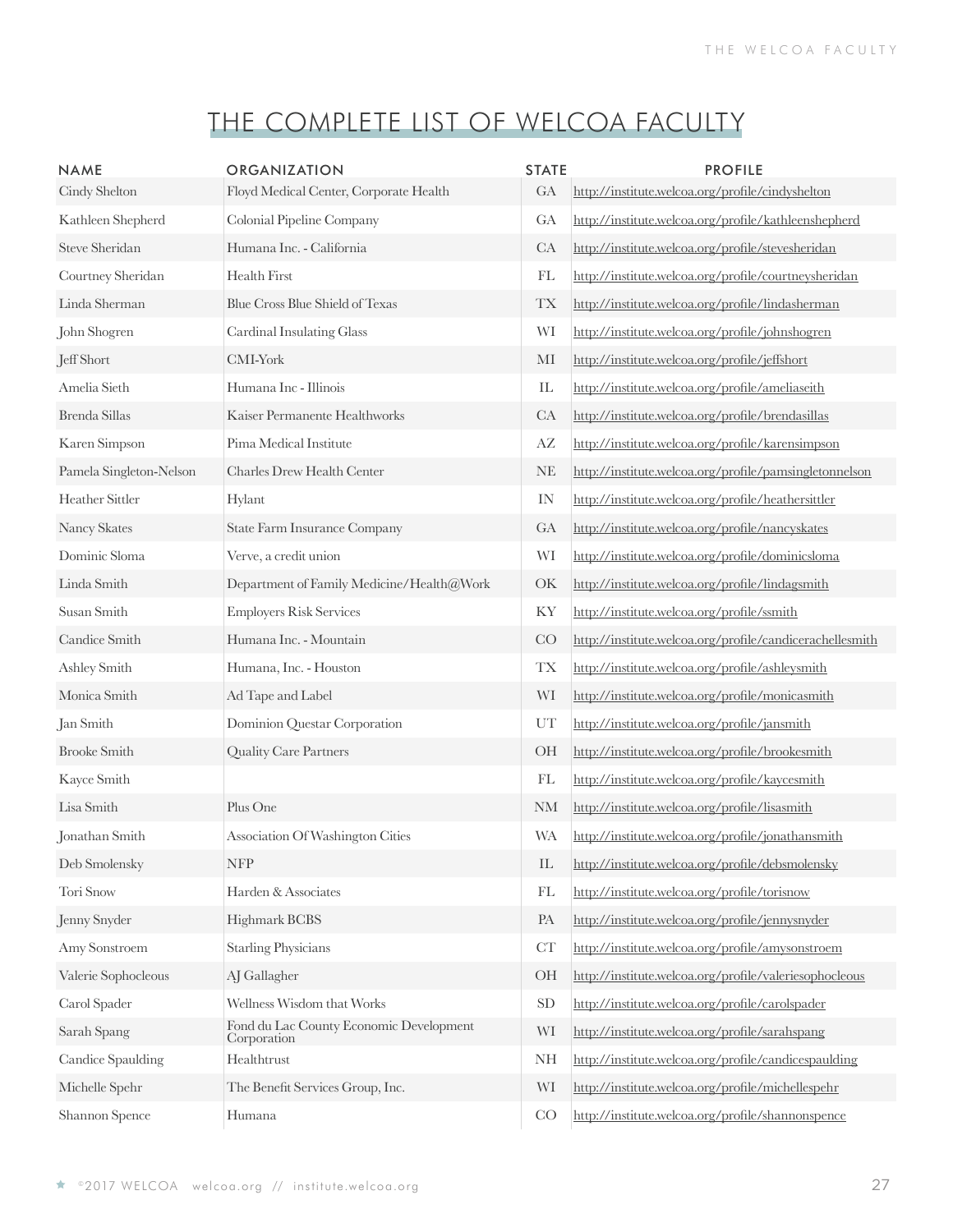| <b>NAME</b>             | ORGANIZATION                                           | <b>STATE</b>  | <b>PROFILE</b>                                           |
|-------------------------|--------------------------------------------------------|---------------|----------------------------------------------------------|
| Cindy Shelton           | Floyd Medical Center, Corporate Health                 | GA            | http://institute.welcoa.org/profile/cindyshelton         |
| Kathleen Shepherd       | Colonial Pipeline Company                              | GA            | http://institute.welcoa.org/profile/kathleenshepherd     |
| Steve Sheridan          | Humana Inc. - California                               | CA            | http://institute.welcoa.org/profile/stevesheridan        |
| Courtney Sheridan       | Health First                                           | FL            | http://institute.welcoa.org/profile/courtneysheridan     |
| Linda Sherman           | Blue Cross Blue Shield of Texas                        | <b>TX</b>     | http://institute.welcoa.org/profile/lindasherman         |
| John Shogren            | Cardinal Insulating Glass                              | WI            | http://institute.welcoa.org/profile/johnshogren          |
| Jeff Short              | $\mathop{\rm CMI-York}\nolimits$                       | MI            | http://institute.welcoa.org/profile/jeffshort            |
| Amelia Sieth            | Humana Inc - Illinois                                  | IL            | http://institute.welcoa.org/profile/ameliaseith          |
| Brenda Sillas           | Kaiser Permanente Healthworks                          | CA            | http://institute.welcoa.org/profile/brendasillas         |
| Karen Simpson           | Pima Medical Institute                                 | AZ            | http://institute.welcoa.org/profile/karensimpson         |
| Pamela Singleton-Nelson | Charles Drew Health Center                             | NE            | http://institute.welcoa.org/profile/pamsingletonnelson   |
| Heather Sittler         | Hylant                                                 | IN            | http://institute.welcoa.org/profile/heathersittler       |
| Nancy Skates            | <b>State Farm Insurance Company</b>                    | GA            | http://institute.welcoa.org/profile/nancyskates          |
| Dominic Sloma           | Verve, a credit union                                  | WI            | http://institute.welcoa.org/profile/dominicsloma         |
| Linda Smith             | Department of Family Medicine/Health@Work              | OK            | http://institute.welcoa.org/profile/lindagsmith          |
| Susan Smith             | <b>Employers Risk Services</b>                         | KY            | http://institute.welcoa.org/profile/ssmith               |
| Candice Smith           | Humana Inc. - Mountain                                 | CO            | http://institute.welcoa.org/profile/candicerachellesmith |
| Ashley Smith            | Humana, Inc. - Houston                                 | <b>TX</b>     | http://institute.welcoa.org/profile/ashleysmith          |
| Monica Smith            | Ad Tape and Label                                      | WI            | http://institute.welcoa.org/profile/monicasmith          |
| Jan Smith               | Dominion Questar Corporation                           | UT            | http://institute.welcoa.org/profile/jansmith             |
| <b>Brooke Smith</b>     | Quality Care Partners                                  | OH            | http://institute.welcoa.org/profile/brookesmith          |
| Kayce Smith             |                                                        | FL            | http://institute.welcoa.org/profile/kaycesmith           |
| Lisa Smith              | Plus One                                               | $\mathrm{NM}$ | http://institute.welcoa.org/profile/lisasmith            |
| Jonathan Smith          | Association Of Washington Cities                       | WA            | http://institute.welcoa.org/profile/jonathansmith        |
| Deb Smolensky           | <b>NFP</b>                                             | IL            | http://institute.welcoa.org/profile/debsmolensky         |
| Tori Snow               | Harden & Associates                                    | FL            | http://institute.welcoa.org/profile/torisnow             |
| Jenny Snyder            | Highmark BCBS                                          | PA            | http://institute.welcoa.org/profile/jennysnyder          |
| Amy Sonstroem           | <b>Starling Physicians</b>                             | CT            | http://institute.welcoa.org/profile/amysonstroem         |
| Valerie Sophocleous     | AJ Gallagher                                           | OH            | http://institute.welcoa.org/profile/valeriesophocleous   |
| Carol Spader            | Wellness Wisdom that Works                             | SD            | http://institute.welcoa.org/profile/carolspader          |
| Sarah Spang             | Fond du Lac County Economic Development<br>Corporation | WI            | http://institute.welcoa.org/profile/sarahspang           |
| Candice Spaulding       | Healthtrust                                            | NH            | http://institute.welcoa.org/profile/candicespaulding     |
| Michelle Spehr          | The Benefit Services Group, Inc.                       | WI            | http://institute.welcoa.org/profile/michellespehr        |
| Shannon Spence          | Humana                                                 | CO            | http://institute.welcoa.org/profile/shannonspence        |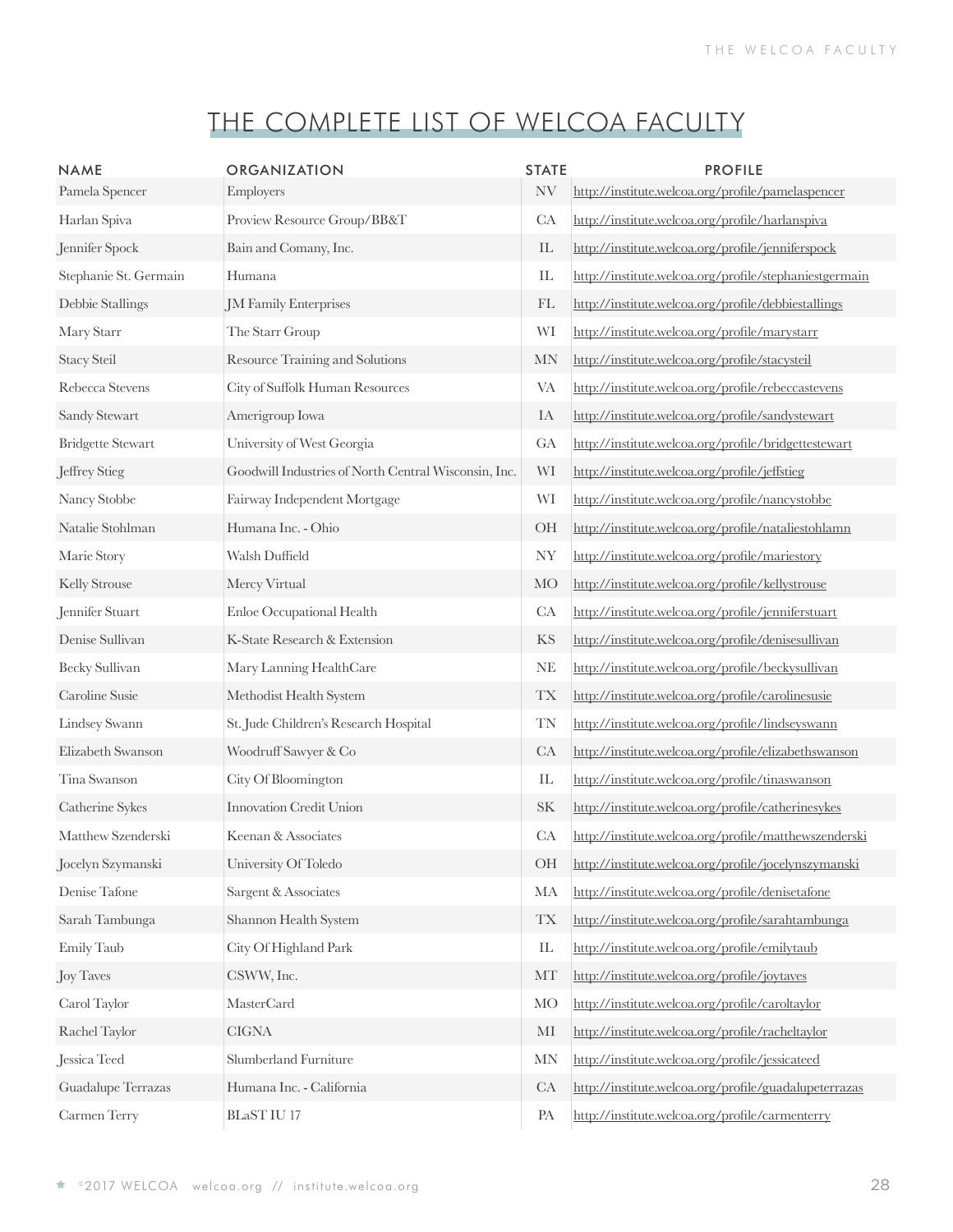| <b>NAME</b>              | ORGANIZATION                                         | <b>STATE</b>                    | <b>PROFILE</b>                                         |
|--------------------------|------------------------------------------------------|---------------------------------|--------------------------------------------------------|
| Pamela Spencer           | Employers                                            | NV                              | http://institute.welcoa.org/profile/pamelaspencer      |
| Harlan Spiva             | Proview Resource Group/BB&T                          | CA                              | http://institute.welcoa.org/profile/harlanspiva        |
| Jennifer Spock           | Bain and Comany, Inc.                                | $\mathop{\rm IL}\nolimits$      | http://institute.welcoa.org/profile/jenniferspock      |
| Stephanie St. Germain    | Humana                                               | $\mathop{\mathrm{IL}}\nolimits$ | http://institute.welcoa.org/profile/stephaniestgermain |
| Debbie Stallings         | JM Family Enterprises                                | FL                              | http://institute.welcoa.org/profile/debbiestallings    |
| Mary Starr               | The Starr Group                                      | WI                              | http://institute.welcoa.org/profile/marystarr          |
| <b>Stacy Steil</b>       | Resource Training and Solutions                      | <b>MN</b>                       | http://institute.welcoa.org/profile/stacysteil         |
| Rebecca Stevens          | City of Suffolk Human Resources                      | <b>VA</b>                       | http://institute.welcoa.org/profile/rebeccastevens     |
| Sandy Stewart            | Amerigroup Iowa                                      | IA                              | http://institute.welcoa.org/profile/sandystewart       |
| <b>Bridgette Stewart</b> | University of West Georgia                           | GA                              | http://institute.welcoa.org/profile/bridgettestewart   |
| Jeffrey Stieg            | Goodwill Industries of North Central Wisconsin, Inc. | WI                              | http://institute.welcoa.org/profile/jeffstieg          |
| Nancy Stobbe             | Fairway Independent Mortgage                         | WI                              | http://institute.welcoa.org/profile/nancystobbe        |
| Natalie Stohlman         | Humana Inc. - Ohio                                   | OH                              | http://institute.welcoa.org/profile/nataliestohlamn    |
| Marie Story              | Walsh Duffield                                       | NY                              | http://institute.welcoa.org/profile/mariestory         |
| Kelly Strouse            | Mercy Virtual                                        | <b>MO</b>                       | http://institute.welcoa.org/profile/kellystrouse       |
| Jennifer Stuart          | Enloe Occupational Health                            | CA                              | http://institute.welcoa.org/profile/jenniferstuart     |
| Denise Sullivan          | K-State Research & Extension                         | <b>KS</b>                       | http://institute.welcoa.org/profile/denisesullivan     |
| Becky Sullivan           | Mary Lanning HealthCare                              | <b>NE</b>                       | http://institute.welcoa.org/profile/beckysullivan      |
| Caroline Susie           | Methodist Health System                              | <b>TX</b>                       | http://institute.welcoa.org/profile/carolinesusie      |
| Lindsey Swann            | St. Jude Children's Research Hospital                | <b>TN</b>                       | http://institute.welcoa.org/profile/lindseyswann       |
| Elizabeth Swanson        | Woodruff Sawyer & Co                                 | CA                              | http://institute.welcoa.org/profile/elizabethswanson   |
| Tina Swanson             | City Of Bloomington                                  | $\mathop{\mathrm{IL}}\nolimits$ | http://institute.welcoa.org/profile/tinaswanson        |
| Catherine Sykes          | Innovation Credit Union                              | $\rm SK$                        | http://institute.welcoa.org/profile/catherinesykes     |
| Matthew Szenderski       | Keenan & Associates                                  | CA                              | http://institute.welcoa.org/profile/matthewszenderski  |
| Jocelyn Szymanski        | University Of Toledo                                 | OH                              | http://institute.welcoa.org/profile/jocelynszymanski   |
| Denise Tafone            | Sargent & Associates                                 | MA                              | http://institute.welcoa.org/profile/denisetafone       |
| Sarah Tambunga           | Shannon Health System                                | <b>TX</b>                       | http://institute.welcoa.org/profile/sarahtambunga      |
| Emily Taub               | City Of Highland Park                                | IL                              | http://institute.welcoa.org/profile/emilytaub          |
| Joy Taves                | CSWW, Inc.                                           | MT                              | http://institute.welcoa.org/profile/joytaves           |
| Carol Taylor             | <b>MasterCard</b>                                    | <b>MO</b>                       | http://institute.welcoa.org/profile/caroltaylor        |
| Rachel Taylor            | $CIGNA$                                              | $\rm MI$                        | http://institute.welcoa.org/profile/racheltaylor       |
| Jessica Teed             | Slumberland Furniture                                | <b>MN</b>                       | http://institute.welcoa.org/profile/jessicateed        |
| Guadalupe Terrazas       | Humana Inc. - California                             | CA                              | http://institute.welcoa.org/profile/guadalupeterrazas  |
| Carmen Terry             | $BLaST$ IU $17\,$                                    | PA                              | http://institute.welcoa.org/profile/carmenterry        |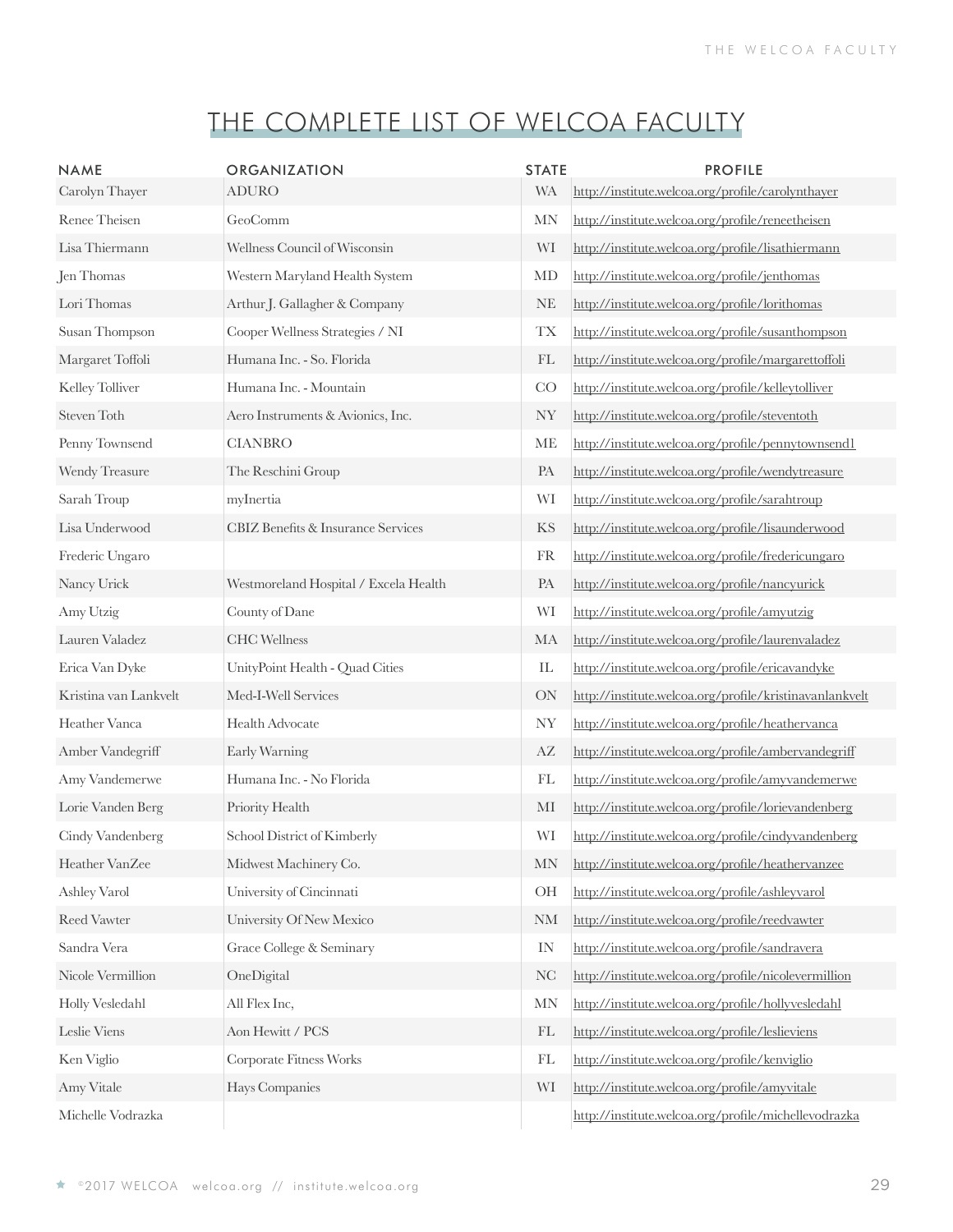| <b>NAME</b><br>Carolyn Thayer | ORGANIZATION<br><b>ADURO</b>          | <b>STATE</b><br><b>WA</b>  | <b>PROFILE</b><br>http://institute.welcoa.org/profile/carolynthayer |
|-------------------------------|---------------------------------------|----------------------------|---------------------------------------------------------------------|
| Renee Theisen                 | GeoComm                               | <b>MN</b>                  | http://institute.welcoa.org/profile/reneetheisen                    |
| Lisa Thiermann                | Wellness Council of Wisconsin         | WI                         | http://institute.welcoa.org/profile/lisathiermann                   |
| Jen Thomas                    | Western Maryland Health System        | MD                         | http://institute.welcoa.org/profile/jenthomas                       |
| Lori Thomas                   | Arthur J. Gallagher & Company         | $\rm{NE}$                  | http://institute.welcoa.org/profile/lorithomas                      |
| Susan Thompson                | Cooper Wellness Strategies / NI       | <b>TX</b>                  | http://institute.welcoa.org/profile/susanthompson                   |
| Margaret Toffoli              | Humana Inc. - So. Florida             | FL                         | http://institute.welcoa.org/profile/margarettoffoli                 |
| Kelley Tolliver               | Humana Inc. - Mountain                | CO                         | http://institute.welcoa.org/profile/kelleytolliver                  |
| Steven Toth                   | Aero Instruments & Avionics, Inc.     | <b>NY</b>                  | http://institute.welcoa.org/profile/steventoth                      |
| Penny Townsend                | <b>CIANBRO</b>                        | ME                         | http://institute.welcoa.org/profile/pennytownsend1                  |
| Wendy Treasure                | The Reschini Group                    | PA                         | http://institute.welcoa.org/profile/wendytreasure                   |
| Sarah Troup                   | myInertia                             | WI                         | http://institute.welcoa.org/profile/sarahtroup                      |
| Lisa Underwood                | CBIZ Benefits & Insurance Services    | KS                         | http://institute.welcoa.org/profile/lisaunderwood                   |
| Frederic Ungaro               |                                       | <b>FR</b>                  | http://institute.welcoa.org/profile/fredericungaro                  |
| Nancy Urick                   | Westmoreland Hospital / Excela Health | PA                         | http://institute.welcoa.org/profile/nancyurick                      |
| Amy Utzig                     | County of Dane                        | WI                         | http://institute.welcoa.org/profile/amyutzig                        |
| Lauren Valadez                | <b>CHC</b> Wellness                   | MA                         | http://institute.welcoa.org/profile/laurenvaladez                   |
| Erica Van Dyke                | UnityPoint Health - Quad Cities       | $\mathop{\rm IL}\nolimits$ | http://institute.welcoa.org/profile/ericavandyke                    |
| Kristina van Lankvelt         | Med-I-Well Services                   | <b>ON</b>                  | http://institute.welcoa.org/profile/kristinavanlankvelt             |
| Heather Vanca                 | Health Advocate                       | <b>NY</b>                  | http://institute.welcoa.org/profile/heathervanca                    |
| Amber Vandegriff              | Early Warning                         | AZ                         | http://institute.welcoa.org/profile/ambervandegriff                 |
| Amy Vandemerwe                | Humana Inc. - No Florida              | FL                         | http://institute.welcoa.org/profile/amyvandemerwe                   |
| Lorie Vanden Berg             | Priority Health                       | MI                         | http://institute.welcoa.org/profile/lorievandenberg                 |
| Cindy Vandenberg              | School District of Kimberly           | WI                         | http://institute.welcoa.org/profile/cindyvandenberg                 |
| Heather VanZee                | Midwest Machinery Co.                 | <b>MN</b>                  | http://institute.welcoa.org/profile/heathervanzee                   |
| Ashley Varol                  | University of Cincinnati              | OH                         | http://institute.welcoa.org/profile/ashleyvarol                     |
| Reed Vawter                   | University Of New Mexico              | <b>NM</b>                  | http://institute.welcoa.org/profile/reedvawter                      |
| Sandra Vera                   | Grace College & Seminary              | IN                         | http://institute.welcoa.org/profile/sandravera                      |
| Nicole Vermillion             | OneDigital                            | NC                         | http://institute.welcoa.org/profile/nicolevermillion                |
| Holly Vesledahl               | All Flex Inc,                         | <b>MN</b>                  | http://institute.welcoa.org/profile/hollyvesledahl                  |
| Leslie Viens                  | Aon Hewitt / PCS                      | FL                         | http://institute.welcoa.org/profile/leslieviens                     |
| Ken Viglio                    | Corporate Fitness Works               | FL                         | http://institute.welcoa.org/profile/kenviglio                       |
| Amy Vitale                    | Hays Companies                        | WI                         | http://institute.welcoa.org/profile/amyvitale                       |
| Michelle Vodrazka             |                                       |                            | http://institute.welcoa.org/profile/michellevodrazka                |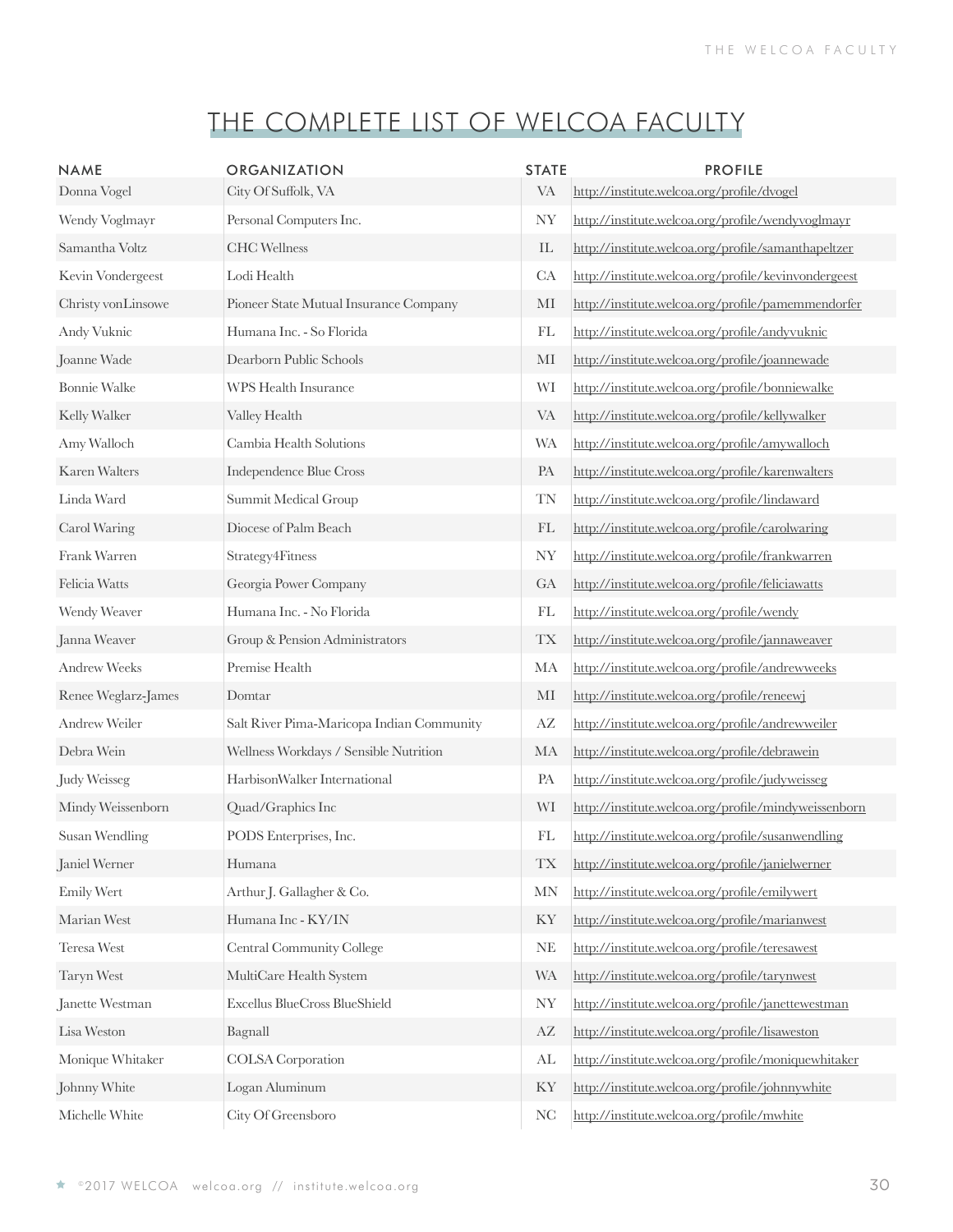| <b>NAME</b>           | ORGANIZATION                              | <b>STATE</b>               | <b>PROFILE</b>                                       |
|-----------------------|-------------------------------------------|----------------------------|------------------------------------------------------|
| Donna Vogel           | City Of Suffolk, VA                       | <b>VA</b>                  | http://institute.welcoa.org/profile/dvogel           |
| Wendy Voglmayr        | Personal Computers Inc.                   | NY                         | http://institute.welcoa.org/profile/wendyvoglmayr    |
| Samantha Voltz        | <b>CHC</b> Wellness                       | $\mathop{\rm IL}\nolimits$ | http://institute.welcoa.org/profile/samanthapeltzer  |
| Kevin Vondergeest     | Lodi Health                               | CA                         | http://institute.welcoa.org/profile/kevinvondergeest |
| Christy vonLinsowe    | Pioneer State Mutual Insurance Company    | MI                         | http://institute.welcoa.org/profile/pamemmendorfer   |
| Andy Vuknic           | Humana Inc. - So Florida                  | FL                         | http://institute.welcoa.org/profile/andyvuknic       |
| Joanne Wade           | Dearborn Public Schools                   | MI                         | http://institute.welcoa.org/profile/joannewade       |
| <b>Bonnie Walke</b>   | <b>WPS Health Insurance</b>               | WI                         | http://institute.welcoa.org/profile/bonniewalke      |
| Kelly Walker          | Valley Health                             | <b>VA</b>                  | http://institute.welcoa.org/profile/kellywalker      |
| Amy Walloch           | Cambia Health Solutions                   | <b>WA</b>                  | http://institute.welcoa.org/profile/amywalloch       |
| Karen Walters         | Independence Blue Cross                   | PA                         | http://institute.welcoa.org/profile/karenwalters     |
| Linda Ward            | Summit Medical Group                      | <b>TN</b>                  | http://institute.welcoa.org/profile/lindaward        |
| Carol Waring          | Diocese of Palm Beach                     | FL                         | http://institute.welcoa.org/profile/carolwaring      |
| Frank Warren          | Strategy4Fitness                          | <b>NY</b>                  | http://institute.welcoa.org/profile/frankwarren      |
| Felicia Watts         | Georgia Power Company                     | GA                         | http://institute.welcoa.org/profile/feliciawatts     |
| Wendy Weaver          | Humana Inc. - No Florida                  | FL                         | http://institute.welcoa.org/profile/wendy            |
| Janna Weaver          | Group & Pension Administrators            | $\mathcal{T}\mathcal{X}$   | http://institute.welcoa.org/profile/jannaweaver      |
| <b>Andrew Weeks</b>   | Premise Health                            | MA                         | http://institute.welcoa.org/profile/andrewweeks      |
| Renee Weglarz-James   | Domtar                                    | $\rm MI$                   | http://institute.welcoa.org/profile/reneewi          |
| Andrew Weiler         | Salt River Pima-Maricopa Indian Community | $\mathbf{A}\mathbf{Z}$     | http://institute.welcoa.org/profile/andrewweiler     |
| Debra Wein            | Wellness Workdays / Sensible Nutrition    | MA                         | http://institute.welcoa.org/profile/debrawein        |
| <b>Judy Weisseg</b>   | HarbisonWalker International              | PA                         | http://institute.welcoa.org/profile/judyweisseg      |
| Mindy Weissenborn     | Quad/Graphics Inc                         | WI                         | http://institute.welcoa.org/profile/mindyweissenborn |
| <b>Susan Wendling</b> | PODS Enterprises, Inc.                    | FL                         | http://institute.welcoa.org/profile/susanwendling    |
| Janiel Werner         | Humana                                    | <b>TX</b>                  | http://institute.welcoa.org/profile/janielwerner     |
| Emily Wert            | Arthur J. Gallagher & Co.                 | $\ensuremath{\text{MN}}$   | http://institute.welcoa.org/profile/emilywert        |
| Marian West           | Humana Inc - KY/IN                        | KY                         | http://institute.welcoa.org/profile/marianwest       |
| Teresa West           | Central Community College                 | <b>NE</b>                  | http://institute.welcoa.org/profile/teresawest       |
| Taryn West            | MultiCare Health System                   | <b>WA</b>                  | http://institute.welcoa.org/profile/tarynwest        |
| Janette Westman       | Excellus BlueCross BlueShield             | <b>NY</b>                  | http://institute.welcoa.org/profile/janettewestman   |
| Lisa Weston           | Bagnall                                   | $\mathbf{A}\mathbf{Z}$     | http://institute.welcoa.org/profile/lisaweston       |
| Monique Whitaker      | <b>COLSA</b> Corporation                  | AL                         | http://institute.welcoa.org/profile/moniquewhitaker  |
| Johnny White          | Logan Aluminum                            | KY                         | http://institute.welcoa.org/profile/johnnywhite      |
| Michelle White        | City Of Greensboro                        | <b>NC</b>                  | http://institute.welcoa.org/profile/mwhite           |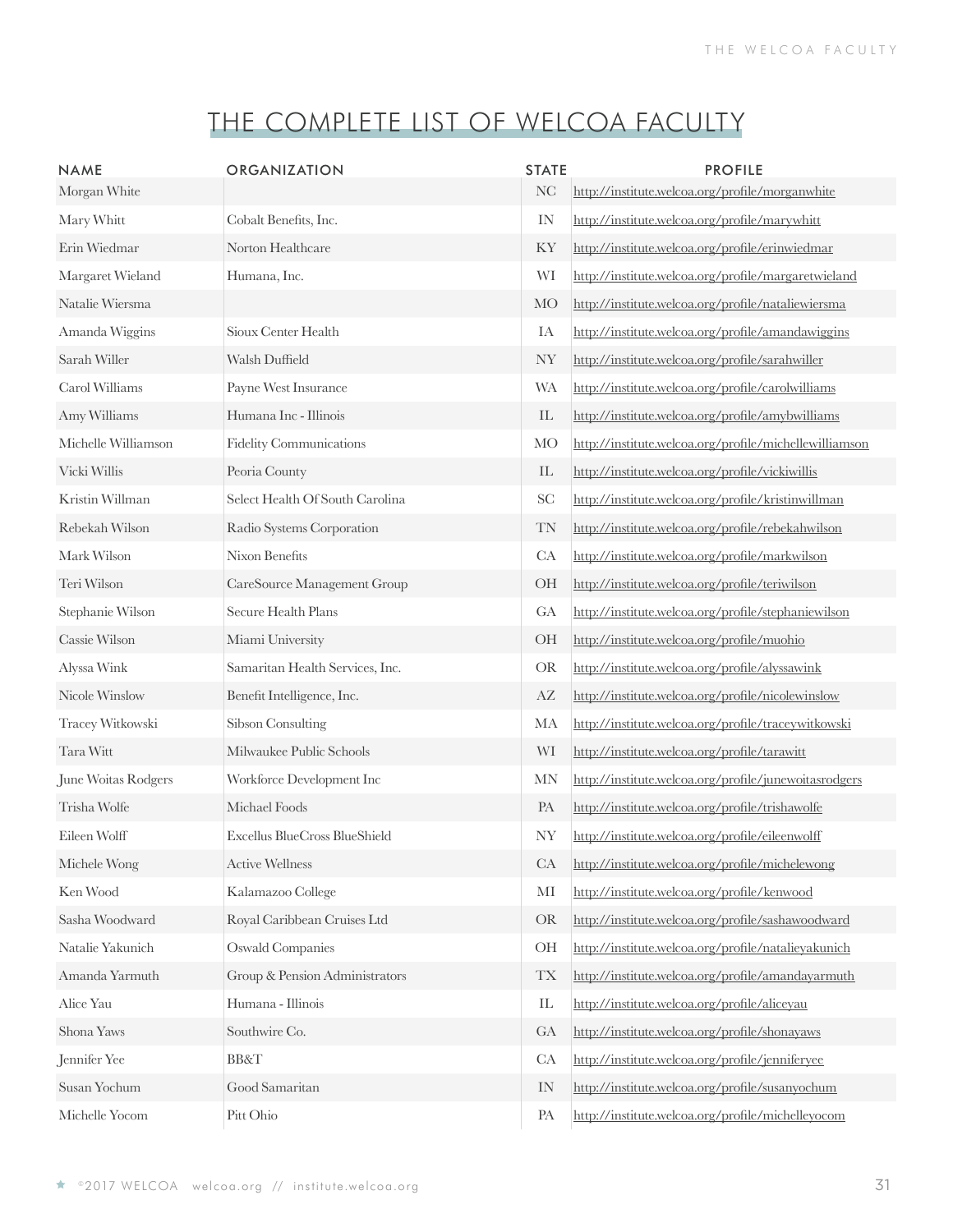| <b>NAME</b><br>Morgan White | ORGANIZATION                    | <b>STATE</b><br>NC | <b>PROFILE</b><br>http://institute.welcoa.org/profile/morganwhite |
|-----------------------------|---------------------------------|--------------------|-------------------------------------------------------------------|
| Mary Whitt                  | Cobalt Benefits, Inc.           | IN                 | http://institute.welcoa.org/profile/marywhitt                     |
| Erin Wiedmar                | Norton Healthcare               | KY                 | http://institute.welcoa.org/profile/erinwiedmar                   |
| Margaret Wieland            | Humana, Inc.                    | WI                 | http://institute.welcoa.org/profile/margaretwieland               |
| Natalie Wiersma             |                                 | MO                 | http://institute.welcoa.org/profile/nataliewiersma                |
| Amanda Wiggins              | Sioux Center Health             | IA                 | http://institute.welcoa.org/profile/amandawiggins                 |
| Sarah Willer                | Walsh Duffield                  | <b>NY</b>          | http://institute.welcoa.org/profile/sarahwiller                   |
| Carol Williams              | Payne West Insurance            | <b>WA</b>          | http://institute.welcoa.org/profile/carolwilliams                 |
| Amy Williams                | Humana Inc - Illinois           | IL                 | http://institute.welcoa.org/profile/amybwilliams                  |
| Michelle Williamson         | Fidelity Communications         | MO                 | http://institute.welcoa.org/profile/michellewilliamson            |
| Vicki Willis                | Peoria County                   | IL                 | http://institute.welcoa.org/profile/vickiwillis                   |
| Kristin Willman             | Select Health Of South Carolina | <b>SC</b>          | http://institute.welcoa.org/profile/kristinwillman                |
| Rebekah Wilson              | Radio Systems Corporation       | TN                 | http://institute.welcoa.org/profile/rebekahwilson                 |
| Mark Wilson                 | Nixon Benefits                  | CA                 | http://institute.welcoa.org/profile/markwilson                    |
| Teri Wilson                 | CareSource Management Group     | OH                 | http://institute.welcoa.org/profile/teriwilson                    |
| Stephanie Wilson            | Secure Health Plans             | GA                 | http://institute.welcoa.org/profile/stephaniewilson               |
| Cassie Wilson               | Miami University                | OH                 | http://institute.welcoa.org/profile/muohio                        |
| Alyssa Wink                 | Samaritan Health Services, Inc. | <b>OR</b>          | http://institute.welcoa.org/profile/alyssawink                    |
| Nicole Winslow              | Benefit Intelligence, Inc.      | AZ                 | http://institute.welcoa.org/profile/nicolewinslow                 |
| Tracey Witkowski            | Sibson Consulting               | MA                 | http://institute.welcoa.org/profile/traceywitkowski               |
| Tara Witt                   | Milwaukee Public Schools        | WI                 | http://institute.welcoa.org/profile/tarawitt                      |
| June Woitas Rodgers         | Workforce Development Inc       | <b>MN</b>          | http://institute.welcoa.org/profile/junewoitasrodgers             |
| Trisha Wolfe                | Michael Foods                   | PA                 | http://institute.welcoa.org/profile/trishawolfe                   |
| Eileen Wolff                | Excellus BlueCross BlueShield   | <b>NY</b>          | http://institute.welcoa.org/profile/eileenwolff                   |
| Michele Wong                | <b>Active Wellness</b>          | CA                 | http://institute.welcoa.org/profile/michelewong                   |
| Ken Wood                    | Kalamazoo College               | MI                 | http://institute.welcoa.org/profile/kenwood                       |
| Sasha Woodward              | Royal Caribbean Cruises Ltd     | <b>OR</b>          | http://institute.welcoa.org/profile/sashawoodward                 |
| Natalie Yakunich            | <b>Oswald Companies</b>         | OH                 | http://institute.welcoa.org/profile/natalieyakunich               |
| Amanda Yarmuth              | Group & Pension Administrators  | <b>TX</b>          | http://institute.welcoa.org/profile/amandayarmuth                 |
| Alice Yau                   | Humana - Illinois               | ${\rm IL}$         | http://institute.welcoa.org/profile/aliceyau                      |
| Shona Yaws                  | Southwire Co.                   | GA                 | http://institute.welcoa.org/profile/shonayaws                     |
| Jennifer Yee                | <b>BB&amp;T</b>                 | CA                 | http://institute.welcoa.org/profile/jenniferyee                   |
| Susan Yochum                | Good Samaritan                  | IN                 | http://institute.welcoa.org/profile/susanyochum                   |
| Michelle Yocom              | Pitt Ohio                       | PA                 | http://institute.welcoa.org/profile/michelleyocom                 |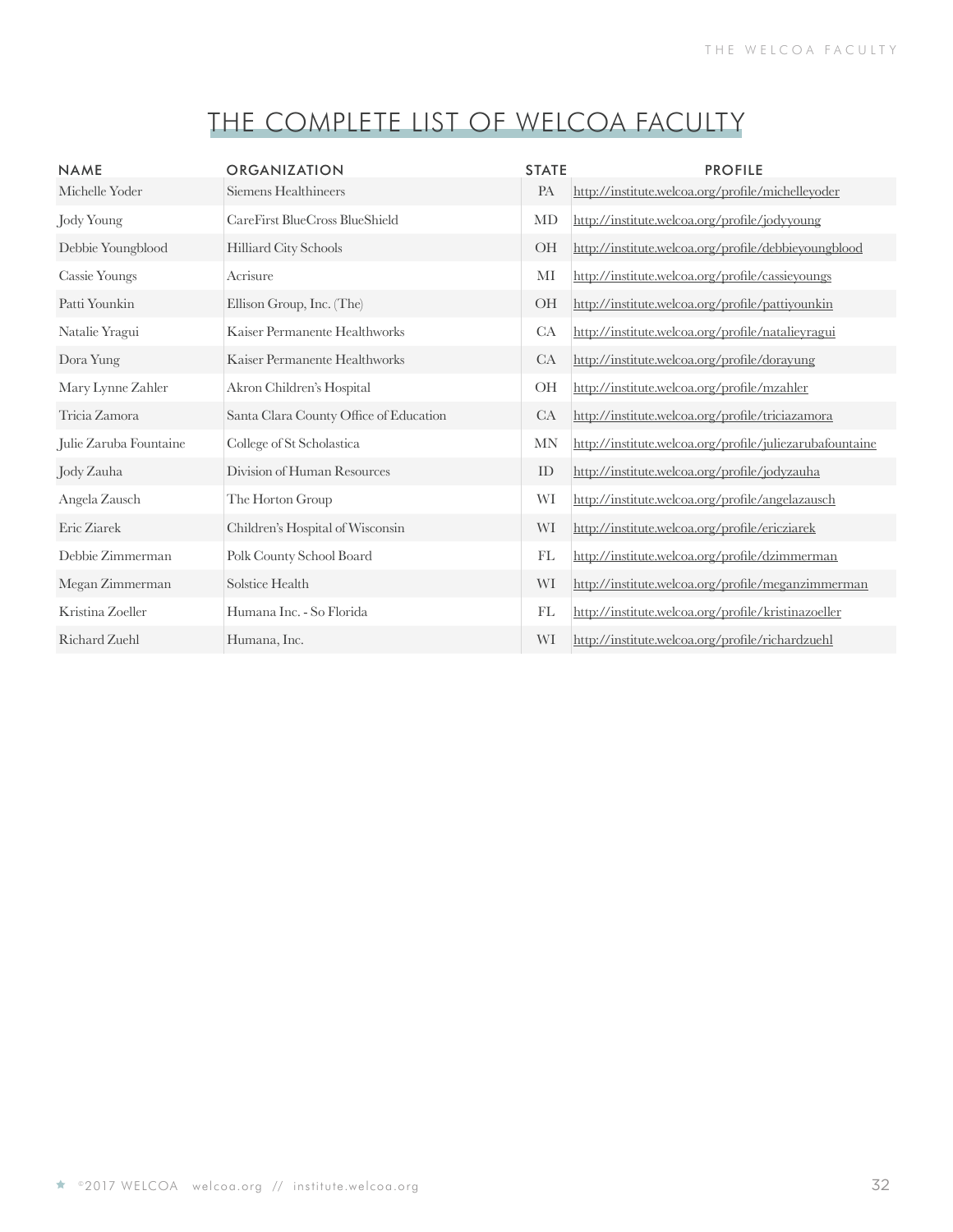| <b>NAME</b>            | <b>ORGANIZATION</b>                    | <b>STATE</b> | <b>PROFILE</b>                                           |
|------------------------|----------------------------------------|--------------|----------------------------------------------------------|
| Michelle Yoder         | Siemens Healthineers                   | PA           | http://institute.welcoa.org/profile/michelleyoder        |
| Jody Young             | CareFirst BlueCross BlueShield         | MD           | http://institute.welcoa.org/profile/jodyyoung            |
| Debbie Youngblood      | Hilliard City Schools                  | <b>OH</b>    | http://institute.welcoa.org/profile/debbieyoungblood     |
| <b>Cassie Youngs</b>   | Acrisure                               | MI           | http://institute.welcoa.org/profile/cassieyoungs         |
| Patti Younkin          | Ellison Group, Inc. (The)              | <b>OH</b>    | http://institute.welcoa.org/profile/pattiyounkin         |
| Natalie Yragui         | Kaiser Permanente Healthworks          | CA           | http://institute.welcoa.org/profile/natalieyragui        |
| Dora Yung              | Kaiser Permanente Healthworks          | CA           | http://institute.welcoa.org/profile/dorayung             |
| Mary Lynne Zahler      | Akron Children's Hospital              | <b>OH</b>    | http://institute.welcoa.org/profile/mzahler              |
| Tricia Zamora          | Santa Clara County Office of Education | CA           | http://institute.welcoa.org/profile/triciazamora         |
| Julie Zaruba Fountaine | College of St Scholastica              | MN           | http://institute.welcoa.org/profile/juliezarubafountaine |
| Jody Zauha             | Division of Human Resources            | ID           | http://institute.welcoa.org/profile/jodyzauha            |
| Angela Zausch          | The Horton Group                       | WI           | http://institute.welcoa.org/profile/angelazausch         |
| Eric Ziarek            | Children's Hospital of Wisconsin       | WI           | http://institute.welcoa.org/profile/ericziarek           |
| Debbie Zimmerman       | Polk County School Board               | FL           | http://institute.welcoa.org/profile/dzimmerman           |
| Megan Zimmerman        | Solstice Health                        | WI           | http://institute.welcoa.org/profile/meganzimmerman       |
| Kristina Zoeller       | Humana Inc. - So Florida               | FL           | http://institute.welcoa.org/profile/kristinazoeller      |
| Richard Zuehl          | Humana, Inc.                           | WI           | http://institute.welcoa.org/profile/richardzuehl         |